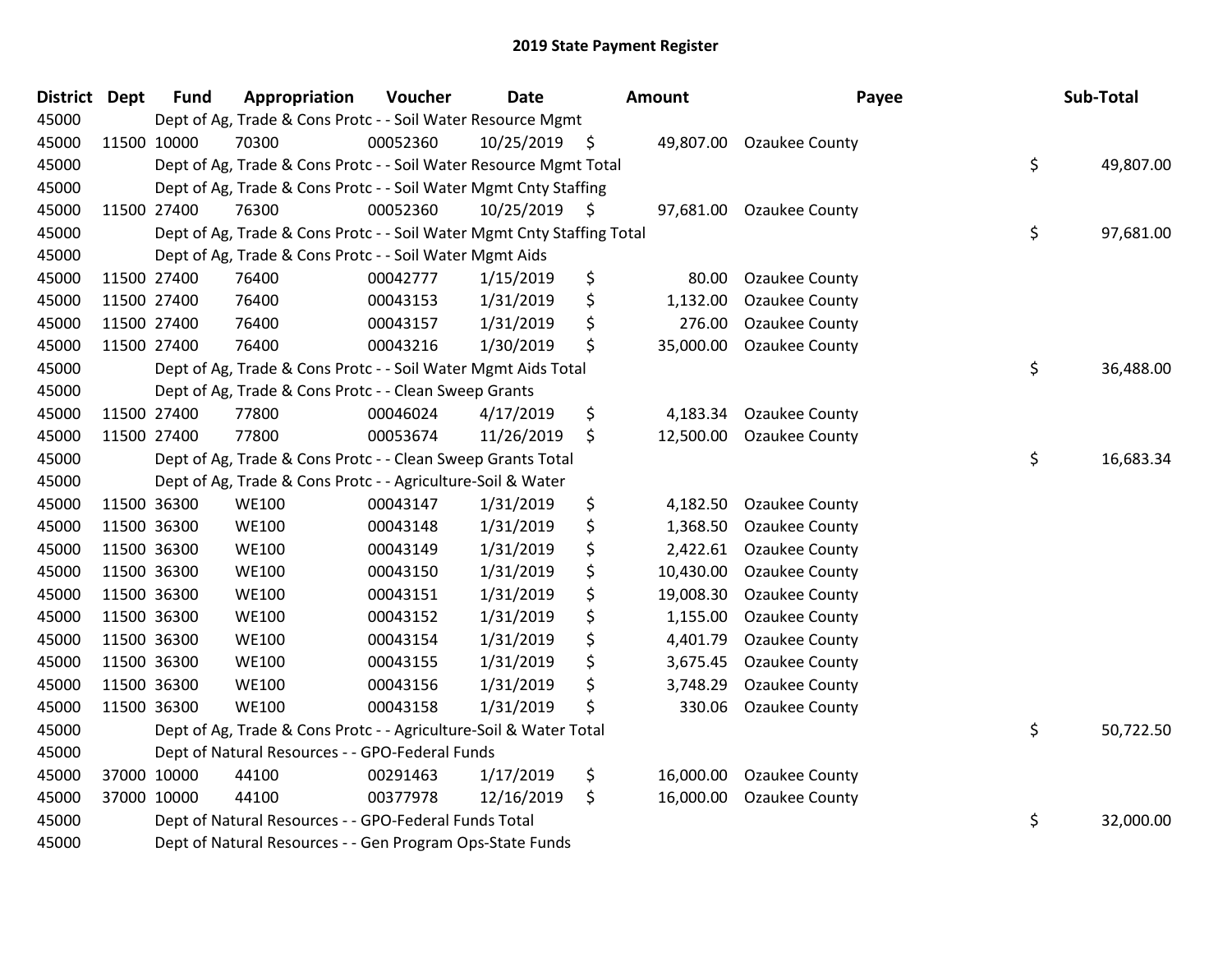| <b>District</b> | <b>Dept</b> | <b>Fund</b> | Appropriation                                                          | Voucher  | <b>Date</b>     | <b>Amount</b>   | Payee                    | Sub-Total       |
|-----------------|-------------|-------------|------------------------------------------------------------------------|----------|-----------------|-----------------|--------------------------|-----------------|
| 45000           |             |             | Dept of Ag, Trade & Cons Protc - - Soil Water Resource Mgmt            |          |                 |                 |                          |                 |
| 45000           |             | 11500 10000 | 70300                                                                  | 00052360 | $10/25/2019$ \$ |                 | 49,807.00 Ozaukee County |                 |
| 45000           |             |             | Dept of Ag, Trade & Cons Protc - - Soil Water Resource Mgmt Total      |          |                 |                 |                          | \$<br>49,807.00 |
| 45000           |             |             | Dept of Ag, Trade & Cons Protc - - Soil Water Mgmt Cnty Staffing       |          |                 |                 |                          |                 |
| 45000           |             | 11500 27400 | 76300                                                                  | 00052360 | $10/25/2019$ \$ | 97,681.00       | Ozaukee County           |                 |
| 45000           |             |             | Dept of Ag, Trade & Cons Protc - - Soil Water Mgmt Cnty Staffing Total |          |                 |                 |                          | \$<br>97,681.00 |
| 45000           |             |             | Dept of Ag, Trade & Cons Protc - - Soil Water Mgmt Aids                |          |                 |                 |                          |                 |
| 45000           |             | 11500 27400 | 76400                                                                  | 00042777 | 1/15/2019       | \$<br>80.00     | Ozaukee County           |                 |
| 45000           |             | 11500 27400 | 76400                                                                  | 00043153 | 1/31/2019       | \$<br>1,132.00  | <b>Ozaukee County</b>    |                 |
| 45000           |             | 11500 27400 | 76400                                                                  | 00043157 | 1/31/2019       | \$<br>276.00    | Ozaukee County           |                 |
| 45000           |             | 11500 27400 | 76400                                                                  | 00043216 | 1/30/2019       | \$<br>35,000.00 | Ozaukee County           |                 |
| 45000           |             |             | Dept of Ag, Trade & Cons Protc - - Soil Water Mgmt Aids Total          |          |                 |                 |                          | \$<br>36,488.00 |
| 45000           |             |             | Dept of Ag, Trade & Cons Protc - - Clean Sweep Grants                  |          |                 |                 |                          |                 |
| 45000           |             | 11500 27400 | 77800                                                                  | 00046024 | 4/17/2019       | \$<br>4,183.34  | Ozaukee County           |                 |
| 45000           |             | 11500 27400 | 77800                                                                  | 00053674 | 11/26/2019      | \$<br>12,500.00 | Ozaukee County           |                 |
| 45000           |             |             | Dept of Ag, Trade & Cons Protc - - Clean Sweep Grants Total            |          |                 |                 |                          | \$<br>16,683.34 |
| 45000           |             |             | Dept of Ag, Trade & Cons Protc - - Agriculture-Soil & Water            |          |                 |                 |                          |                 |
| 45000           |             | 11500 36300 | <b>WE100</b>                                                           | 00043147 | 1/31/2019       | \$<br>4,182.50  | <b>Ozaukee County</b>    |                 |
| 45000           |             | 11500 36300 | <b>WE100</b>                                                           | 00043148 | 1/31/2019       | \$<br>1,368.50  | Ozaukee County           |                 |
| 45000           |             | 11500 36300 | <b>WE100</b>                                                           | 00043149 | 1/31/2019       | \$<br>2,422.61  | <b>Ozaukee County</b>    |                 |
| 45000           |             | 11500 36300 | <b>WE100</b>                                                           | 00043150 | 1/31/2019       | \$<br>10,430.00 | Ozaukee County           |                 |
| 45000           |             | 11500 36300 | <b>WE100</b>                                                           | 00043151 | 1/31/2019       | \$<br>19,008.30 | Ozaukee County           |                 |
| 45000           |             | 11500 36300 | <b>WE100</b>                                                           | 00043152 | 1/31/2019       | \$<br>1,155.00  | <b>Ozaukee County</b>    |                 |
| 45000           |             | 11500 36300 | <b>WE100</b>                                                           | 00043154 | 1/31/2019       | \$<br>4,401.79  | Ozaukee County           |                 |
| 45000           |             | 11500 36300 | <b>WE100</b>                                                           | 00043155 | 1/31/2019       | \$<br>3,675.45  | Ozaukee County           |                 |
| 45000           |             | 11500 36300 | <b>WE100</b>                                                           | 00043156 | 1/31/2019       | \$<br>3,748.29  | Ozaukee County           |                 |
| 45000           |             | 11500 36300 | <b>WE100</b>                                                           | 00043158 | 1/31/2019       | \$<br>330.06    | Ozaukee County           |                 |
| 45000           |             |             | Dept of Ag, Trade & Cons Protc - - Agriculture-Soil & Water Total      |          |                 |                 |                          | \$<br>50,722.50 |
| 45000           |             |             | Dept of Natural Resources - - GPO-Federal Funds                        |          |                 |                 |                          |                 |
| 45000           |             | 37000 10000 | 44100                                                                  | 00291463 | 1/17/2019       | \$<br>16,000.00 | Ozaukee County           |                 |
| 45000           |             | 37000 10000 | 44100                                                                  | 00377978 | 12/16/2019      | \$<br>16,000.00 | <b>Ozaukee County</b>    |                 |
| 45000           |             |             | Dept of Natural Resources - - GPO-Federal Funds Total                  |          |                 |                 |                          | \$<br>32,000.00 |
| 45000           |             |             | Dept of Natural Resources - - Gen Program Ops-State Funds              |          |                 |                 |                          |                 |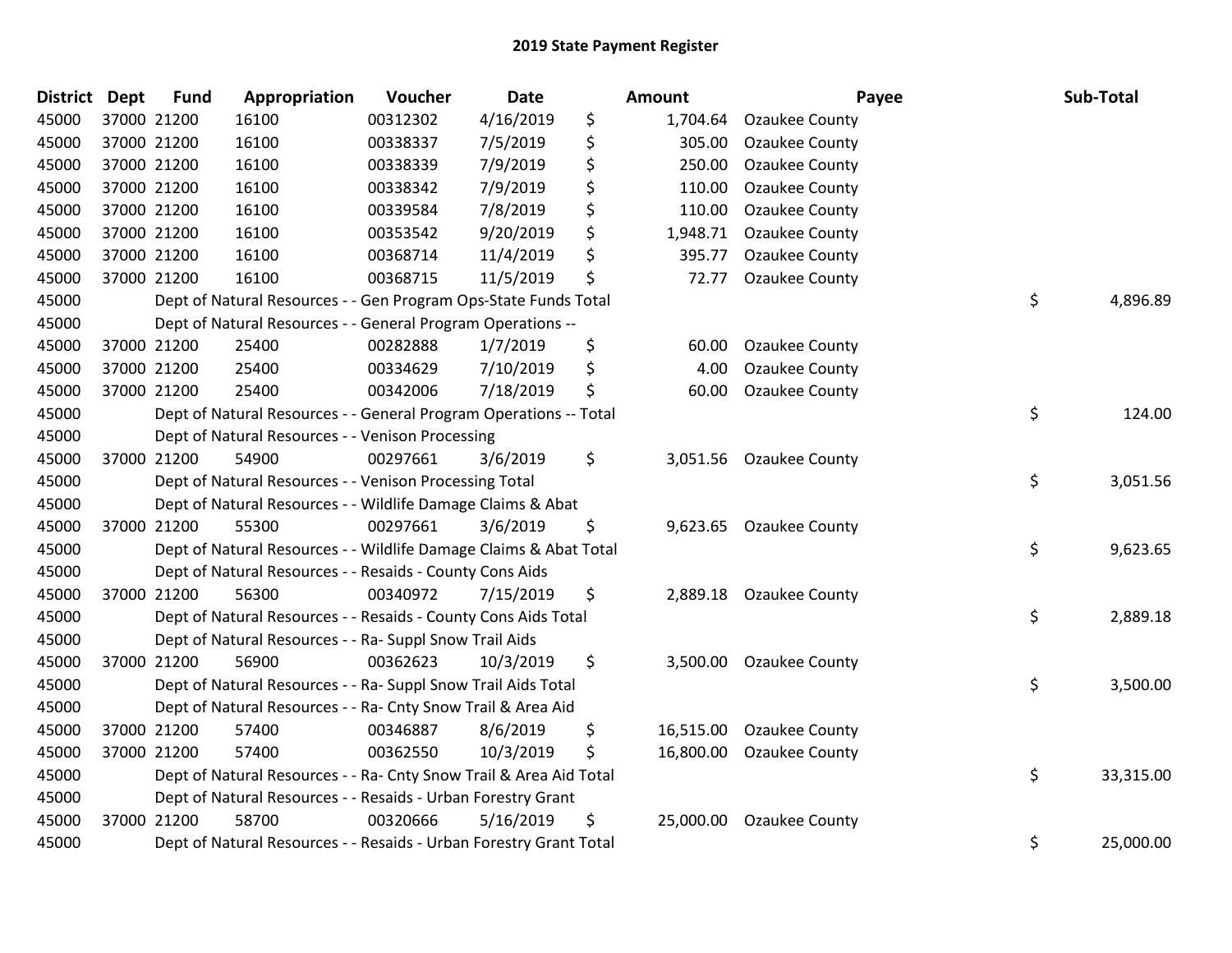| <b>District Dept</b> | <b>Fund</b> | Appropriation                                                      | Voucher  | <b>Date</b> | Amount          | Payee                 | Sub-Total       |
|----------------------|-------------|--------------------------------------------------------------------|----------|-------------|-----------------|-----------------------|-----------------|
| 45000                | 37000 21200 | 16100                                                              | 00312302 | 4/16/2019   | \$<br>1,704.64  | Ozaukee County        |                 |
| 45000                | 37000 21200 | 16100                                                              | 00338337 | 7/5/2019    | \$<br>305.00    | Ozaukee County        |                 |
| 45000                | 37000 21200 | 16100                                                              | 00338339 | 7/9/2019    | \$<br>250.00    | Ozaukee County        |                 |
| 45000                | 37000 21200 | 16100                                                              | 00338342 | 7/9/2019    | \$<br>110.00    | Ozaukee County        |                 |
| 45000                | 37000 21200 | 16100                                                              | 00339584 | 7/8/2019    | \$<br>110.00    | Ozaukee County        |                 |
| 45000                | 37000 21200 | 16100                                                              | 00353542 | 9/20/2019   | \$<br>1,948.71  | Ozaukee County        |                 |
| 45000                | 37000 21200 | 16100                                                              | 00368714 | 11/4/2019   | \$<br>395.77    | Ozaukee County        |                 |
| 45000                | 37000 21200 | 16100                                                              | 00368715 | 11/5/2019   | \$<br>72.77     | Ozaukee County        |                 |
| 45000                |             | Dept of Natural Resources - - Gen Program Ops-State Funds Total    |          |             |                 |                       | \$<br>4,896.89  |
| 45000                |             | Dept of Natural Resources - - General Program Operations --        |          |             |                 |                       |                 |
| 45000                | 37000 21200 | 25400                                                              | 00282888 | 1/7/2019    | \$<br>60.00     | Ozaukee County        |                 |
| 45000                | 37000 21200 | 25400                                                              | 00334629 | 7/10/2019   | \$<br>4.00      | Ozaukee County        |                 |
| 45000                | 37000 21200 | 25400                                                              | 00342006 | 7/18/2019   | \$<br>60.00     | Ozaukee County        |                 |
| 45000                |             | Dept of Natural Resources - - General Program Operations -- Total  |          |             |                 |                       | \$<br>124.00    |
| 45000                |             | Dept of Natural Resources - - Venison Processing                   |          |             |                 |                       |                 |
| 45000                | 37000 21200 | 54900                                                              | 00297661 | 3/6/2019    | \$<br>3,051.56  | Ozaukee County        |                 |
| 45000                |             | Dept of Natural Resources - - Venison Processing Total             |          |             |                 |                       | \$<br>3,051.56  |
| 45000                |             | Dept of Natural Resources - - Wildlife Damage Claims & Abat        |          |             |                 |                       |                 |
| 45000                | 37000 21200 | 55300                                                              | 00297661 | 3/6/2019    | \$<br>9,623.65  | Ozaukee County        |                 |
| 45000                |             | Dept of Natural Resources - - Wildlife Damage Claims & Abat Total  |          |             |                 |                       | \$<br>9,623.65  |
| 45000                |             | Dept of Natural Resources - - Resaids - County Cons Aids           |          |             |                 |                       |                 |
| 45000                | 37000 21200 | 56300                                                              | 00340972 | 7/15/2019   | \$<br>2,889.18  | Ozaukee County        |                 |
| 45000                |             | Dept of Natural Resources - - Resaids - County Cons Aids Total     |          |             |                 |                       | \$<br>2,889.18  |
| 45000                |             | Dept of Natural Resources - - Ra- Suppl Snow Trail Aids            |          |             |                 |                       |                 |
| 45000                | 37000 21200 | 56900                                                              | 00362623 | 10/3/2019   | \$<br>3,500.00  | Ozaukee County        |                 |
| 45000                |             | Dept of Natural Resources - - Ra- Suppl Snow Trail Aids Total      |          |             |                 |                       | \$<br>3,500.00  |
| 45000                |             | Dept of Natural Resources - - Ra- Cnty Snow Trail & Area Aid       |          |             |                 |                       |                 |
| 45000                | 37000 21200 | 57400                                                              | 00346887 | 8/6/2019    | \$<br>16,515.00 | <b>Ozaukee County</b> |                 |
| 45000                | 37000 21200 | 57400                                                              | 00362550 | 10/3/2019   | \$<br>16,800.00 | Ozaukee County        |                 |
| 45000                |             | Dept of Natural Resources - - Ra- Cnty Snow Trail & Area Aid Total |          |             |                 |                       | \$<br>33,315.00 |
| 45000                |             | Dept of Natural Resources - - Resaids - Urban Forestry Grant       |          |             |                 |                       |                 |
| 45000                | 37000 21200 | 58700                                                              | 00320666 | 5/16/2019   | \$<br>25,000.00 | Ozaukee County        |                 |
| 45000                |             | Dept of Natural Resources - - Resaids - Urban Forestry Grant Total |          |             |                 |                       | \$<br>25,000.00 |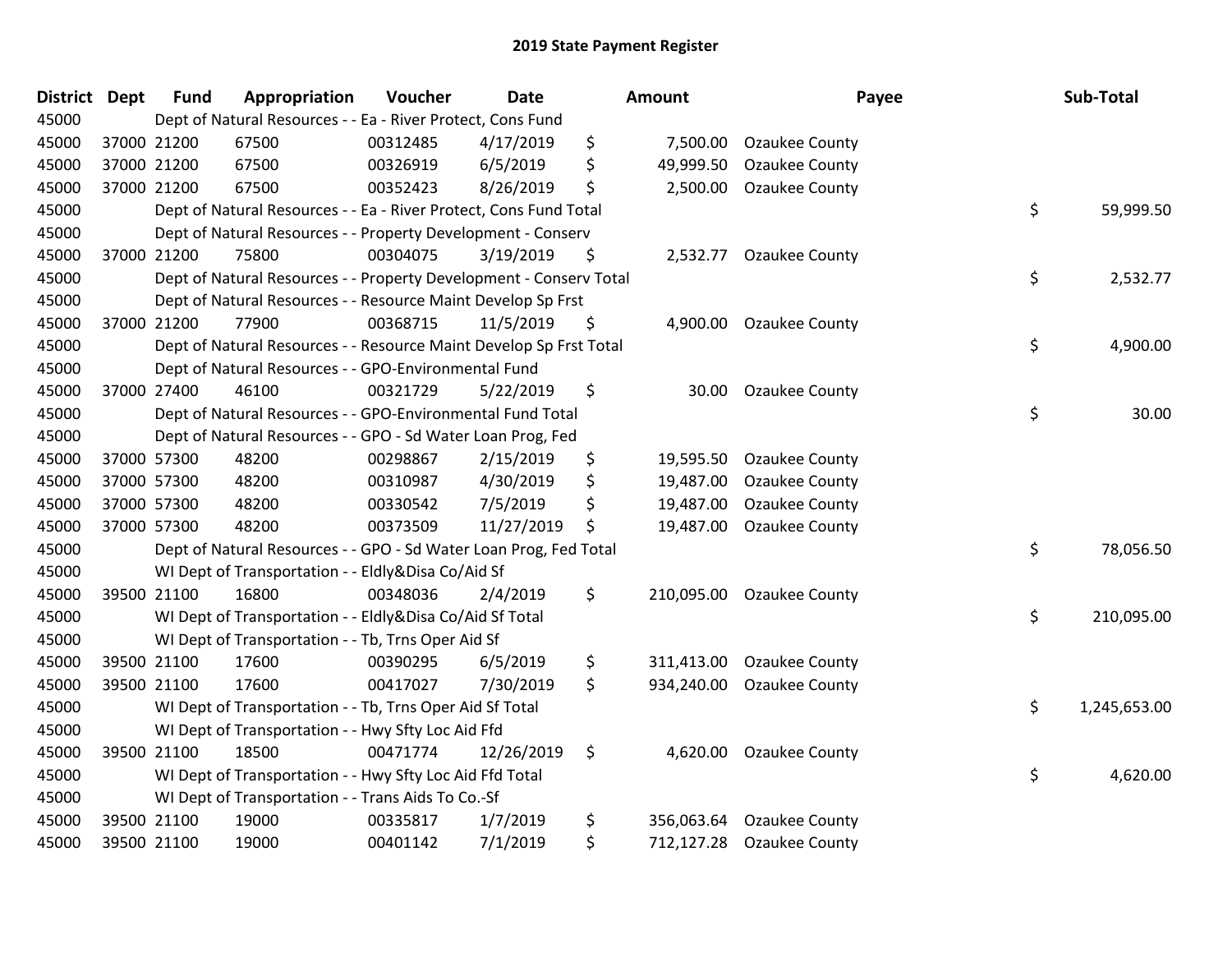| District Dept |             | <b>Fund</b> | Appropriation                                                      | Voucher  | <b>Date</b> | <b>Amount</b>    | Payee                 | Sub-Total          |
|---------------|-------------|-------------|--------------------------------------------------------------------|----------|-------------|------------------|-----------------------|--------------------|
| 45000         |             |             | Dept of Natural Resources - - Ea - River Protect, Cons Fund        |          |             |                  |                       |                    |
| 45000         | 37000 21200 |             | 67500                                                              | 00312485 | 4/17/2019   | \$<br>7,500.00   | <b>Ozaukee County</b> |                    |
| 45000         | 37000 21200 |             | 67500                                                              | 00326919 | 6/5/2019    | \$<br>49,999.50  | Ozaukee County        |                    |
| 45000         | 37000 21200 |             | 67500                                                              | 00352423 | 8/26/2019   | \$<br>2,500.00   | Ozaukee County        |                    |
| 45000         |             |             | Dept of Natural Resources - - Ea - River Protect, Cons Fund Total  |          |             |                  |                       | \$<br>59,999.50    |
| 45000         |             |             | Dept of Natural Resources - - Property Development - Conserv       |          |             |                  |                       |                    |
| 45000         | 37000 21200 |             | 75800                                                              | 00304075 | 3/19/2019   | \$<br>2,532.77   | Ozaukee County        |                    |
| 45000         |             |             | Dept of Natural Resources - - Property Development - Conserv Total |          |             |                  |                       | \$<br>2,532.77     |
| 45000         |             |             | Dept of Natural Resources - - Resource Maint Develop Sp Frst       |          |             |                  |                       |                    |
| 45000         | 37000 21200 |             | 77900                                                              | 00368715 | 11/5/2019   | \$<br>4,900.00   | Ozaukee County        |                    |
| 45000         |             |             | Dept of Natural Resources - - Resource Maint Develop Sp Frst Total |          |             |                  |                       | \$<br>4,900.00     |
| 45000         |             |             | Dept of Natural Resources - - GPO-Environmental Fund               |          |             |                  |                       |                    |
| 45000         | 37000 27400 |             | 46100                                                              | 00321729 | 5/22/2019   | \$<br>30.00      | <b>Ozaukee County</b> |                    |
| 45000         |             |             | Dept of Natural Resources - - GPO-Environmental Fund Total         |          |             |                  |                       | \$<br>30.00        |
| 45000         |             |             | Dept of Natural Resources - - GPO - Sd Water Loan Prog, Fed        |          |             |                  |                       |                    |
| 45000         | 37000 57300 |             | 48200                                                              | 00298867 | 2/15/2019   | \$<br>19,595.50  | <b>Ozaukee County</b> |                    |
| 45000         | 37000 57300 |             | 48200                                                              | 00310987 | 4/30/2019   | \$<br>19,487.00  | Ozaukee County        |                    |
| 45000         | 37000 57300 |             | 48200                                                              | 00330542 | 7/5/2019    | \$<br>19,487.00  | Ozaukee County        |                    |
| 45000         | 37000 57300 |             | 48200                                                              | 00373509 | 11/27/2019  | \$<br>19,487.00  | <b>Ozaukee County</b> |                    |
| 45000         |             |             | Dept of Natural Resources - - GPO - Sd Water Loan Prog, Fed Total  |          |             |                  |                       | \$<br>78,056.50    |
| 45000         |             |             | WI Dept of Transportation - - Eldly&Disa Co/Aid Sf                 |          |             |                  |                       |                    |
| 45000         | 39500 21100 |             | 16800                                                              | 00348036 | 2/4/2019    | \$<br>210,095.00 | <b>Ozaukee County</b> |                    |
| 45000         |             |             | WI Dept of Transportation - - Eldly&Disa Co/Aid Sf Total           |          |             |                  |                       | \$<br>210,095.00   |
| 45000         |             |             | WI Dept of Transportation - - Tb, Trns Oper Aid Sf                 |          |             |                  |                       |                    |
| 45000         | 39500 21100 |             | 17600                                                              | 00390295 | 6/5/2019    | \$<br>311,413.00 | <b>Ozaukee County</b> |                    |
| 45000         | 39500 21100 |             | 17600                                                              | 00417027 | 7/30/2019   | \$<br>934,240.00 | Ozaukee County        |                    |
| 45000         |             |             | WI Dept of Transportation - - Tb, Trns Oper Aid Sf Total           |          |             |                  |                       | \$<br>1,245,653.00 |
| 45000         |             |             | WI Dept of Transportation - - Hwy Sfty Loc Aid Ffd                 |          |             |                  |                       |                    |
| 45000         | 39500 21100 |             | 18500                                                              | 00471774 | 12/26/2019  | \$<br>4,620.00   | <b>Ozaukee County</b> |                    |
| 45000         |             |             | WI Dept of Transportation - - Hwy Sfty Loc Aid Ffd Total           |          |             |                  |                       | \$<br>4,620.00     |
| 45000         |             |             | WI Dept of Transportation - - Trans Aids To Co.-Sf                 |          |             |                  |                       |                    |
| 45000         | 39500 21100 |             | 19000                                                              | 00335817 | 1/7/2019    | \$<br>356,063.64 | <b>Ozaukee County</b> |                    |
| 45000         | 39500 21100 |             | 19000                                                              | 00401142 | 7/1/2019    | \$<br>712,127.28 | Ozaukee County        |                    |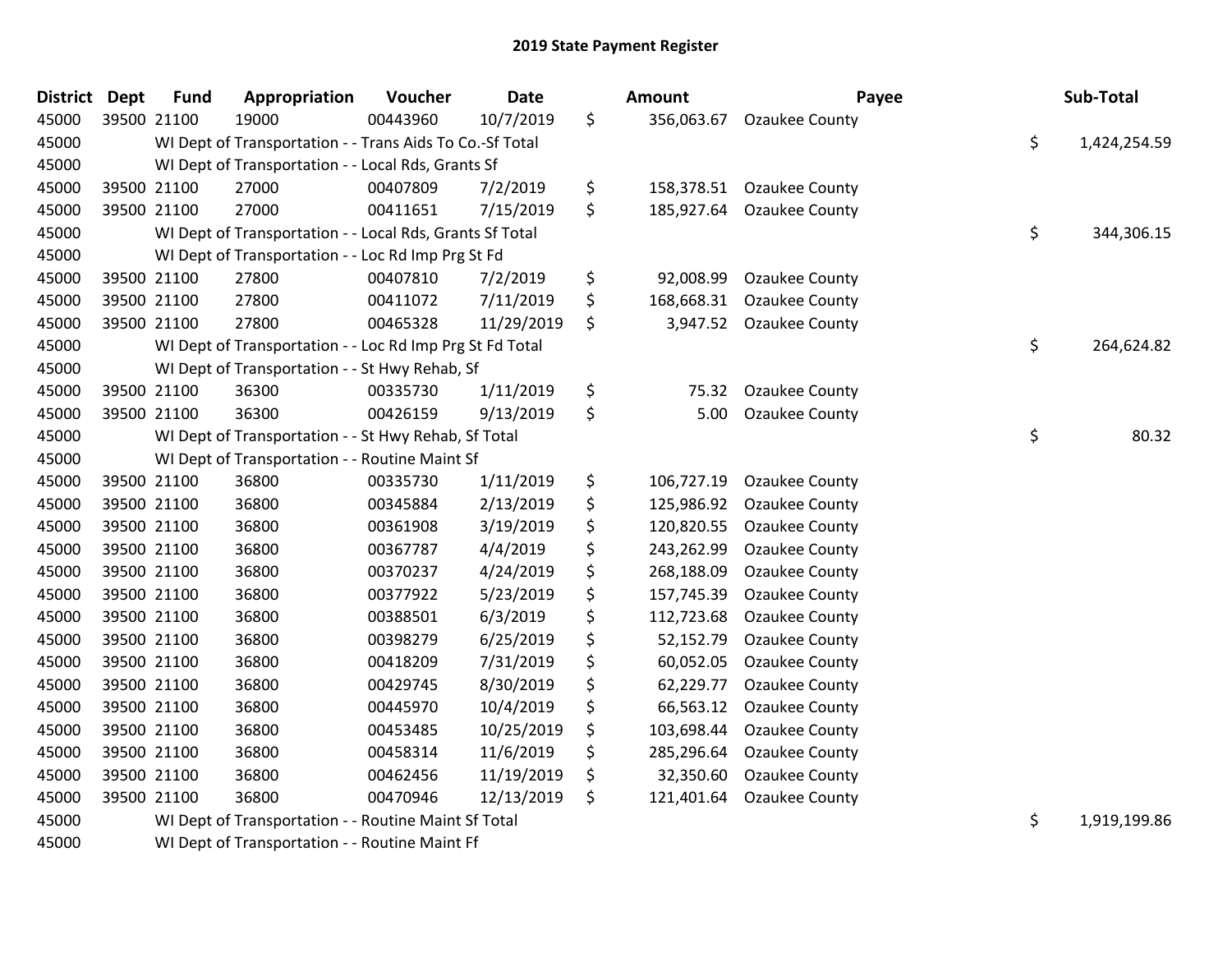| <b>District</b> | <b>Dept</b> | <b>Fund</b> | Appropriation                                            | Voucher  | <b>Date</b> | Amount           | Payee                 | Sub-Total          |
|-----------------|-------------|-------------|----------------------------------------------------------|----------|-------------|------------------|-----------------------|--------------------|
| 45000           |             | 39500 21100 | 19000                                                    | 00443960 | 10/7/2019   | \$<br>356,063.67 | <b>Ozaukee County</b> |                    |
| 45000           |             |             | WI Dept of Transportation - - Trans Aids To Co.-Sf Total |          |             |                  |                       | \$<br>1,424,254.59 |
| 45000           |             |             | WI Dept of Transportation - - Local Rds, Grants Sf       |          |             |                  |                       |                    |
| 45000           |             | 39500 21100 | 27000                                                    | 00407809 | 7/2/2019    | \$<br>158,378.51 | <b>Ozaukee County</b> |                    |
| 45000           |             | 39500 21100 | 27000                                                    | 00411651 | 7/15/2019   | \$<br>185,927.64 | <b>Ozaukee County</b> |                    |
| 45000           |             |             | WI Dept of Transportation - - Local Rds, Grants Sf Total |          |             |                  |                       | \$<br>344,306.15   |
| 45000           |             |             | WI Dept of Transportation - - Loc Rd Imp Prg St Fd       |          |             |                  |                       |                    |
| 45000           |             | 39500 21100 | 27800                                                    | 00407810 | 7/2/2019    | \$<br>92,008.99  | Ozaukee County        |                    |
| 45000           | 39500 21100 |             | 27800                                                    | 00411072 | 7/11/2019   | \$<br>168,668.31 | <b>Ozaukee County</b> |                    |
| 45000           |             | 39500 21100 | 27800                                                    | 00465328 | 11/29/2019  | \$<br>3,947.52   | <b>Ozaukee County</b> |                    |
| 45000           |             |             | WI Dept of Transportation - - Loc Rd Imp Prg St Fd Total |          |             |                  |                       | \$<br>264,624.82   |
| 45000           |             |             | WI Dept of Transportation - - St Hwy Rehab, Sf           |          |             |                  |                       |                    |
| 45000           |             | 39500 21100 | 36300                                                    | 00335730 | 1/11/2019   | \$<br>75.32      | Ozaukee County        |                    |
| 45000           |             | 39500 21100 | 36300                                                    | 00426159 | 9/13/2019   | \$<br>5.00       | <b>Ozaukee County</b> |                    |
| 45000           |             |             | WI Dept of Transportation - - St Hwy Rehab, Sf Total     |          |             |                  |                       | \$<br>80.32        |
| 45000           |             |             | WI Dept of Transportation - - Routine Maint Sf           |          |             |                  |                       |                    |
| 45000           |             | 39500 21100 | 36800                                                    | 00335730 | 1/11/2019   | \$<br>106,727.19 | <b>Ozaukee County</b> |                    |
| 45000           |             | 39500 21100 | 36800                                                    | 00345884 | 2/13/2019   | \$<br>125,986.92 | Ozaukee County        |                    |
| 45000           |             | 39500 21100 | 36800                                                    | 00361908 | 3/19/2019   | \$<br>120,820.55 | Ozaukee County        |                    |
| 45000           |             | 39500 21100 | 36800                                                    | 00367787 | 4/4/2019    | \$<br>243,262.99 | Ozaukee County        |                    |
| 45000           |             | 39500 21100 | 36800                                                    | 00370237 | 4/24/2019   | \$<br>268,188.09 | Ozaukee County        |                    |
| 45000           |             | 39500 21100 | 36800                                                    | 00377922 | 5/23/2019   | \$<br>157,745.39 | Ozaukee County        |                    |
| 45000           |             | 39500 21100 | 36800                                                    | 00388501 | 6/3/2019    | \$<br>112,723.68 | Ozaukee County        |                    |
| 45000           | 39500 21100 |             | 36800                                                    | 00398279 | 6/25/2019   | \$<br>52,152.79  | <b>Ozaukee County</b> |                    |
| 45000           |             | 39500 21100 | 36800                                                    | 00418209 | 7/31/2019   | \$<br>60,052.05  | Ozaukee County        |                    |
| 45000           |             | 39500 21100 | 36800                                                    | 00429745 | 8/30/2019   | \$<br>62,229.77  | Ozaukee County        |                    |
| 45000           |             | 39500 21100 | 36800                                                    | 00445970 | 10/4/2019   | \$<br>66,563.12  | Ozaukee County        |                    |
| 45000           | 39500 21100 |             | 36800                                                    | 00453485 | 10/25/2019  | \$<br>103,698.44 | Ozaukee County        |                    |
| 45000           |             | 39500 21100 | 36800                                                    | 00458314 | 11/6/2019   | \$<br>285,296.64 | Ozaukee County        |                    |
| 45000           |             | 39500 21100 | 36800                                                    | 00462456 | 11/19/2019  | \$<br>32,350.60  | Ozaukee County        |                    |
| 45000           |             | 39500 21100 | 36800                                                    | 00470946 | 12/13/2019  | \$<br>121,401.64 | Ozaukee County        |                    |
| 45000           |             |             | WI Dept of Transportation - - Routine Maint Sf Total     |          |             |                  |                       | \$<br>1,919,199.86 |

WI Dept of Transportation - - Routine Maint Ff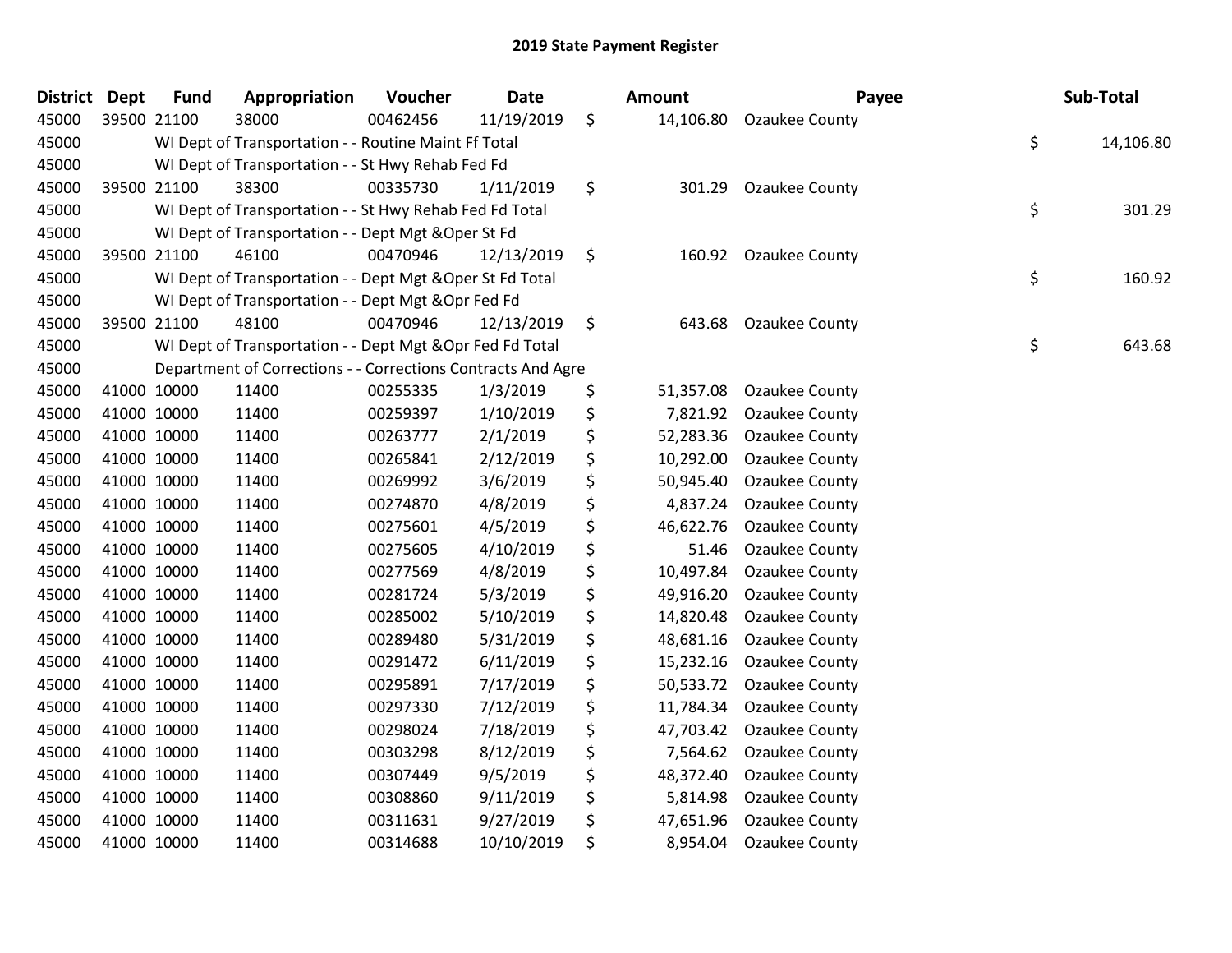| <b>District</b> | <b>Dept</b> | <b>Fund</b> | Appropriation                                                | Voucher  | <b>Date</b> | Amount          | Payee                 | Sub-Total       |
|-----------------|-------------|-------------|--------------------------------------------------------------|----------|-------------|-----------------|-----------------------|-----------------|
| 45000           |             | 39500 21100 | 38000                                                        | 00462456 | 11/19/2019  | \$<br>14,106.80 | <b>Ozaukee County</b> |                 |
| 45000           |             |             | WI Dept of Transportation - - Routine Maint Ff Total         |          |             |                 |                       | \$<br>14,106.80 |
| 45000           |             |             | WI Dept of Transportation - - St Hwy Rehab Fed Fd            |          |             |                 |                       |                 |
| 45000           |             | 39500 21100 | 38300                                                        | 00335730 | 1/11/2019   | \$<br>301.29    | Ozaukee County        |                 |
| 45000           |             |             | WI Dept of Transportation - - St Hwy Rehab Fed Fd Total      |          |             |                 |                       | \$<br>301.29    |
| 45000           |             |             | WI Dept of Transportation - - Dept Mgt & Oper St Fd          |          |             |                 |                       |                 |
| 45000           |             | 39500 21100 | 46100                                                        | 00470946 | 12/13/2019  | \$<br>160.92    | <b>Ozaukee County</b> |                 |
| 45000           |             |             | WI Dept of Transportation - - Dept Mgt & Oper St Fd Total    |          |             |                 |                       | \$<br>160.92    |
| 45000           |             |             | WI Dept of Transportation - - Dept Mgt & Opr Fed Fd          |          |             |                 |                       |                 |
| 45000           |             | 39500 21100 | 48100                                                        | 00470946 | 12/13/2019  | \$<br>643.68    | Ozaukee County        |                 |
| 45000           |             |             | WI Dept of Transportation - - Dept Mgt & Opr Fed Fd Total    |          |             |                 |                       | \$<br>643.68    |
| 45000           |             |             | Department of Corrections - - Corrections Contracts And Agre |          |             |                 |                       |                 |
| 45000           |             | 41000 10000 | 11400                                                        | 00255335 | 1/3/2019    | \$<br>51,357.08 | <b>Ozaukee County</b> |                 |
| 45000           |             | 41000 10000 | 11400                                                        | 00259397 | 1/10/2019   | \$<br>7,821.92  | Ozaukee County        |                 |
| 45000           | 41000 10000 |             | 11400                                                        | 00263777 | 2/1/2019    | \$<br>52,283.36 | Ozaukee County        |                 |
| 45000           |             | 41000 10000 | 11400                                                        | 00265841 | 2/12/2019   | \$<br>10,292.00 | Ozaukee County        |                 |
| 45000           | 41000 10000 |             | 11400                                                        | 00269992 | 3/6/2019    | \$<br>50,945.40 | Ozaukee County        |                 |
| 45000           |             | 41000 10000 | 11400                                                        | 00274870 | 4/8/2019    | \$<br>4,837.24  | Ozaukee County        |                 |
| 45000           | 41000 10000 |             | 11400                                                        | 00275601 | 4/5/2019    | \$<br>46,622.76 | Ozaukee County        |                 |
| 45000           |             | 41000 10000 | 11400                                                        | 00275605 | 4/10/2019   | \$<br>51.46     | Ozaukee County        |                 |
| 45000           |             | 41000 10000 | 11400                                                        | 00277569 | 4/8/2019    | \$<br>10,497.84 | Ozaukee County        |                 |
| 45000           | 41000 10000 |             | 11400                                                        | 00281724 | 5/3/2019    | \$<br>49,916.20 | <b>Ozaukee County</b> |                 |
| 45000           | 41000 10000 |             | 11400                                                        | 00285002 | 5/10/2019   | \$<br>14,820.48 | Ozaukee County        |                 |
| 45000           | 41000 10000 |             | 11400                                                        | 00289480 | 5/31/2019   | \$<br>48,681.16 | Ozaukee County        |                 |
| 45000           |             | 41000 10000 | 11400                                                        | 00291472 | 6/11/2019   | \$<br>15,232.16 | Ozaukee County        |                 |
| 45000           |             | 41000 10000 | 11400                                                        | 00295891 | 7/17/2019   | \$<br>50,533.72 | Ozaukee County        |                 |
| 45000           | 41000 10000 |             | 11400                                                        | 00297330 | 7/12/2019   | \$<br>11,784.34 | Ozaukee County        |                 |
| 45000           |             | 41000 10000 | 11400                                                        | 00298024 | 7/18/2019   | \$<br>47,703.42 | <b>Ozaukee County</b> |                 |
| 45000           | 41000 10000 |             | 11400                                                        | 00303298 | 8/12/2019   | \$<br>7,564.62  | Ozaukee County        |                 |
| 45000           |             | 41000 10000 | 11400                                                        | 00307449 | 9/5/2019    | \$<br>48,372.40 | Ozaukee County        |                 |
| 45000           |             | 41000 10000 | 11400                                                        | 00308860 | 9/11/2019   | \$<br>5,814.98  | Ozaukee County        |                 |
| 45000           | 41000 10000 |             | 11400                                                        | 00311631 | 9/27/2019   | \$<br>47,651.96 | Ozaukee County        |                 |
| 45000           | 41000 10000 |             | 11400                                                        | 00314688 | 10/10/2019  | \$<br>8,954.04  | Ozaukee County        |                 |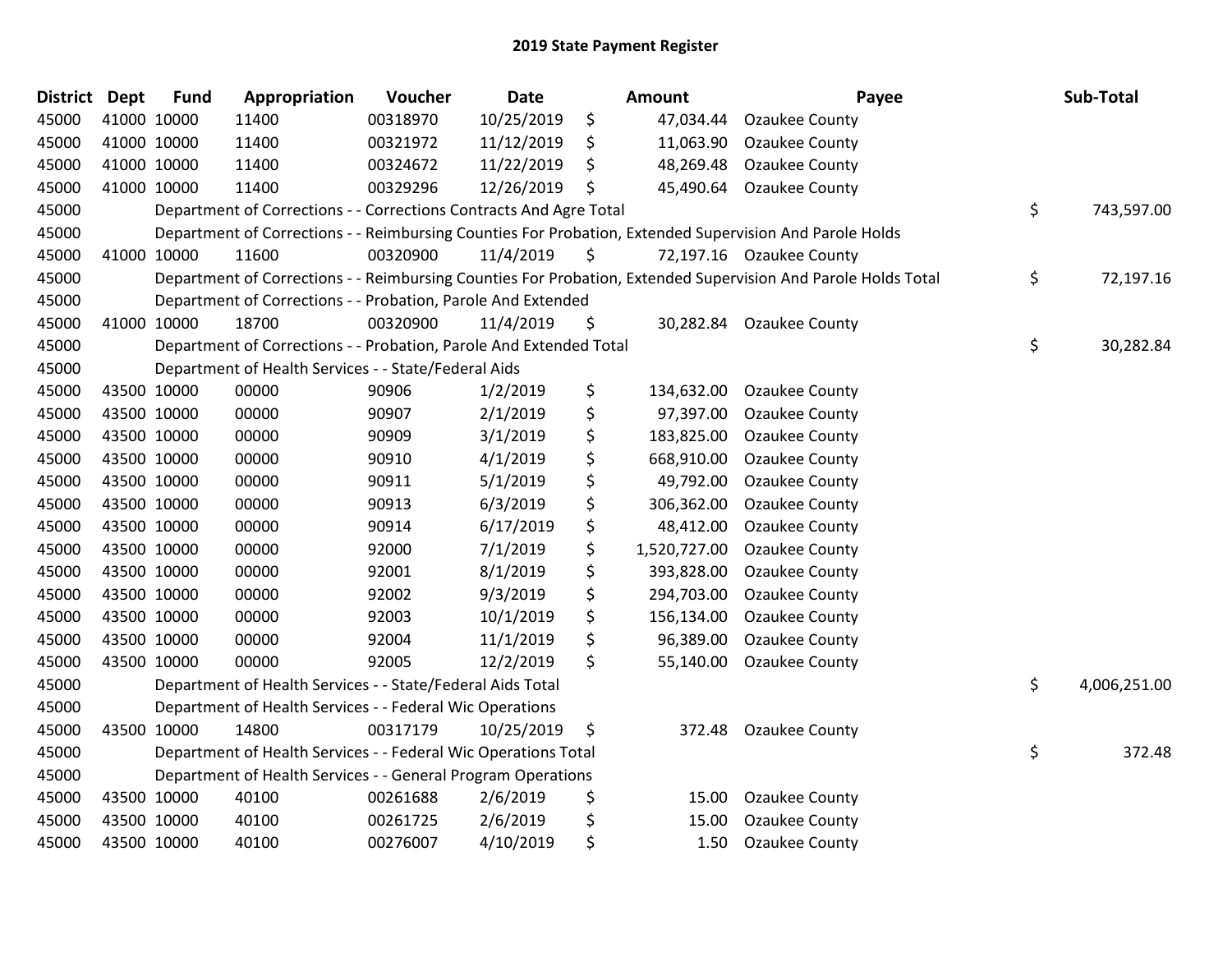| <b>District</b> | <b>Dept</b> | <b>Fund</b> | Appropriation                                                      | Voucher  | <b>Date</b> | <b>Amount</b>      | Payee                                                                                                         | Sub-Total          |
|-----------------|-------------|-------------|--------------------------------------------------------------------|----------|-------------|--------------------|---------------------------------------------------------------------------------------------------------------|--------------------|
| 45000           |             | 41000 10000 | 11400                                                              | 00318970 | 10/25/2019  | \$<br>47,034.44    | <b>Ozaukee County</b>                                                                                         |                    |
| 45000           |             | 41000 10000 | 11400                                                              | 00321972 | 11/12/2019  | \$<br>11,063.90    | Ozaukee County                                                                                                |                    |
| 45000           | 41000 10000 |             | 11400                                                              | 00324672 | 11/22/2019  | \$<br>48,269.48    | <b>Ozaukee County</b>                                                                                         |                    |
| 45000           |             | 41000 10000 | 11400                                                              | 00329296 | 12/26/2019  | \$<br>45,490.64    | <b>Ozaukee County</b>                                                                                         |                    |
| 45000           |             |             | Department of Corrections - - Corrections Contracts And Agre Total |          |             |                    |                                                                                                               | \$<br>743,597.00   |
| 45000           |             |             |                                                                    |          |             |                    | Department of Corrections - - Reimbursing Counties For Probation, Extended Supervision And Parole Holds       |                    |
| 45000           |             | 41000 10000 | 11600                                                              | 00320900 | 11/4/2019   | \$                 | 72,197.16 Ozaukee County                                                                                      |                    |
| 45000           |             |             |                                                                    |          |             |                    | Department of Corrections - - Reimbursing Counties For Probation, Extended Supervision And Parole Holds Total | \$<br>72,197.16    |
| 45000           |             |             | Department of Corrections - - Probation, Parole And Extended       |          |             |                    |                                                                                                               |                    |
| 45000           |             | 41000 10000 | 18700                                                              | 00320900 | 11/4/2019   | \$<br>30,282.84    | <b>Ozaukee County</b>                                                                                         |                    |
| 45000           |             |             | Department of Corrections - - Probation, Parole And Extended Total |          |             |                    |                                                                                                               | \$<br>30,282.84    |
| 45000           |             |             | Department of Health Services - - State/Federal Aids               |          |             |                    |                                                                                                               |                    |
| 45000           |             | 43500 10000 | 00000                                                              | 90906    | 1/2/2019    | \$<br>134,632.00   | Ozaukee County                                                                                                |                    |
| 45000           |             | 43500 10000 | 00000                                                              | 90907    | 2/1/2019    | \$<br>97,397.00    | <b>Ozaukee County</b>                                                                                         |                    |
| 45000           |             | 43500 10000 | 00000                                                              | 90909    | 3/1/2019    | \$<br>183,825.00   | <b>Ozaukee County</b>                                                                                         |                    |
| 45000           |             | 43500 10000 | 00000                                                              | 90910    | 4/1/2019    | \$<br>668,910.00   | Ozaukee County                                                                                                |                    |
| 45000           |             | 43500 10000 | 00000                                                              | 90911    | 5/1/2019    | \$<br>49,792.00    | Ozaukee County                                                                                                |                    |
| 45000           |             | 43500 10000 | 00000                                                              | 90913    | 6/3/2019    | \$<br>306,362.00   | Ozaukee County                                                                                                |                    |
| 45000           |             | 43500 10000 | 00000                                                              | 90914    | 6/17/2019   | \$<br>48,412.00    | Ozaukee County                                                                                                |                    |
| 45000           |             | 43500 10000 | 00000                                                              | 92000    | 7/1/2019    | \$<br>1,520,727.00 | <b>Ozaukee County</b>                                                                                         |                    |
| 45000           |             | 43500 10000 | 00000                                                              | 92001    | 8/1/2019    | \$<br>393,828.00   | Ozaukee County                                                                                                |                    |
| 45000           |             | 43500 10000 | 00000                                                              | 92002    | 9/3/2019    | \$<br>294,703.00   | Ozaukee County                                                                                                |                    |
| 45000           |             | 43500 10000 | 00000                                                              | 92003    | 10/1/2019   | \$<br>156,134.00   | <b>Ozaukee County</b>                                                                                         |                    |
| 45000           |             | 43500 10000 | 00000                                                              | 92004    | 11/1/2019   | \$<br>96,389.00    | Ozaukee County                                                                                                |                    |
| 45000           |             | 43500 10000 | 00000                                                              | 92005    | 12/2/2019   | \$<br>55,140.00    | <b>Ozaukee County</b>                                                                                         |                    |
| 45000           |             |             | Department of Health Services - - State/Federal Aids Total         |          |             |                    |                                                                                                               | \$<br>4,006,251.00 |
| 45000           |             |             | Department of Health Services - - Federal Wic Operations           |          |             |                    |                                                                                                               |                    |
| 45000           |             | 43500 10000 | 14800                                                              | 00317179 | 10/25/2019  | \$<br>372.48       | <b>Ozaukee County</b>                                                                                         |                    |
| 45000           |             |             | Department of Health Services - - Federal Wic Operations Total     |          |             |                    |                                                                                                               | \$<br>372.48       |
| 45000           |             |             | Department of Health Services - - General Program Operations       |          |             |                    |                                                                                                               |                    |
| 45000           |             | 43500 10000 | 40100                                                              | 00261688 | 2/6/2019    | \$<br>15.00        | <b>Ozaukee County</b>                                                                                         |                    |
| 45000           |             | 43500 10000 | 40100                                                              | 00261725 | 2/6/2019    | \$<br>15.00        | Ozaukee County                                                                                                |                    |
| 45000           |             | 43500 10000 | 40100                                                              | 00276007 | 4/10/2019   | \$<br>1.50         | <b>Ozaukee County</b>                                                                                         |                    |
|                 |             |             |                                                                    |          |             |                    |                                                                                                               |                    |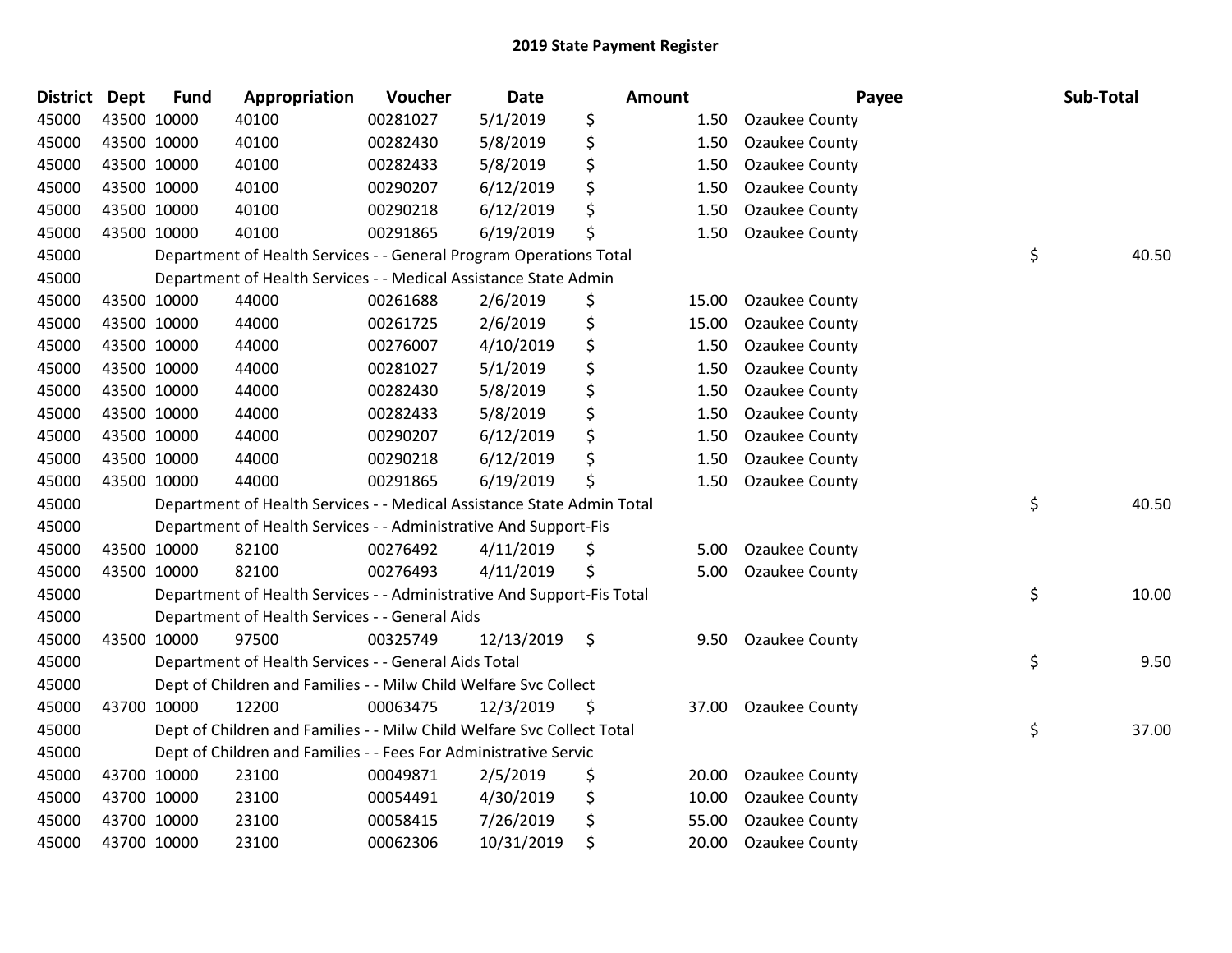| <b>District</b> | <b>Dept</b> | <b>Fund</b> | Appropriation                                                          | Voucher  | <b>Date</b> | Amount |       | Payee                 | Sub-Total   |
|-----------------|-------------|-------------|------------------------------------------------------------------------|----------|-------------|--------|-------|-----------------------|-------------|
| 45000           |             | 43500 10000 | 40100                                                                  | 00281027 | 5/1/2019    | \$     | 1.50  | Ozaukee County        |             |
| 45000           |             | 43500 10000 | 40100                                                                  | 00282430 | 5/8/2019    | \$     | 1.50  | Ozaukee County        |             |
| 45000           |             | 43500 10000 | 40100                                                                  | 00282433 | 5/8/2019    | \$     | 1.50  | Ozaukee County        |             |
| 45000           |             | 43500 10000 | 40100                                                                  | 00290207 | 6/12/2019   | \$     | 1.50  | Ozaukee County        |             |
| 45000           |             | 43500 10000 | 40100                                                                  | 00290218 | 6/12/2019   | \$     | 1.50  | Ozaukee County        |             |
| 45000           |             | 43500 10000 | 40100                                                                  | 00291865 | 6/19/2019   | \$     | 1.50  | Ozaukee County        |             |
| 45000           |             |             | Department of Health Services - - General Program Operations Total     |          |             |        |       |                       | \$<br>40.50 |
| 45000           |             |             | Department of Health Services - - Medical Assistance State Admin       |          |             |        |       |                       |             |
| 45000           |             | 43500 10000 | 44000                                                                  | 00261688 | 2/6/2019    | \$     | 15.00 | Ozaukee County        |             |
| 45000           |             | 43500 10000 | 44000                                                                  | 00261725 | 2/6/2019    | \$     | 15.00 | Ozaukee County        |             |
| 45000           |             | 43500 10000 | 44000                                                                  | 00276007 | 4/10/2019   | \$     | 1.50  | Ozaukee County        |             |
| 45000           |             | 43500 10000 | 44000                                                                  | 00281027 | 5/1/2019    | \$     | 1.50  | Ozaukee County        |             |
| 45000           |             | 43500 10000 | 44000                                                                  | 00282430 | 5/8/2019    | \$     | 1.50  | Ozaukee County        |             |
| 45000           |             | 43500 10000 | 44000                                                                  | 00282433 | 5/8/2019    | \$     | 1.50  | <b>Ozaukee County</b> |             |
| 45000           |             | 43500 10000 | 44000                                                                  | 00290207 | 6/12/2019   | \$     | 1.50  | Ozaukee County        |             |
| 45000           |             | 43500 10000 | 44000                                                                  | 00290218 | 6/12/2019   | \$     | 1.50  | Ozaukee County        |             |
| 45000           |             | 43500 10000 | 44000                                                                  | 00291865 | 6/19/2019   | \$     | 1.50  | Ozaukee County        |             |
| 45000           |             |             | Department of Health Services - - Medical Assistance State Admin Total |          |             |        |       |                       | \$<br>40.50 |
| 45000           |             |             | Department of Health Services - - Administrative And Support-Fis       |          |             |        |       |                       |             |
| 45000           |             | 43500 10000 | 82100                                                                  | 00276492 | 4/11/2019   | \$     | 5.00  | Ozaukee County        |             |
| 45000           |             | 43500 10000 | 82100                                                                  | 00276493 | 4/11/2019   | \$     | 5.00  | Ozaukee County        |             |
| 45000           |             |             | Department of Health Services - - Administrative And Support-Fis Total |          |             |        |       |                       | \$<br>10.00 |
| 45000           |             |             | Department of Health Services - - General Aids                         |          |             |        |       |                       |             |
| 45000           |             | 43500 10000 | 97500                                                                  | 00325749 | 12/13/2019  | \$     | 9.50  | Ozaukee County        |             |
| 45000           |             |             | Department of Health Services - - General Aids Total                   |          |             |        |       |                       | \$<br>9.50  |
| 45000           |             |             | Dept of Children and Families - - Milw Child Welfare Svc Collect       |          |             |        |       |                       |             |
| 45000           |             | 43700 10000 | 12200                                                                  | 00063475 | 12/3/2019   | \$     | 37.00 | <b>Ozaukee County</b> |             |
| 45000           |             |             | Dept of Children and Families - - Milw Child Welfare Svc Collect Total |          |             |        |       |                       | \$<br>37.00 |
| 45000           |             |             | Dept of Children and Families - - Fees For Administrative Servic       |          |             |        |       |                       |             |
| 45000           |             | 43700 10000 | 23100                                                                  | 00049871 | 2/5/2019    | \$     | 20.00 | Ozaukee County        |             |
| 45000           |             | 43700 10000 | 23100                                                                  | 00054491 | 4/30/2019   | \$     | 10.00 | Ozaukee County        |             |
| 45000           |             | 43700 10000 | 23100                                                                  | 00058415 | 7/26/2019   | \$     | 55.00 | Ozaukee County        |             |
| 45000           |             | 43700 10000 | 23100                                                                  | 00062306 | 10/31/2019  | \$     | 20.00 | Ozaukee County        |             |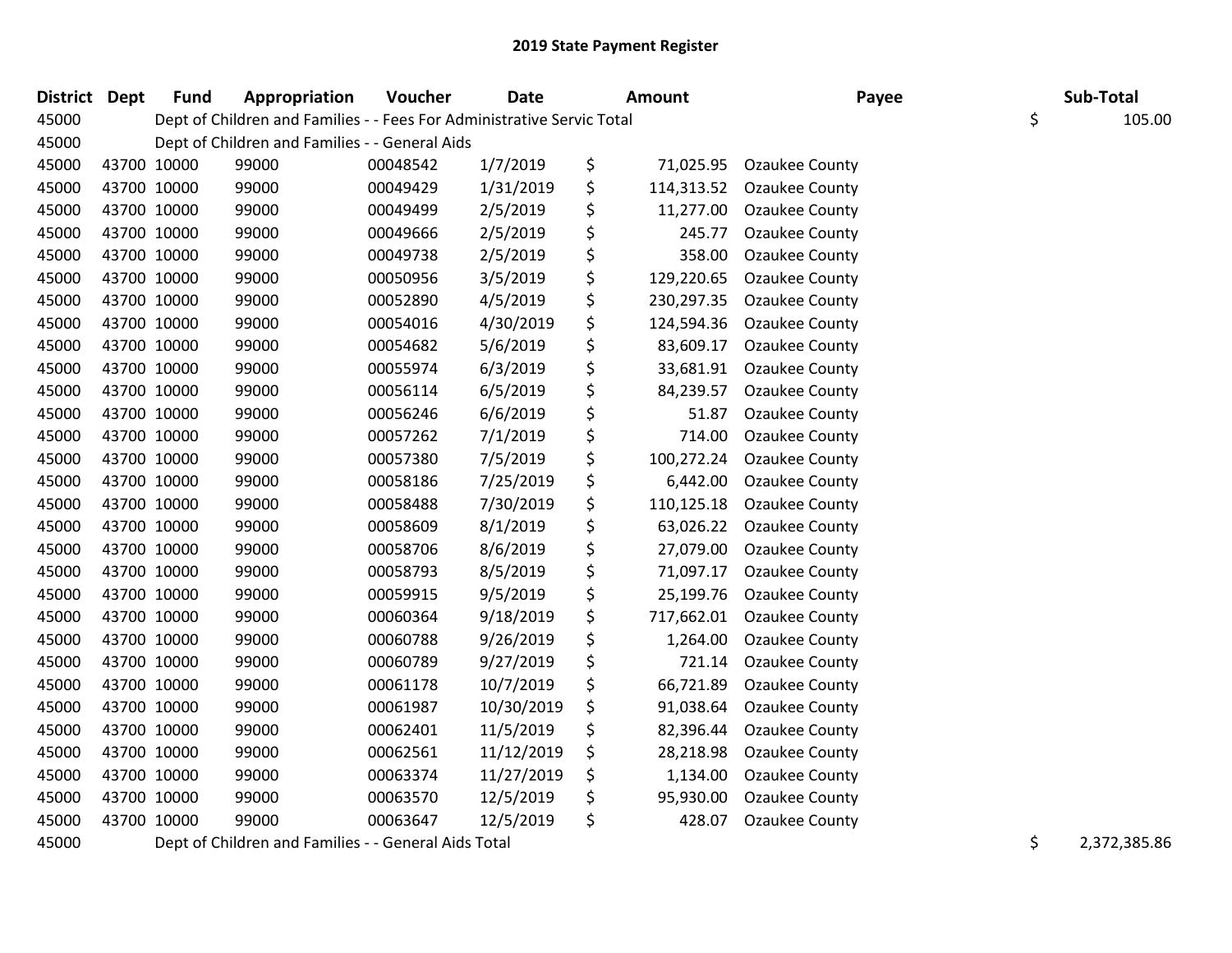| District Dept |             | <b>Fund</b> | Appropriation                                                          | Voucher  | <b>Date</b> |    | <b>Amount</b> | Payee                 | Sub-Total |        |
|---------------|-------------|-------------|------------------------------------------------------------------------|----------|-------------|----|---------------|-----------------------|-----------|--------|
| 45000         |             |             | Dept of Children and Families - - Fees For Administrative Servic Total |          |             |    |               |                       | \$        | 105.00 |
| 45000         |             |             | Dept of Children and Families - - General Aids                         |          |             |    |               |                       |           |        |
| 45000         | 43700 10000 |             | 99000                                                                  | 00048542 | 1/7/2019    | \$ | 71,025.95     | Ozaukee County        |           |        |
| 45000         | 43700 10000 |             | 99000                                                                  | 00049429 | 1/31/2019   | \$ | 114,313.52    | Ozaukee County        |           |        |
| 45000         | 43700 10000 |             | 99000                                                                  | 00049499 | 2/5/2019    | \$ | 11,277.00     | Ozaukee County        |           |        |
| 45000         | 43700 10000 |             | 99000                                                                  | 00049666 | 2/5/2019    | \$ | 245.77        | Ozaukee County        |           |        |
| 45000         | 43700 10000 |             | 99000                                                                  | 00049738 | 2/5/2019    | \$ | 358.00        | Ozaukee County        |           |        |
| 45000         | 43700 10000 |             | 99000                                                                  | 00050956 | 3/5/2019    | \$ | 129,220.65    | Ozaukee County        |           |        |
| 45000         | 43700 10000 |             | 99000                                                                  | 00052890 | 4/5/2019    | \$ | 230,297.35    | Ozaukee County        |           |        |
| 45000         | 43700 10000 |             | 99000                                                                  | 00054016 | 4/30/2019   | \$ | 124,594.36    | <b>Ozaukee County</b> |           |        |
| 45000         | 43700 10000 |             | 99000                                                                  | 00054682 | 5/6/2019    | \$ | 83,609.17     | Ozaukee County        |           |        |
| 45000         | 43700 10000 |             | 99000                                                                  | 00055974 | 6/3/2019    | \$ | 33,681.91     | <b>Ozaukee County</b> |           |        |
| 45000         | 43700 10000 |             | 99000                                                                  | 00056114 | 6/5/2019    | \$ | 84,239.57     | <b>Ozaukee County</b> |           |        |
| 45000         | 43700 10000 |             | 99000                                                                  | 00056246 | 6/6/2019    | \$ | 51.87         | Ozaukee County        |           |        |
| 45000         | 43700 10000 |             | 99000                                                                  | 00057262 | 7/1/2019    | \$ | 714.00        | Ozaukee County        |           |        |
| 45000         | 43700 10000 |             | 99000                                                                  | 00057380 | 7/5/2019    | \$ | 100,272.24    | Ozaukee County        |           |        |
| 45000         | 43700 10000 |             | 99000                                                                  | 00058186 | 7/25/2019   | \$ | 6,442.00      | Ozaukee County        |           |        |
| 45000         | 43700 10000 |             | 99000                                                                  | 00058488 | 7/30/2019   | \$ | 110,125.18    | <b>Ozaukee County</b> |           |        |
| 45000         | 43700 10000 |             | 99000                                                                  | 00058609 | 8/1/2019    | \$ | 63,026.22     | <b>Ozaukee County</b> |           |        |
| 45000         | 43700 10000 |             | 99000                                                                  | 00058706 | 8/6/2019    | \$ | 27,079.00     | Ozaukee County        |           |        |
| 45000         | 43700 10000 |             | 99000                                                                  | 00058793 | 8/5/2019    | \$ | 71,097.17     | Ozaukee County        |           |        |
| 45000         | 43700 10000 |             | 99000                                                                  | 00059915 | 9/5/2019    | \$ | 25,199.76     | Ozaukee County        |           |        |
| 45000         | 43700 10000 |             | 99000                                                                  | 00060364 | 9/18/2019   | \$ | 717,662.01    | <b>Ozaukee County</b> |           |        |
| 45000         | 43700 10000 |             | 99000                                                                  | 00060788 | 9/26/2019   | \$ | 1,264.00      | Ozaukee County        |           |        |
| 45000         | 43700 10000 |             | 99000                                                                  | 00060789 | 9/27/2019   | \$ | 721.14        | Ozaukee County        |           |        |
| 45000         | 43700 10000 |             | 99000                                                                  | 00061178 | 10/7/2019   | \$ | 66,721.89     | Ozaukee County        |           |        |
| 45000         | 43700 10000 |             | 99000                                                                  | 00061987 | 10/30/2019  | \$ | 91,038.64     | <b>Ozaukee County</b> |           |        |
| 45000         | 43700 10000 |             | 99000                                                                  | 00062401 | 11/5/2019   | \$ | 82,396.44     | Ozaukee County        |           |        |
| 45000         | 43700 10000 |             | 99000                                                                  | 00062561 | 11/12/2019  | \$ | 28,218.98     | Ozaukee County        |           |        |
| 45000         | 43700 10000 |             | 99000                                                                  | 00063374 | 11/27/2019  | \$ | 1,134.00      | Ozaukee County        |           |        |
| 45000         | 43700 10000 |             | 99000                                                                  | 00063570 | 12/5/2019   | Ş  | 95,930.00     | Ozaukee County        |           |        |
| 45000         | 43700 10000 |             | 99000                                                                  | 00063647 | 12/5/2019   | \$ | 428.07        | Ozaukee County        |           |        |
|               |             |             |                                                                        |          |             |    |               |                       |           |        |

45000 Dept of Children and Families - - General Aids Total **Night Accord 2018** 1990 12:372,385.86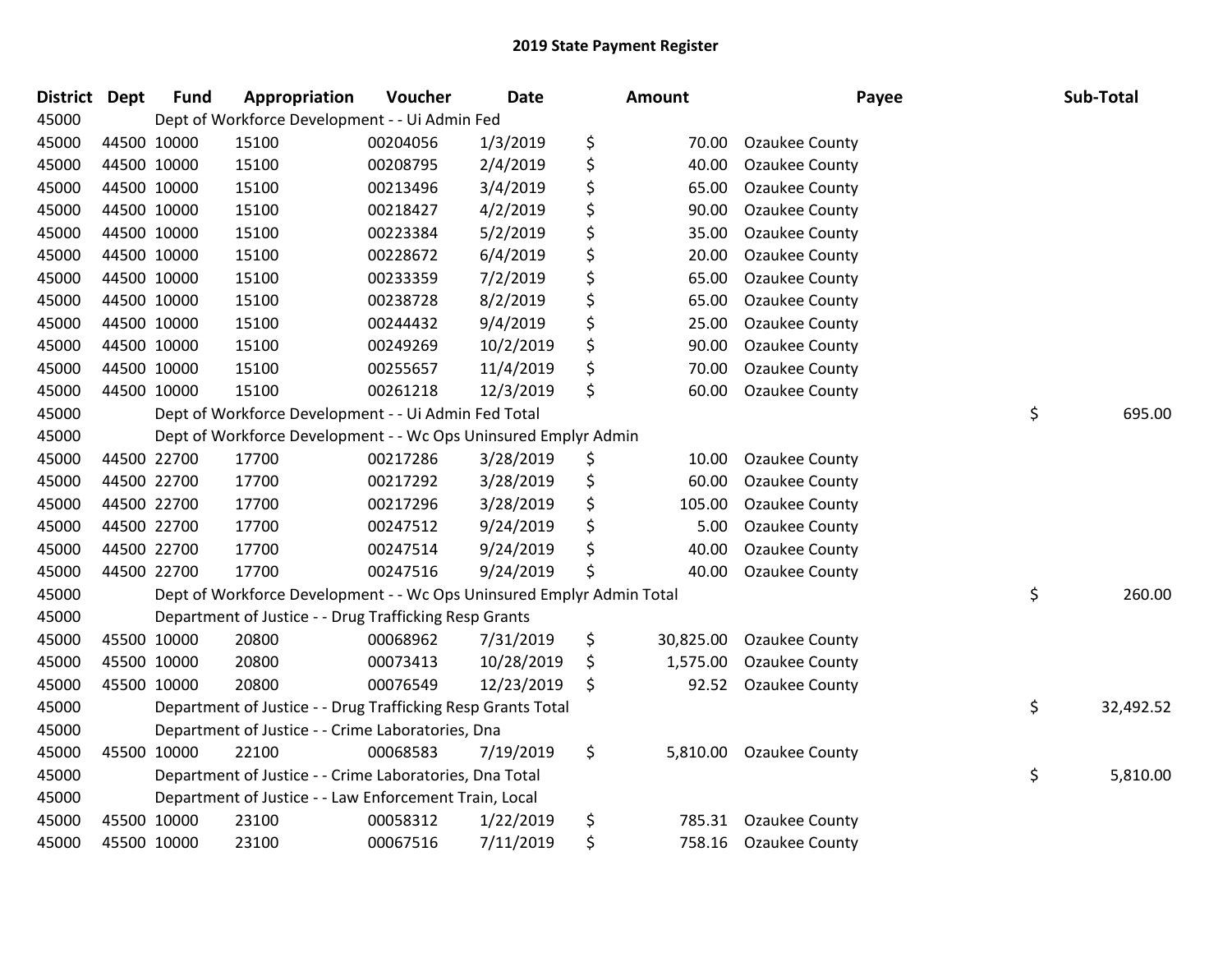| <b>District</b> | <b>Dept</b> | <b>Fund</b> | Appropriation                                                         | Voucher  | <b>Date</b> | <b>Amount</b>   | Payee                 | Sub-Total       |
|-----------------|-------------|-------------|-----------------------------------------------------------------------|----------|-------------|-----------------|-----------------------|-----------------|
| 45000           |             |             | Dept of Workforce Development - - Ui Admin Fed                        |          |             |                 |                       |                 |
| 45000           |             | 44500 10000 | 15100                                                                 | 00204056 | 1/3/2019    | \$<br>70.00     | <b>Ozaukee County</b> |                 |
| 45000           |             | 44500 10000 | 15100                                                                 | 00208795 | 2/4/2019    | \$<br>40.00     | Ozaukee County        |                 |
| 45000           | 44500 10000 |             | 15100                                                                 | 00213496 | 3/4/2019    | \$<br>65.00     | Ozaukee County        |                 |
| 45000           |             | 44500 10000 | 15100                                                                 | 00218427 | 4/2/2019    | \$<br>90.00     | Ozaukee County        |                 |
| 45000           |             | 44500 10000 | 15100                                                                 | 00223384 | 5/2/2019    | \$<br>35.00     | Ozaukee County        |                 |
| 45000           |             | 44500 10000 | 15100                                                                 | 00228672 | 6/4/2019    | \$<br>20.00     | <b>Ozaukee County</b> |                 |
| 45000           |             | 44500 10000 | 15100                                                                 | 00233359 | 7/2/2019    | \$<br>65.00     | Ozaukee County        |                 |
| 45000           |             | 44500 10000 | 15100                                                                 | 00238728 | 8/2/2019    | \$<br>65.00     | Ozaukee County        |                 |
| 45000           |             | 44500 10000 | 15100                                                                 | 00244432 | 9/4/2019    | \$<br>25.00     | Ozaukee County        |                 |
| 45000           |             | 44500 10000 | 15100                                                                 | 00249269 | 10/2/2019   | \$<br>90.00     | Ozaukee County        |                 |
| 45000           | 44500 10000 |             | 15100                                                                 | 00255657 | 11/4/2019   | \$<br>70.00     | Ozaukee County        |                 |
| 45000           | 44500 10000 |             | 15100                                                                 | 00261218 | 12/3/2019   | \$<br>60.00     | <b>Ozaukee County</b> |                 |
| 45000           |             |             | Dept of Workforce Development - - Ui Admin Fed Total                  |          |             |                 |                       | \$<br>695.00    |
| 45000           |             |             | Dept of Workforce Development - - Wc Ops Uninsured Emplyr Admin       |          |             |                 |                       |                 |
| 45000           |             | 44500 22700 | 17700                                                                 | 00217286 | 3/28/2019   | \$<br>10.00     | Ozaukee County        |                 |
| 45000           |             | 44500 22700 | 17700                                                                 | 00217292 | 3/28/2019   | \$<br>60.00     | Ozaukee County        |                 |
| 45000           |             | 44500 22700 | 17700                                                                 | 00217296 | 3/28/2019   | \$<br>105.00    | <b>Ozaukee County</b> |                 |
| 45000           |             | 44500 22700 | 17700                                                                 | 00247512 | 9/24/2019   | \$<br>5.00      | Ozaukee County        |                 |
| 45000           |             | 44500 22700 | 17700                                                                 | 00247514 | 9/24/2019   | \$<br>40.00     | Ozaukee County        |                 |
| 45000           |             | 44500 22700 | 17700                                                                 | 00247516 | 9/24/2019   | \$<br>40.00     | <b>Ozaukee County</b> |                 |
| 45000           |             |             | Dept of Workforce Development - - Wc Ops Uninsured Emplyr Admin Total |          |             |                 |                       | \$<br>260.00    |
| 45000           |             |             | Department of Justice - - Drug Trafficking Resp Grants                |          |             |                 |                       |                 |
| 45000           |             | 45500 10000 | 20800                                                                 | 00068962 | 7/31/2019   | \$<br>30,825.00 | Ozaukee County        |                 |
| 45000           |             | 45500 10000 | 20800                                                                 | 00073413 | 10/28/2019  | \$<br>1,575.00  | Ozaukee County        |                 |
| 45000           |             | 45500 10000 | 20800                                                                 | 00076549 | 12/23/2019  | \$<br>92.52     | Ozaukee County        |                 |
| 45000           |             |             | Department of Justice - - Drug Trafficking Resp Grants Total          |          |             |                 |                       | \$<br>32,492.52 |
| 45000           |             |             | Department of Justice - - Crime Laboratories, Dna                     |          |             |                 |                       |                 |
| 45000           |             | 45500 10000 | 22100                                                                 | 00068583 | 7/19/2019   | \$<br>5,810.00  | <b>Ozaukee County</b> |                 |
| 45000           |             |             | Department of Justice - - Crime Laboratories, Dna Total               |          |             |                 |                       | \$<br>5,810.00  |
| 45000           |             |             | Department of Justice - - Law Enforcement Train, Local                |          |             |                 |                       |                 |
| 45000           |             | 45500 10000 | 23100                                                                 | 00058312 | 1/22/2019   | \$<br>785.31    | Ozaukee County        |                 |
| 45000           |             | 45500 10000 | 23100                                                                 | 00067516 | 7/11/2019   | \$<br>758.16    | <b>Ozaukee County</b> |                 |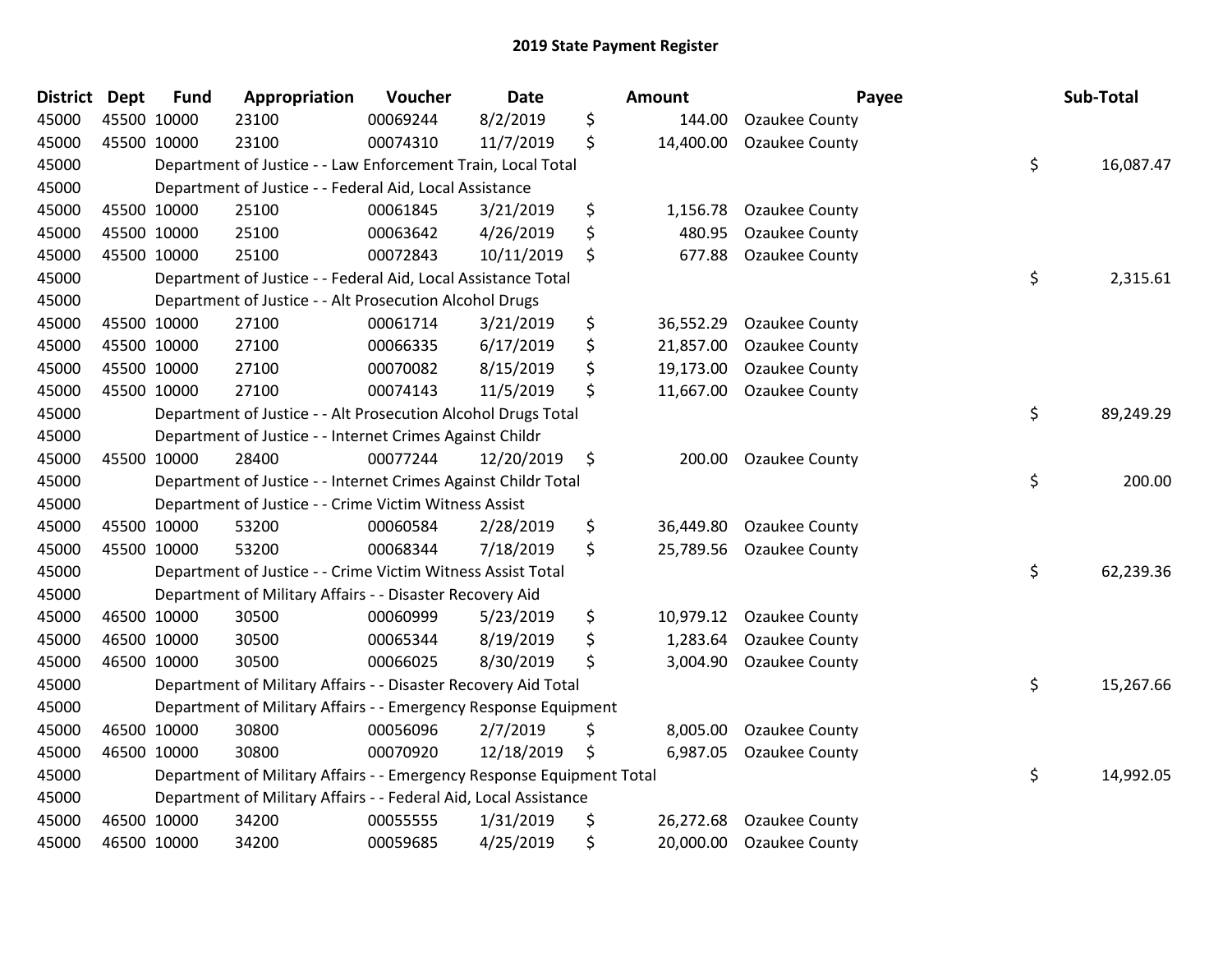| <b>District Dept</b> | <b>Fund</b> | Appropriation                                                         | Voucher  | <b>Date</b> | <b>Amount</b>   | Payee                 | Sub-Total       |
|----------------------|-------------|-----------------------------------------------------------------------|----------|-------------|-----------------|-----------------------|-----------------|
| 45000                | 45500 10000 | 23100                                                                 | 00069244 | 8/2/2019    | \$<br>144.00    | Ozaukee County        |                 |
| 45000                | 45500 10000 | 23100                                                                 | 00074310 | 11/7/2019   | \$<br>14,400.00 | <b>Ozaukee County</b> |                 |
| 45000                |             | Department of Justice - - Law Enforcement Train, Local Total          |          |             |                 |                       | \$<br>16,087.47 |
| 45000                |             | Department of Justice - - Federal Aid, Local Assistance               |          |             |                 |                       |                 |
| 45000                | 45500 10000 | 25100                                                                 | 00061845 | 3/21/2019   | \$<br>1,156.78  | Ozaukee County        |                 |
| 45000                | 45500 10000 | 25100                                                                 | 00063642 | 4/26/2019   | \$<br>480.95    | Ozaukee County        |                 |
| 45000                | 45500 10000 | 25100                                                                 | 00072843 | 10/11/2019  | \$<br>677.88    | Ozaukee County        |                 |
| 45000                |             | Department of Justice - - Federal Aid, Local Assistance Total         |          |             |                 |                       | \$<br>2,315.61  |
| 45000                |             | Department of Justice - - Alt Prosecution Alcohol Drugs               |          |             |                 |                       |                 |
| 45000                | 45500 10000 | 27100                                                                 | 00061714 | 3/21/2019   | \$<br>36,552.29 | <b>Ozaukee County</b> |                 |
| 45000                | 45500 10000 | 27100                                                                 | 00066335 | 6/17/2019   | \$<br>21,857.00 | Ozaukee County        |                 |
| 45000                | 45500 10000 | 27100                                                                 | 00070082 | 8/15/2019   | \$<br>19,173.00 | Ozaukee County        |                 |
| 45000                | 45500 10000 | 27100                                                                 | 00074143 | 11/5/2019   | \$<br>11,667.00 | Ozaukee County        |                 |
| 45000                |             | Department of Justice - - Alt Prosecution Alcohol Drugs Total         |          |             |                 |                       | \$<br>89,249.29 |
| 45000                |             | Department of Justice - - Internet Crimes Against Childr              |          |             |                 |                       |                 |
| 45000                | 45500 10000 | 28400                                                                 | 00077244 | 12/20/2019  | \$<br>200.00    | Ozaukee County        |                 |
| 45000                |             | Department of Justice - - Internet Crimes Against Childr Total        |          |             |                 |                       | \$<br>200.00    |
| 45000                |             | Department of Justice - - Crime Victim Witness Assist                 |          |             |                 |                       |                 |
| 45000                | 45500 10000 | 53200                                                                 | 00060584 | 2/28/2019   | \$<br>36,449.80 | Ozaukee County        |                 |
| 45000                | 45500 10000 | 53200                                                                 | 00068344 | 7/18/2019   | \$<br>25,789.56 | <b>Ozaukee County</b> |                 |
| 45000                |             | Department of Justice - - Crime Victim Witness Assist Total           |          |             |                 |                       | \$<br>62,239.36 |
| 45000                |             | Department of Military Affairs - - Disaster Recovery Aid              |          |             |                 |                       |                 |
| 45000                | 46500 10000 | 30500                                                                 | 00060999 | 5/23/2019   | \$<br>10,979.12 | <b>Ozaukee County</b> |                 |
| 45000                | 46500 10000 | 30500                                                                 | 00065344 | 8/19/2019   | \$<br>1,283.64  | Ozaukee County        |                 |
| 45000                | 46500 10000 | 30500                                                                 | 00066025 | 8/30/2019   | \$<br>3,004.90  | Ozaukee County        |                 |
| 45000                |             | Department of Military Affairs - - Disaster Recovery Aid Total        |          |             |                 |                       | \$<br>15,267.66 |
| 45000                |             | Department of Military Affairs - - Emergency Response Equipment       |          |             |                 |                       |                 |
| 45000                | 46500 10000 | 30800                                                                 | 00056096 | 2/7/2019    | \$<br>8,005.00  | <b>Ozaukee County</b> |                 |
| 45000                | 46500 10000 | 30800                                                                 | 00070920 | 12/18/2019  | \$<br>6,987.05  | Ozaukee County        |                 |
| 45000                |             | Department of Military Affairs - - Emergency Response Equipment Total |          |             |                 |                       | \$<br>14,992.05 |
| 45000                |             | Department of Military Affairs - - Federal Aid, Local Assistance      |          |             |                 |                       |                 |
| 45000                | 46500 10000 | 34200                                                                 | 00055555 | 1/31/2019   | \$<br>26,272.68 | <b>Ozaukee County</b> |                 |
| 45000                | 46500 10000 | 34200                                                                 | 00059685 | 4/25/2019   | \$<br>20,000.00 | <b>Ozaukee County</b> |                 |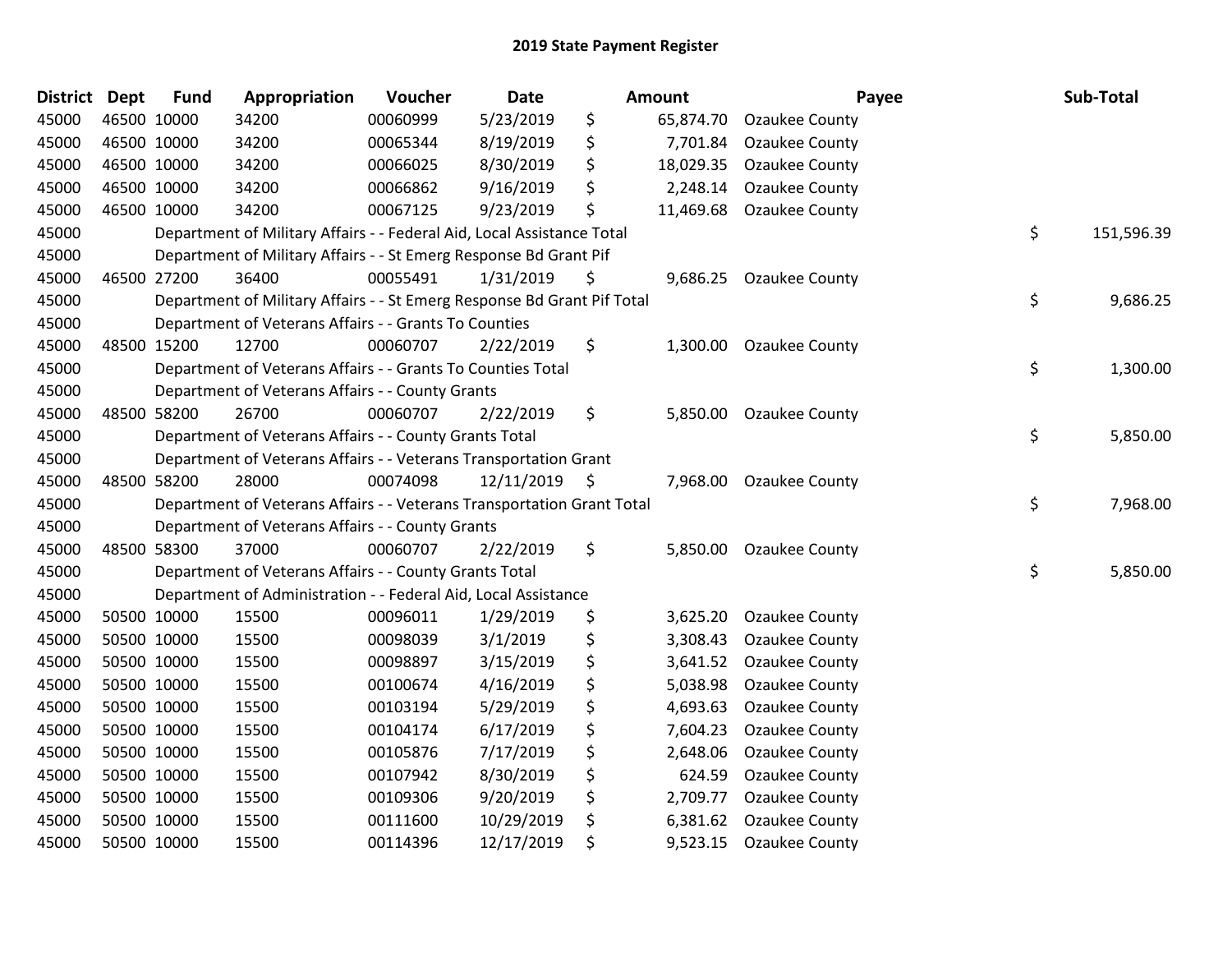| <b>District</b> | <b>Dept</b> | <b>Fund</b> | Appropriation                                                           | Voucher  | <b>Date</b> | <b>Amount</b>   | Payee                 | Sub-Total        |
|-----------------|-------------|-------------|-------------------------------------------------------------------------|----------|-------------|-----------------|-----------------------|------------------|
| 45000           |             | 46500 10000 | 34200                                                                   | 00060999 | 5/23/2019   | \$<br>65,874.70 | Ozaukee County        |                  |
| 45000           | 46500 10000 |             | 34200                                                                   | 00065344 | 8/19/2019   | \$<br>7,701.84  | Ozaukee County        |                  |
| 45000           | 46500 10000 |             | 34200                                                                   | 00066025 | 8/30/2019   | \$<br>18,029.35 | <b>Ozaukee County</b> |                  |
| 45000           | 46500 10000 |             | 34200                                                                   | 00066862 | 9/16/2019   | \$<br>2,248.14  | Ozaukee County        |                  |
| 45000           | 46500 10000 |             | 34200                                                                   | 00067125 | 9/23/2019   | \$<br>11,469.68 | Ozaukee County        |                  |
| 45000           |             |             | Department of Military Affairs - - Federal Aid, Local Assistance Total  |          |             |                 |                       | \$<br>151,596.39 |
| 45000           |             |             | Department of Military Affairs - - St Emerg Response Bd Grant Pif       |          |             |                 |                       |                  |
| 45000           | 46500 27200 |             | 36400                                                                   | 00055491 | 1/31/2019   | \$<br>9,686.25  | <b>Ozaukee County</b> |                  |
| 45000           |             |             | Department of Military Affairs - - St Emerg Response Bd Grant Pif Total |          |             |                 |                       | \$<br>9,686.25   |
| 45000           |             |             | Department of Veterans Affairs - - Grants To Counties                   |          |             |                 |                       |                  |
| 45000           |             | 48500 15200 | 12700                                                                   | 00060707 | 2/22/2019   | \$<br>1,300.00  | Ozaukee County        |                  |
| 45000           |             |             | Department of Veterans Affairs - - Grants To Counties Total             |          |             |                 |                       | \$<br>1,300.00   |
| 45000           |             |             | Department of Veterans Affairs - - County Grants                        |          |             |                 |                       |                  |
| 45000           |             | 48500 58200 | 26700                                                                   | 00060707 | 2/22/2019   | \$<br>5,850.00  | Ozaukee County        |                  |
| 45000           |             |             | Department of Veterans Affairs - - County Grants Total                  |          |             |                 |                       | \$<br>5,850.00   |
| 45000           |             |             | Department of Veterans Affairs - - Veterans Transportation Grant        |          |             |                 |                       |                  |
| 45000           |             | 48500 58200 | 28000                                                                   | 00074098 | 12/11/2019  | \$<br>7,968.00  | <b>Ozaukee County</b> |                  |
| 45000           |             |             | Department of Veterans Affairs - - Veterans Transportation Grant Total  |          |             |                 |                       | \$<br>7,968.00   |
| 45000           |             |             | Department of Veterans Affairs - - County Grants                        |          |             |                 |                       |                  |
| 45000           | 48500 58300 |             | 37000                                                                   | 00060707 | 2/22/2019   | \$<br>5,850.00  | <b>Ozaukee County</b> |                  |
| 45000           |             |             | Department of Veterans Affairs - - County Grants Total                  |          |             |                 |                       | \$<br>5,850.00   |
| 45000           |             |             | Department of Administration - - Federal Aid, Local Assistance          |          |             |                 |                       |                  |
| 45000           |             | 50500 10000 | 15500                                                                   | 00096011 | 1/29/2019   | \$<br>3,625.20  | <b>Ozaukee County</b> |                  |
| 45000           | 50500 10000 |             | 15500                                                                   | 00098039 | 3/1/2019    | \$<br>3,308.43  | Ozaukee County        |                  |
| 45000           | 50500 10000 |             | 15500                                                                   | 00098897 | 3/15/2019   | \$<br>3,641.52  | Ozaukee County        |                  |
| 45000           |             | 50500 10000 | 15500                                                                   | 00100674 | 4/16/2019   | \$<br>5,038.98  | Ozaukee County        |                  |
| 45000           |             | 50500 10000 | 15500                                                                   | 00103194 | 5/29/2019   | \$<br>4,693.63  | Ozaukee County        |                  |
| 45000           |             | 50500 10000 | 15500                                                                   | 00104174 | 6/17/2019   | \$<br>7,604.23  | <b>Ozaukee County</b> |                  |
| 45000           | 50500 10000 |             | 15500                                                                   | 00105876 | 7/17/2019   | \$<br>2,648.06  | Ozaukee County        |                  |
| 45000           |             | 50500 10000 | 15500                                                                   | 00107942 | 8/30/2019   | \$<br>624.59    | <b>Ozaukee County</b> |                  |
| 45000           |             | 50500 10000 | 15500                                                                   | 00109306 | 9/20/2019   | \$<br>2,709.77  | Ozaukee County        |                  |
| 45000           |             | 50500 10000 | 15500                                                                   | 00111600 | 10/29/2019  | \$<br>6,381.62  | Ozaukee County        |                  |
| 45000           |             | 50500 10000 | 15500                                                                   | 00114396 | 12/17/2019  | \$<br>9,523.15  | Ozaukee County        |                  |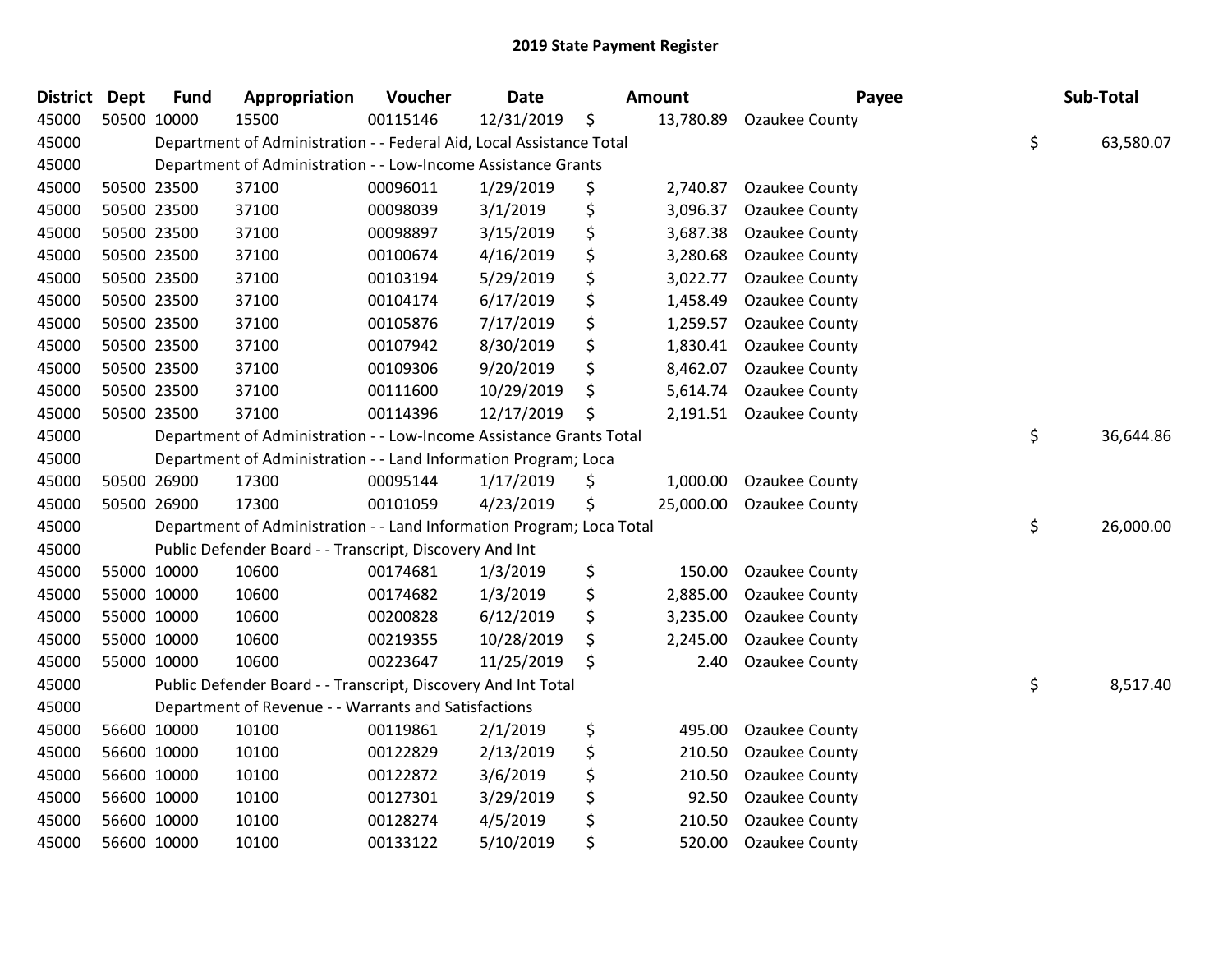| <b>District</b> | <b>Dept</b> | <b>Fund</b> | Appropriation                                                         | Voucher  | <b>Date</b> | Amount          | Payee                 | Sub-Total       |
|-----------------|-------------|-------------|-----------------------------------------------------------------------|----------|-------------|-----------------|-----------------------|-----------------|
| 45000           |             | 50500 10000 | 15500                                                                 | 00115146 | 12/31/2019  | \$<br>13,780.89 | Ozaukee County        |                 |
| 45000           |             |             | Department of Administration - - Federal Aid, Local Assistance Total  |          |             |                 |                       | \$<br>63,580.07 |
| 45000           |             |             | Department of Administration - - Low-Income Assistance Grants         |          |             |                 |                       |                 |
| 45000           |             | 50500 23500 | 37100                                                                 | 00096011 | 1/29/2019   | \$<br>2,740.87  | <b>Ozaukee County</b> |                 |
| 45000           |             | 50500 23500 | 37100                                                                 | 00098039 | 3/1/2019    | \$<br>3,096.37  | Ozaukee County        |                 |
| 45000           |             | 50500 23500 | 37100                                                                 | 00098897 | 3/15/2019   | \$<br>3,687.38  | Ozaukee County        |                 |
| 45000           |             | 50500 23500 | 37100                                                                 | 00100674 | 4/16/2019   | \$<br>3,280.68  | Ozaukee County        |                 |
| 45000           |             | 50500 23500 | 37100                                                                 | 00103194 | 5/29/2019   | \$<br>3,022.77  | Ozaukee County        |                 |
| 45000           |             | 50500 23500 | 37100                                                                 | 00104174 | 6/17/2019   | \$<br>1,458.49  | <b>Ozaukee County</b> |                 |
| 45000           |             | 50500 23500 | 37100                                                                 | 00105876 | 7/17/2019   | \$<br>1,259.57  | <b>Ozaukee County</b> |                 |
| 45000           |             | 50500 23500 | 37100                                                                 | 00107942 | 8/30/2019   | \$<br>1,830.41  | Ozaukee County        |                 |
| 45000           |             | 50500 23500 | 37100                                                                 | 00109306 | 9/20/2019   | \$<br>8,462.07  | Ozaukee County        |                 |
| 45000           |             | 50500 23500 | 37100                                                                 | 00111600 | 10/29/2019  | \$<br>5,614.74  | Ozaukee County        |                 |
| 45000           |             | 50500 23500 | 37100                                                                 | 00114396 | 12/17/2019  | \$<br>2,191.51  | <b>Ozaukee County</b> |                 |
| 45000           |             |             | Department of Administration - - Low-Income Assistance Grants Total   |          |             |                 |                       | \$<br>36,644.86 |
| 45000           |             |             | Department of Administration - - Land Information Program; Loca       |          |             |                 |                       |                 |
| 45000           |             | 50500 26900 | 17300                                                                 | 00095144 | 1/17/2019   | \$<br>1,000.00  | Ozaukee County        |                 |
| 45000           |             | 50500 26900 | 17300                                                                 | 00101059 | 4/23/2019   | \$<br>25,000.00 | <b>Ozaukee County</b> |                 |
| 45000           |             |             | Department of Administration - - Land Information Program; Loca Total |          |             |                 |                       | \$<br>26,000.00 |
| 45000           |             |             | Public Defender Board - - Transcript, Discovery And Int               |          |             |                 |                       |                 |
| 45000           |             | 55000 10000 | 10600                                                                 | 00174681 | 1/3/2019    | \$<br>150.00    | Ozaukee County        |                 |
| 45000           |             | 55000 10000 | 10600                                                                 | 00174682 | 1/3/2019    | \$<br>2,885.00  | Ozaukee County        |                 |
| 45000           |             | 55000 10000 | 10600                                                                 | 00200828 | 6/12/2019   | \$<br>3,235.00  | Ozaukee County        |                 |
| 45000           |             | 55000 10000 | 10600                                                                 | 00219355 | 10/28/2019  | \$<br>2,245.00  | Ozaukee County        |                 |
| 45000           |             | 55000 10000 | 10600                                                                 | 00223647 | 11/25/2019  | \$<br>2.40      | Ozaukee County        |                 |
| 45000           |             |             | Public Defender Board - - Transcript, Discovery And Int Total         |          |             |                 |                       | \$<br>8,517.40  |
| 45000           |             |             | Department of Revenue - - Warrants and Satisfactions                  |          |             |                 |                       |                 |
| 45000           |             | 56600 10000 | 10100                                                                 | 00119861 | 2/1/2019    | \$<br>495.00    | Ozaukee County        |                 |
| 45000           |             | 56600 10000 | 10100                                                                 | 00122829 | 2/13/2019   | \$<br>210.50    | Ozaukee County        |                 |
| 45000           |             | 56600 10000 | 10100                                                                 | 00122872 | 3/6/2019    | \$<br>210.50    | <b>Ozaukee County</b> |                 |
| 45000           |             | 56600 10000 | 10100                                                                 | 00127301 | 3/29/2019   | \$<br>92.50     | <b>Ozaukee County</b> |                 |
| 45000           |             | 56600 10000 | 10100                                                                 | 00128274 | 4/5/2019    | \$<br>210.50    | Ozaukee County        |                 |
| 45000           |             | 56600 10000 | 10100                                                                 | 00133122 | 5/10/2019   | \$<br>520.00    | Ozaukee County        |                 |
|                 |             |             |                                                                       |          |             |                 |                       |                 |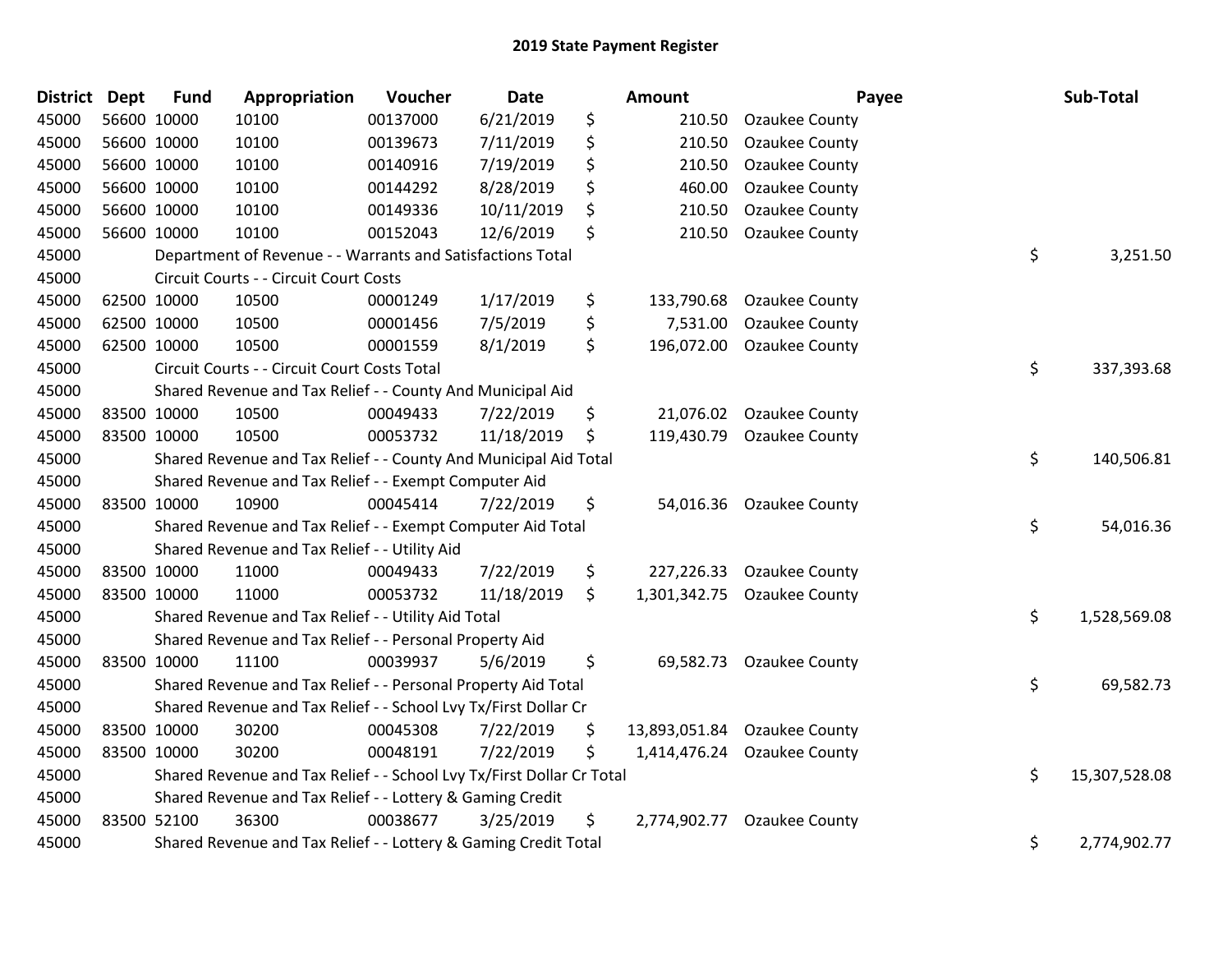| <b>District</b> | <b>Dept</b> | <b>Fund</b> | Appropriation                                                         | Voucher  | Date       | <b>Amount</b>       |                          | Payee | Sub-Total     |
|-----------------|-------------|-------------|-----------------------------------------------------------------------|----------|------------|---------------------|--------------------------|-------|---------------|
| 45000           |             | 56600 10000 | 10100                                                                 | 00137000 | 6/21/2019  | \$<br>210.50        | <b>Ozaukee County</b>    |       |               |
| 45000           |             | 56600 10000 | 10100                                                                 | 00139673 | 7/11/2019  | \$<br>210.50        | <b>Ozaukee County</b>    |       |               |
| 45000           |             | 56600 10000 | 10100                                                                 | 00140916 | 7/19/2019  | \$<br>210.50        | <b>Ozaukee County</b>    |       |               |
| 45000           |             | 56600 10000 | 10100                                                                 | 00144292 | 8/28/2019  | \$<br>460.00        | Ozaukee County           |       |               |
| 45000           |             | 56600 10000 | 10100                                                                 | 00149336 | 10/11/2019 | \$<br>210.50        | <b>Ozaukee County</b>    |       |               |
| 45000           |             | 56600 10000 | 10100                                                                 | 00152043 | 12/6/2019  | \$<br>210.50        | Ozaukee County           |       |               |
| 45000           |             |             | Department of Revenue - - Warrants and Satisfactions Total            |          |            |                     |                          | \$    | 3,251.50      |
| 45000           |             |             | Circuit Courts - - Circuit Court Costs                                |          |            |                     |                          |       |               |
| 45000           |             | 62500 10000 | 10500                                                                 | 00001249 | 1/17/2019  | \$<br>133,790.68    | <b>Ozaukee County</b>    |       |               |
| 45000           |             | 62500 10000 | 10500                                                                 | 00001456 | 7/5/2019   | \$<br>7,531.00      | Ozaukee County           |       |               |
| 45000           |             | 62500 10000 | 10500                                                                 | 00001559 | 8/1/2019   | \$<br>196,072.00    | <b>Ozaukee County</b>    |       |               |
| 45000           |             |             | Circuit Courts - - Circuit Court Costs Total                          |          |            |                     |                          | \$    | 337,393.68    |
| 45000           |             |             | Shared Revenue and Tax Relief - - County And Municipal Aid            |          |            |                     |                          |       |               |
| 45000           |             | 83500 10000 | 10500                                                                 | 00049433 | 7/22/2019  | \$                  | 21,076.02 Ozaukee County |       |               |
| 45000           |             | 83500 10000 | 10500                                                                 | 00053732 | 11/18/2019 | \$<br>119,430.79    | <b>Ozaukee County</b>    |       |               |
| 45000           |             |             | Shared Revenue and Tax Relief - - County And Municipal Aid Total      |          |            |                     |                          | \$    | 140,506.81    |
| 45000           |             |             | Shared Revenue and Tax Relief - - Exempt Computer Aid                 |          |            |                     |                          |       |               |
| 45000           |             | 83500 10000 | 10900                                                                 | 00045414 | 7/22/2019  | \$<br>54,016.36     | Ozaukee County           |       |               |
| 45000           |             |             | Shared Revenue and Tax Relief - - Exempt Computer Aid Total           |          |            |                     |                          | \$    | 54,016.36     |
| 45000           |             |             | Shared Revenue and Tax Relief - - Utility Aid                         |          |            |                     |                          |       |               |
| 45000           |             | 83500 10000 | 11000                                                                 | 00049433 | 7/22/2019  | \$<br>227,226.33    | <b>Ozaukee County</b>    |       |               |
| 45000           |             | 83500 10000 | 11000                                                                 | 00053732 | 11/18/2019 | \$<br>1,301,342.75  | Ozaukee County           |       |               |
| 45000           |             |             | Shared Revenue and Tax Relief - - Utility Aid Total                   |          |            |                     |                          | \$    | 1,528,569.08  |
| 45000           |             |             | Shared Revenue and Tax Relief - - Personal Property Aid               |          |            |                     |                          |       |               |
| 45000           |             | 83500 10000 | 11100                                                                 | 00039937 | 5/6/2019   | \$<br>69,582.73     | <b>Ozaukee County</b>    |       |               |
| 45000           |             |             | Shared Revenue and Tax Relief - - Personal Property Aid Total         |          |            |                     |                          | \$    | 69,582.73     |
| 45000           |             |             | Shared Revenue and Tax Relief - - School Lvy Tx/First Dollar Cr       |          |            |                     |                          |       |               |
| 45000           |             | 83500 10000 | 30200                                                                 | 00045308 | 7/22/2019  | \$<br>13,893,051.84 | <b>Ozaukee County</b>    |       |               |
| 45000           |             | 83500 10000 | 30200                                                                 | 00048191 | 7/22/2019  | \$<br>1,414,476.24  | <b>Ozaukee County</b>    |       |               |
| 45000           |             |             | Shared Revenue and Tax Relief - - School Lvy Tx/First Dollar Cr Total |          |            |                     |                          | \$    | 15,307,528.08 |
| 45000           |             |             | Shared Revenue and Tax Relief - - Lottery & Gaming Credit             |          |            |                     |                          |       |               |
| 45000           |             | 83500 52100 | 36300                                                                 | 00038677 | 3/25/2019  | \$<br>2,774,902.77  | Ozaukee County           |       |               |
| 45000           |             |             | Shared Revenue and Tax Relief - - Lottery & Gaming Credit Total       |          |            |                     |                          | \$    | 2,774,902.77  |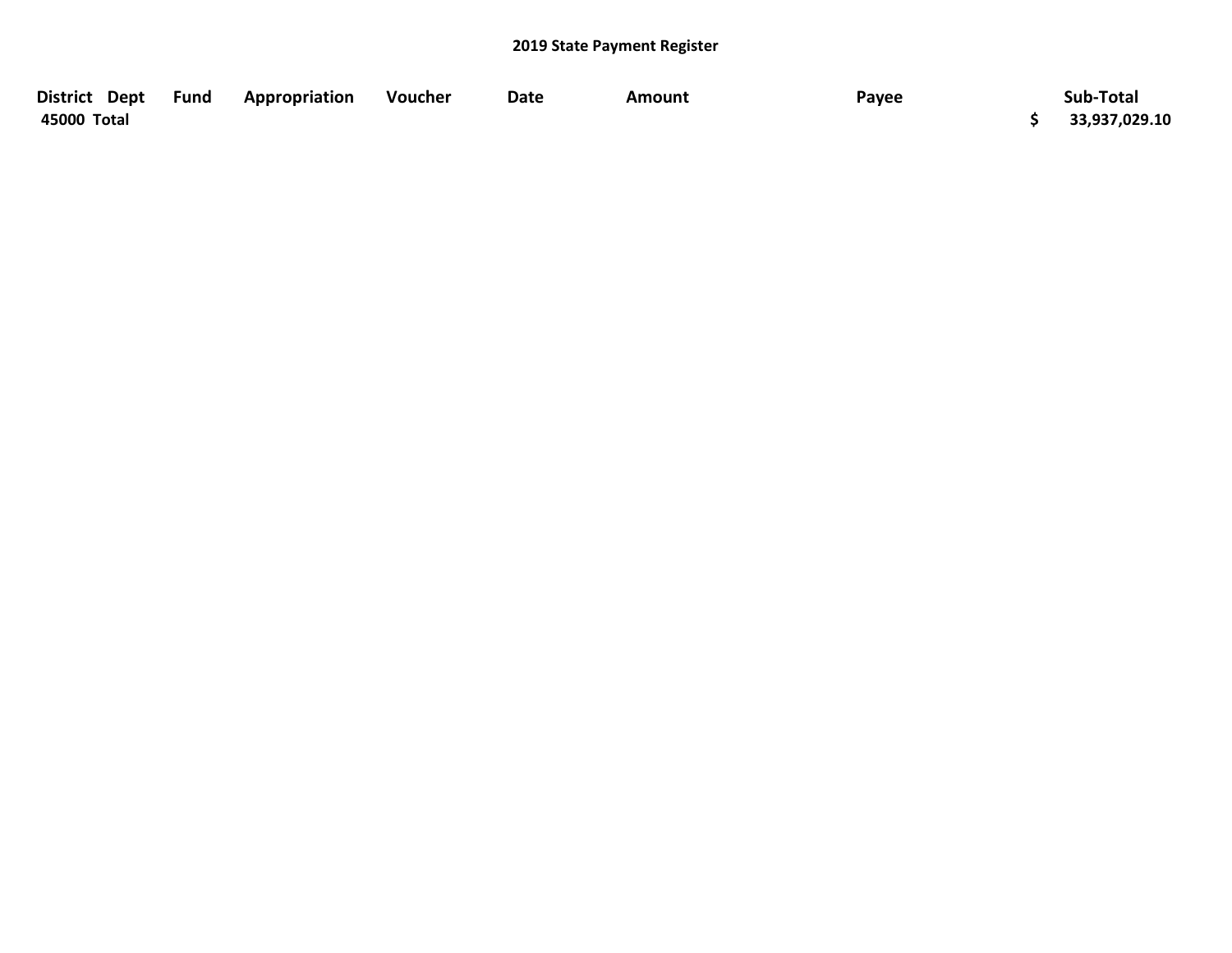| District Dept | Fund | Appropriation | Voucher | Date | Amount | Payee | Sub-Total     |
|---------------|------|---------------|---------|------|--------|-------|---------------|
| 45000 Total   |      |               |         |      |        |       | 33,937,029.10 |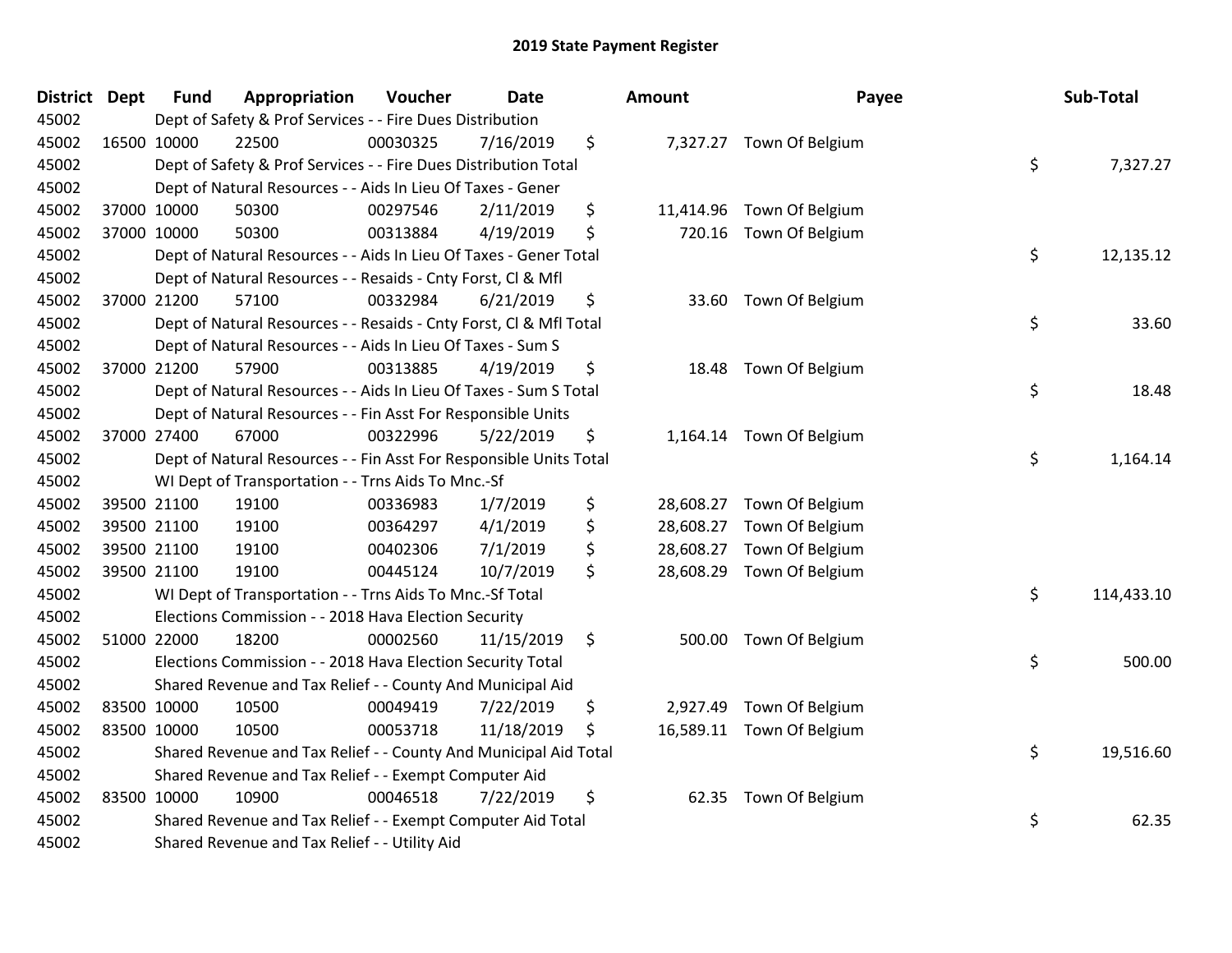| <b>District Dept</b> | <b>Fund</b> | Appropriation                                                      | Voucher  | <b>Date</b> | Amount          | Payee                     | Sub-Total        |
|----------------------|-------------|--------------------------------------------------------------------|----------|-------------|-----------------|---------------------------|------------------|
| 45002                |             | Dept of Safety & Prof Services - - Fire Dues Distribution          |          |             |                 |                           |                  |
| 45002                | 16500 10000 | 22500                                                              | 00030325 | 7/16/2019   | \$              | 7,327.27 Town Of Belgium  |                  |
| 45002                |             | Dept of Safety & Prof Services - - Fire Dues Distribution Total    |          |             |                 |                           | \$<br>7,327.27   |
| 45002                |             | Dept of Natural Resources - - Aids In Lieu Of Taxes - Gener        |          |             |                 |                           |                  |
| 45002                | 37000 10000 | 50300                                                              | 00297546 | 2/11/2019   | \$<br>11,414.96 | Town Of Belgium           |                  |
| 45002                | 37000 10000 | 50300                                                              | 00313884 | 4/19/2019   | \$<br>720.16    | Town Of Belgium           |                  |
| 45002                |             | Dept of Natural Resources - - Aids In Lieu Of Taxes - Gener Total  |          |             |                 |                           | \$<br>12,135.12  |
| 45002                |             | Dept of Natural Resources - - Resaids - Cnty Forst, Cl & Mfl       |          |             |                 |                           |                  |
| 45002                | 37000 21200 | 57100                                                              | 00332984 | 6/21/2019   | \$              | 33.60 Town Of Belgium     |                  |
| 45002                |             | Dept of Natural Resources - - Resaids - Cnty Forst, Cl & Mfl Total |          |             |                 |                           | \$<br>33.60      |
| 45002                |             | Dept of Natural Resources - - Aids In Lieu Of Taxes - Sum S        |          |             |                 |                           |                  |
| 45002                | 37000 21200 | 57900                                                              | 00313885 | 4/19/2019   | \$<br>18.48     | Town Of Belgium           |                  |
| 45002                |             | Dept of Natural Resources - - Aids In Lieu Of Taxes - Sum S Total  |          |             |                 |                           | \$<br>18.48      |
| 45002                |             | Dept of Natural Resources - - Fin Asst For Responsible Units       |          |             |                 |                           |                  |
| 45002                | 37000 27400 | 67000                                                              | 00322996 | 5/22/2019   | \$<br>1,164.14  | Town Of Belgium           |                  |
| 45002                |             | Dept of Natural Resources - - Fin Asst For Responsible Units Total |          |             |                 |                           | \$<br>1,164.14   |
| 45002                |             | WI Dept of Transportation - - Trns Aids To Mnc.-Sf                 |          |             |                 |                           |                  |
| 45002                | 39500 21100 | 19100                                                              | 00336983 | 1/7/2019    | \$<br>28,608.27 | Town Of Belgium           |                  |
| 45002                | 39500 21100 | 19100                                                              | 00364297 | 4/1/2019    | \$<br>28,608.27 | Town Of Belgium           |                  |
| 45002                | 39500 21100 | 19100                                                              | 00402306 | 7/1/2019    | \$<br>28,608.27 | Town Of Belgium           |                  |
| 45002                | 39500 21100 | 19100                                                              | 00445124 | 10/7/2019   | \$<br>28,608.29 | Town Of Belgium           |                  |
| 45002                |             | WI Dept of Transportation - - Trns Aids To Mnc.-Sf Total           |          |             |                 |                           | \$<br>114,433.10 |
| 45002                |             | Elections Commission - - 2018 Hava Election Security               |          |             |                 |                           |                  |
| 45002                | 51000 22000 | 18200                                                              | 00002560 | 11/15/2019  | \$<br>500.00    | Town Of Belgium           |                  |
| 45002                |             | Elections Commission - - 2018 Hava Election Security Total         |          |             |                 |                           | \$<br>500.00     |
| 45002                |             | Shared Revenue and Tax Relief - - County And Municipal Aid         |          |             |                 |                           |                  |
| 45002                | 83500 10000 | 10500                                                              | 00049419 | 7/22/2019   | \$<br>2,927.49  | Town Of Belgium           |                  |
| 45002                | 83500 10000 | 10500                                                              | 00053718 | 11/18/2019  | \$              | 16,589.11 Town Of Belgium |                  |
| 45002                |             | Shared Revenue and Tax Relief - - County And Municipal Aid Total   |          |             |                 |                           | \$<br>19,516.60  |
| 45002                |             | Shared Revenue and Tax Relief - - Exempt Computer Aid              |          |             |                 |                           |                  |
| 45002                | 83500 10000 | 10900                                                              | 00046518 | 7/22/2019   | \$<br>62.35     | Town Of Belgium           |                  |
| 45002                |             | Shared Revenue and Tax Relief - - Exempt Computer Aid Total        |          |             |                 |                           | \$<br>62.35      |
| 45002                |             | Shared Revenue and Tax Relief - - Utility Aid                      |          |             |                 |                           |                  |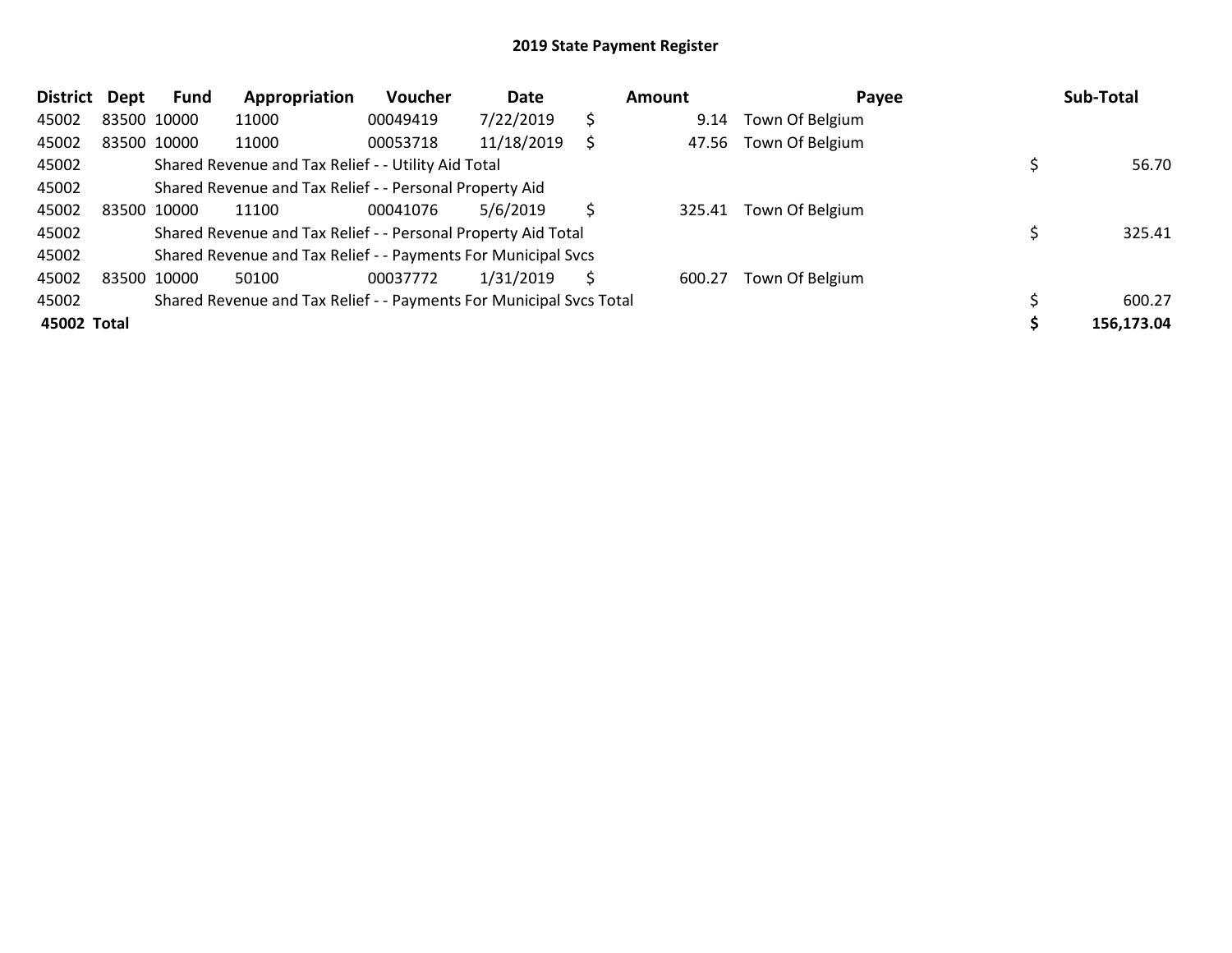| <b>District</b> | Dept        | <b>Fund</b> | Appropriation                                                       | Voucher  | Date       |    | <b>Amount</b> | Payee           | Sub-Total  |
|-----------------|-------------|-------------|---------------------------------------------------------------------|----------|------------|----|---------------|-----------------|------------|
| 45002           |             | 83500 10000 | 11000                                                               | 00049419 | 7/22/2019  | \$ | 9.14          | Town Of Belgium |            |
| 45002           |             | 83500 10000 | 11000                                                               | 00053718 | 11/18/2019 | Ś. | 47.56         | Town Of Belgium |            |
| 45002           |             |             | Shared Revenue and Tax Relief - - Utility Aid Total                 |          |            |    |               |                 | 56.70      |
| 45002           |             |             | Shared Revenue and Tax Relief - - Personal Property Aid             |          |            |    |               |                 |            |
| 45002           | 83500 10000 |             | 11100                                                               | 00041076 | 5/6/2019   | Ś. | 325.41        | Town Of Belgium |            |
| 45002           |             |             | Shared Revenue and Tax Relief - - Personal Property Aid Total       |          |            |    |               |                 | 325.41     |
| 45002           |             |             | Shared Revenue and Tax Relief - - Payments For Municipal Svcs       |          |            |    |               |                 |            |
| 45002           |             | 83500 10000 | 50100                                                               | 00037772 | 1/31/2019  | S  | 600.27        | Town Of Belgium |            |
| 45002           |             |             | Shared Revenue and Tax Relief - - Payments For Municipal Svcs Total |          |            |    |               |                 | 600.27     |
| 45002 Total     |             |             |                                                                     |          |            |    |               |                 | 156,173.04 |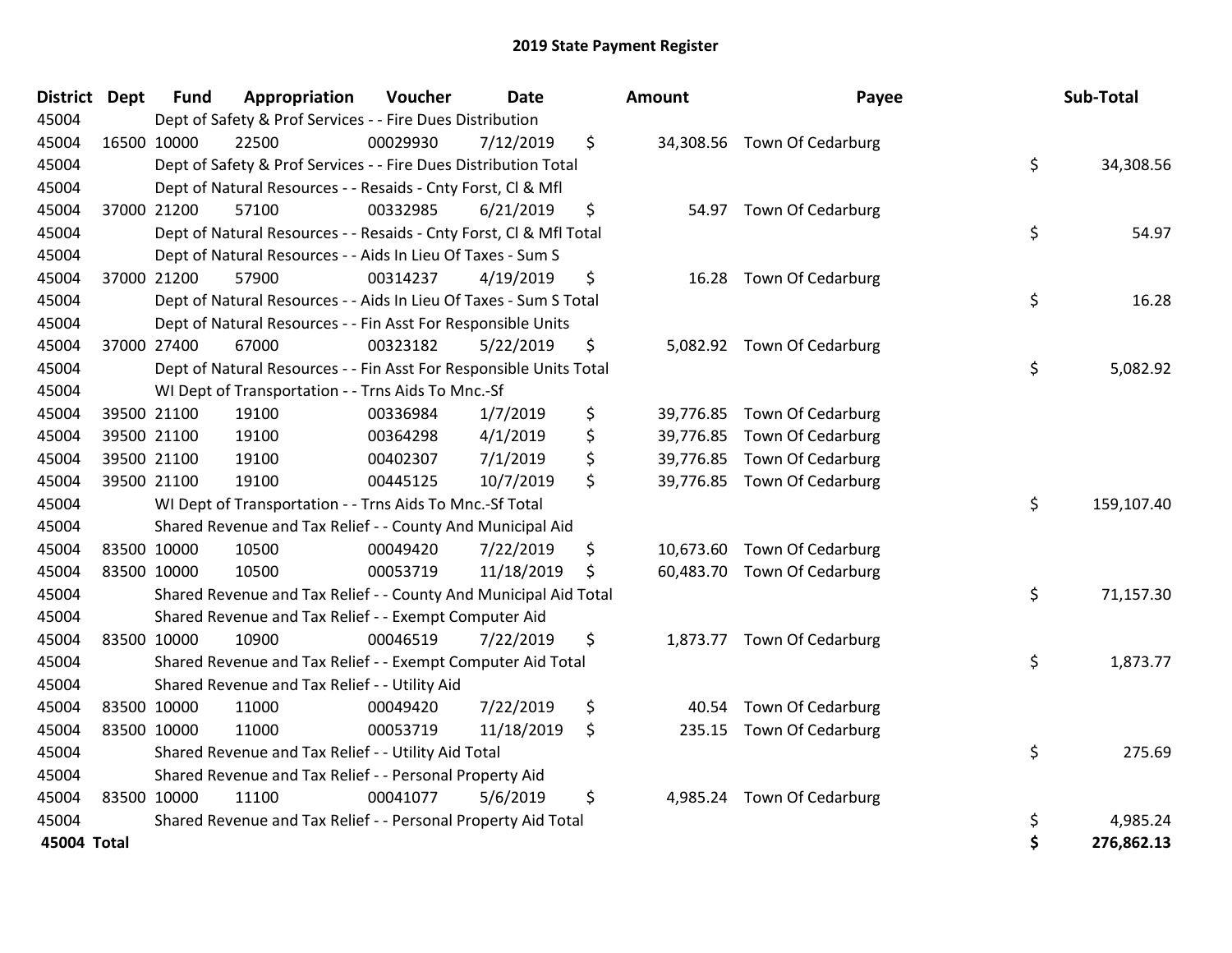| <b>District Dept</b> | <b>Fund</b> | Appropriation                                                      | Voucher  | <b>Date</b> | Amount      | Payee                       | Sub-Total        |
|----------------------|-------------|--------------------------------------------------------------------|----------|-------------|-------------|-----------------------------|------------------|
| 45004                |             | Dept of Safety & Prof Services - - Fire Dues Distribution          |          |             |             |                             |                  |
| 45004                | 16500 10000 | 22500                                                              | 00029930 | 7/12/2019   | \$          | 34,308.56 Town Of Cedarburg |                  |
| 45004                |             | Dept of Safety & Prof Services - - Fire Dues Distribution Total    |          |             |             |                             | \$<br>34,308.56  |
| 45004                |             | Dept of Natural Resources - - Resaids - Cnty Forst, Cl & Mfl       |          |             |             |                             |                  |
| 45004                | 37000 21200 | 57100                                                              | 00332985 | 6/21/2019   | \$          | 54.97 Town Of Cedarburg     |                  |
| 45004                |             | Dept of Natural Resources - - Resaids - Cnty Forst, Cl & Mfl Total |          |             |             |                             | \$<br>54.97      |
| 45004                |             | Dept of Natural Resources - - Aids In Lieu Of Taxes - Sum S        |          |             |             |                             |                  |
| 45004                | 37000 21200 | 57900                                                              | 00314237 | 4/19/2019   | \$          | 16.28 Town Of Cedarburg     |                  |
| 45004                |             | Dept of Natural Resources - - Aids In Lieu Of Taxes - Sum S Total  |          |             |             |                             | \$<br>16.28      |
| 45004                |             | Dept of Natural Resources - - Fin Asst For Responsible Units       |          |             |             |                             |                  |
| 45004                | 37000 27400 | 67000                                                              | 00323182 | 5/22/2019   | \$          | 5,082.92 Town Of Cedarburg  |                  |
| 45004                |             | Dept of Natural Resources - - Fin Asst For Responsible Units Total |          |             |             |                             | \$<br>5,082.92   |
| 45004                |             | WI Dept of Transportation - - Trns Aids To Mnc.-Sf                 |          |             |             |                             |                  |
| 45004                | 39500 21100 | 19100                                                              | 00336984 | 1/7/2019    | \$          | 39,776.85 Town Of Cedarburg |                  |
| 45004                | 39500 21100 | 19100                                                              | 00364298 | 4/1/2019    | \$          | 39,776.85 Town Of Cedarburg |                  |
| 45004                | 39500 21100 | 19100                                                              | 00402307 | 7/1/2019    | \$          | 39,776.85 Town Of Cedarburg |                  |
| 45004                | 39500 21100 | 19100                                                              | 00445125 | 10/7/2019   | \$          | 39,776.85 Town Of Cedarburg |                  |
| 45004                |             | WI Dept of Transportation - - Trns Aids To Mnc.-Sf Total           |          |             |             |                             | \$<br>159,107.40 |
| 45004                |             | Shared Revenue and Tax Relief - - County And Municipal Aid         |          |             |             |                             |                  |
| 45004                | 83500 10000 | 10500                                                              | 00049420 | 7/22/2019   | \$          | 10,673.60 Town Of Cedarburg |                  |
| 45004                | 83500 10000 | 10500                                                              | 00053719 | 11/18/2019  | \$          | 60,483.70 Town Of Cedarburg |                  |
| 45004                |             | Shared Revenue and Tax Relief - - County And Municipal Aid Total   |          |             |             |                             | \$<br>71,157.30  |
| 45004                |             | Shared Revenue and Tax Relief - - Exempt Computer Aid              |          |             |             |                             |                  |
| 45004                | 83500 10000 | 10900                                                              | 00046519 | 7/22/2019   | \$          | 1,873.77 Town Of Cedarburg  |                  |
| 45004                |             | Shared Revenue and Tax Relief - - Exempt Computer Aid Total        |          |             |             |                             | \$<br>1,873.77   |
| 45004                |             | Shared Revenue and Tax Relief - - Utility Aid                      |          |             |             |                             |                  |
| 45004                | 83500 10000 | 11000                                                              | 00049420 | 7/22/2019   | \$<br>40.54 | Town Of Cedarburg           |                  |
| 45004                | 83500 10000 | 11000                                                              | 00053719 | 11/18/2019  | \$          | 235.15 Town Of Cedarburg    |                  |
| 45004                |             | Shared Revenue and Tax Relief - - Utility Aid Total                |          |             |             |                             | \$<br>275.69     |
| 45004                |             | Shared Revenue and Tax Relief - - Personal Property Aid            |          |             |             |                             |                  |
| 45004                | 83500 10000 | 11100                                                              | 00041077 | 5/6/2019    | \$          | 4,985.24 Town Of Cedarburg  |                  |
| 45004                |             | Shared Revenue and Tax Relief - - Personal Property Aid Total      |          |             |             |                             | \$<br>4,985.24   |
| 45004 Total          |             |                                                                    |          |             |             |                             | \$<br>276,862.13 |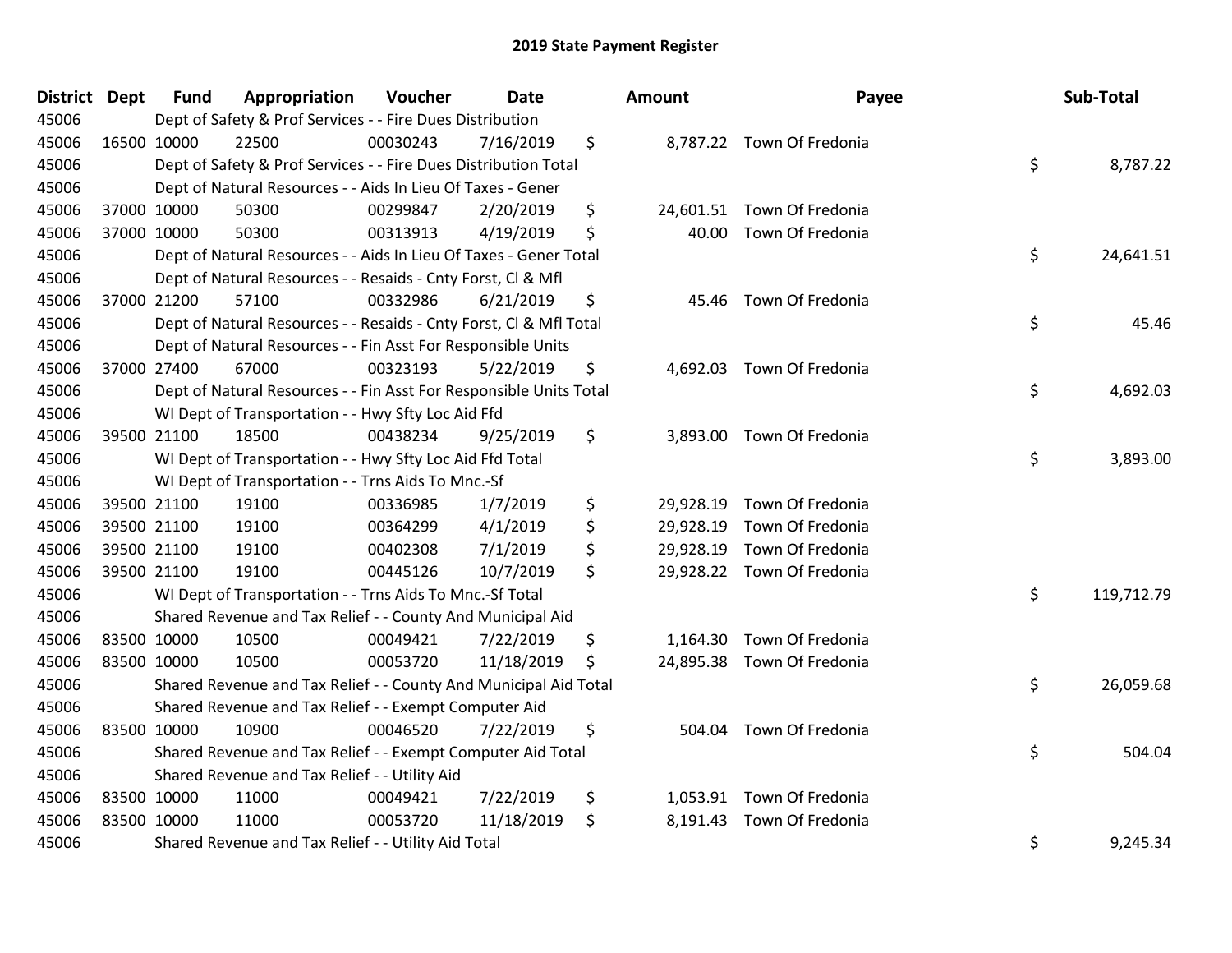| District Dept | <b>Fund</b> | Appropriation                                                      | Voucher  | <b>Date</b> | Amount         | Payee                      | Sub-Total        |
|---------------|-------------|--------------------------------------------------------------------|----------|-------------|----------------|----------------------------|------------------|
| 45006         |             | Dept of Safety & Prof Services - - Fire Dues Distribution          |          |             |                |                            |                  |
| 45006         | 16500 10000 | 22500                                                              | 00030243 | 7/16/2019   | \$             | 8,787.22 Town Of Fredonia  |                  |
| 45006         |             | Dept of Safety & Prof Services - - Fire Dues Distribution Total    |          |             |                |                            | \$<br>8,787.22   |
| 45006         |             | Dept of Natural Resources - - Aids In Lieu Of Taxes - Gener        |          |             |                |                            |                  |
| 45006         | 37000 10000 | 50300                                                              | 00299847 | 2/20/2019   | \$             | 24,601.51 Town Of Fredonia |                  |
| 45006         | 37000 10000 | 50300                                                              | 00313913 | 4/19/2019   | \$<br>40.00    | Town Of Fredonia           |                  |
| 45006         |             | Dept of Natural Resources - - Aids In Lieu Of Taxes - Gener Total  |          |             |                |                            | \$<br>24,641.51  |
| 45006         |             | Dept of Natural Resources - - Resaids - Cnty Forst, Cl & Mfl       |          |             |                |                            |                  |
| 45006         | 37000 21200 | 57100                                                              | 00332986 | 6/21/2019   | \$             | 45.46 Town Of Fredonia     |                  |
| 45006         |             | Dept of Natural Resources - - Resaids - Cnty Forst, Cl & Mfl Total |          |             |                |                            | \$<br>45.46      |
| 45006         |             | Dept of Natural Resources - - Fin Asst For Responsible Units       |          |             |                |                            |                  |
| 45006         | 37000 27400 | 67000                                                              | 00323193 | 5/22/2019   | \$             | 4,692.03 Town Of Fredonia  |                  |
| 45006         |             | Dept of Natural Resources - - Fin Asst For Responsible Units Total |          |             |                |                            | \$<br>4,692.03   |
| 45006         |             | WI Dept of Transportation - - Hwy Sfty Loc Aid Ffd                 |          |             |                |                            |                  |
| 45006         | 39500 21100 | 18500                                                              | 00438234 | 9/25/2019   | \$             | 3,893.00 Town Of Fredonia  |                  |
| 45006         |             | WI Dept of Transportation - - Hwy Sfty Loc Aid Ffd Total           |          |             |                |                            | \$<br>3,893.00   |
| 45006         |             | WI Dept of Transportation - - Trns Aids To Mnc.-Sf                 |          |             |                |                            |                  |
| 45006         | 39500 21100 | 19100                                                              | 00336985 | 1/7/2019    | \$             | 29,928.19 Town Of Fredonia |                  |
| 45006         | 39500 21100 | 19100                                                              | 00364299 | 4/1/2019    | \$             | 29,928.19 Town Of Fredonia |                  |
| 45006         | 39500 21100 | 19100                                                              | 00402308 | 7/1/2019    | \$             | 29,928.19 Town Of Fredonia |                  |
| 45006         | 39500 21100 | 19100                                                              | 00445126 | 10/7/2019   | \$             | 29,928.22 Town Of Fredonia |                  |
| 45006         |             | WI Dept of Transportation - - Trns Aids To Mnc.-Sf Total           |          |             |                |                            | \$<br>119,712.79 |
| 45006         |             | Shared Revenue and Tax Relief - - County And Municipal Aid         |          |             |                |                            |                  |
| 45006         | 83500 10000 | 10500                                                              | 00049421 | 7/22/2019   | \$             | 1,164.30 Town Of Fredonia  |                  |
| 45006         | 83500 10000 | 10500                                                              | 00053720 | 11/18/2019  | \$             | 24,895.38 Town Of Fredonia |                  |
| 45006         |             | Shared Revenue and Tax Relief - - County And Municipal Aid Total   |          |             |                |                            | \$<br>26,059.68  |
| 45006         |             | Shared Revenue and Tax Relief - - Exempt Computer Aid              |          |             |                |                            |                  |
| 45006         | 83500 10000 | 10900                                                              | 00046520 | 7/22/2019   | \$<br>504.04   | Town Of Fredonia           |                  |
| 45006         |             | Shared Revenue and Tax Relief - - Exempt Computer Aid Total        |          |             |                |                            | \$<br>504.04     |
| 45006         |             | Shared Revenue and Tax Relief - - Utility Aid                      |          |             |                |                            |                  |
| 45006         | 83500 10000 | 11000                                                              | 00049421 | 7/22/2019   | \$             | 1,053.91 Town Of Fredonia  |                  |
| 45006         | 83500 10000 | 11000                                                              | 00053720 | 11/18/2019  | \$<br>8,191.43 | Town Of Fredonia           |                  |
| 45006         |             | Shared Revenue and Tax Relief - - Utility Aid Total                |          |             |                |                            | \$<br>9,245.34   |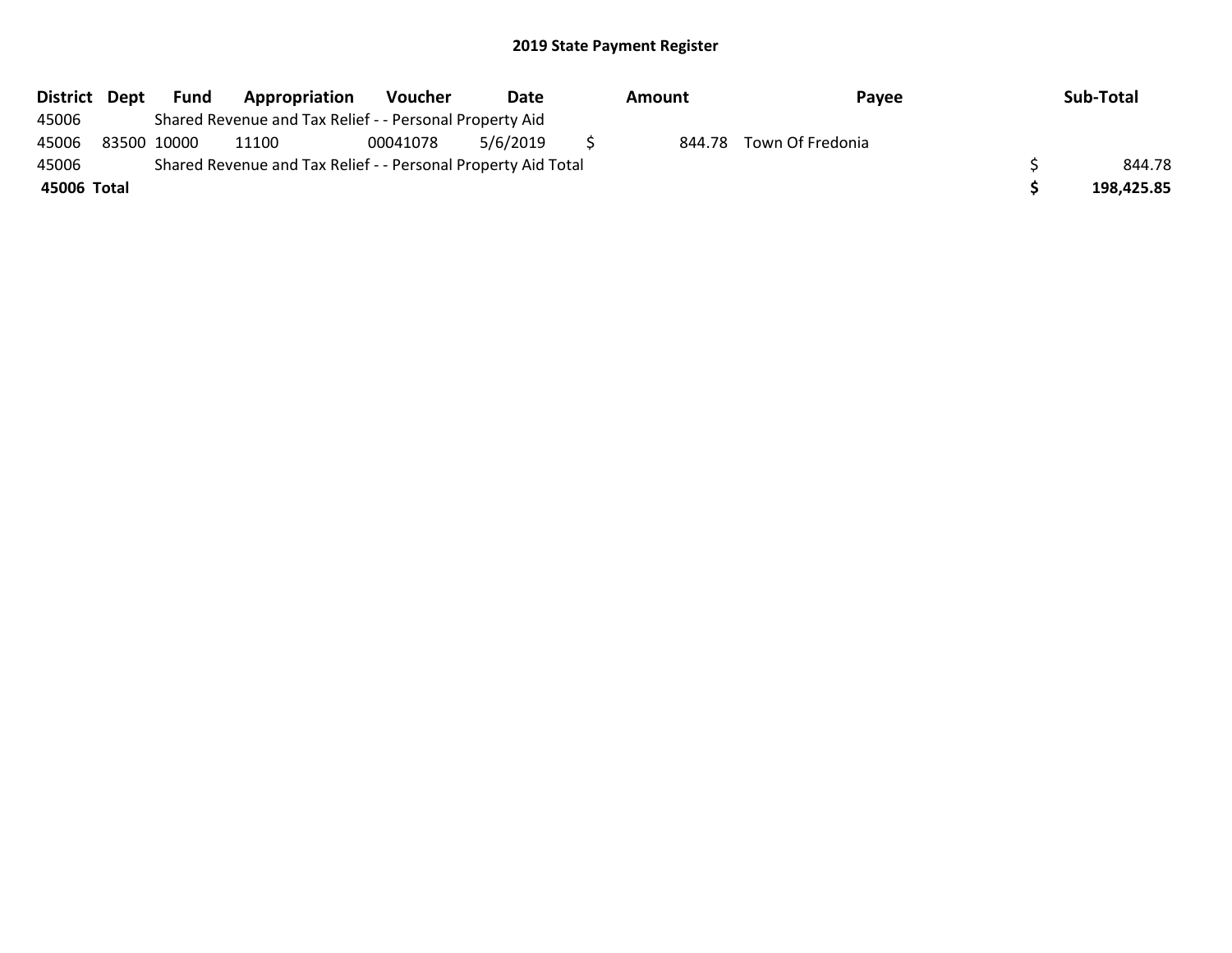| <b>District</b> | Dept | Fund        | Appropriation                                                 | Voucher  | Date     | Amount | Payee            | Sub-Total  |
|-----------------|------|-------------|---------------------------------------------------------------|----------|----------|--------|------------------|------------|
| 45006           |      |             | Shared Revenue and Tax Relief - - Personal Property Aid       |          |          |        |                  |            |
| 45006           |      | 83500 10000 | 11100                                                         | 00041078 | 5/6/2019 | 844.78 | Town Of Fredonia |            |
| 45006           |      |             | Shared Revenue and Tax Relief - - Personal Property Aid Total |          |          |        |                  | 844.78     |
| 45006 Total     |      |             |                                                               |          |          |        |                  | 198,425.85 |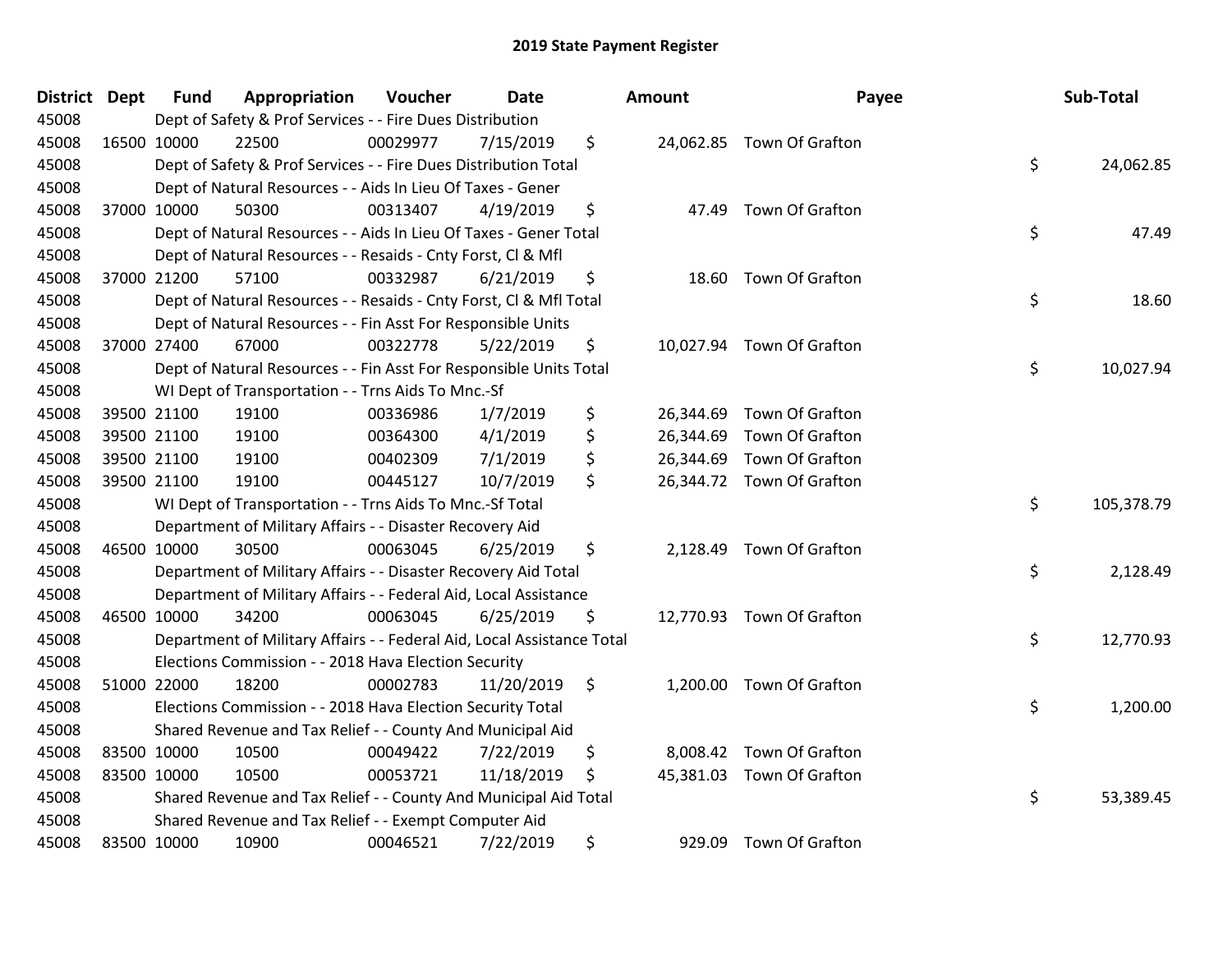| District Dept | <b>Fund</b> | Appropriation                                                          | Voucher  | Date       | Amount       | Payee                     | Sub-Total        |
|---------------|-------------|------------------------------------------------------------------------|----------|------------|--------------|---------------------------|------------------|
| 45008         |             | Dept of Safety & Prof Services - - Fire Dues Distribution              |          |            |              |                           |                  |
| 45008         | 16500 10000 | 22500                                                                  | 00029977 | 7/15/2019  | \$           | 24,062.85 Town Of Grafton |                  |
| 45008         |             | Dept of Safety & Prof Services - - Fire Dues Distribution Total        |          |            |              |                           | \$<br>24,062.85  |
| 45008         |             | Dept of Natural Resources - - Aids In Lieu Of Taxes - Gener            |          |            |              |                           |                  |
| 45008         | 37000 10000 | 50300                                                                  | 00313407 | 4/19/2019  | \$           | 47.49 Town Of Grafton     |                  |
| 45008         |             | Dept of Natural Resources - - Aids In Lieu Of Taxes - Gener Total      |          |            |              |                           | \$<br>47.49      |
| 45008         |             | Dept of Natural Resources - - Resaids - Cnty Forst, Cl & Mfl           |          |            |              |                           |                  |
| 45008         | 37000 21200 | 57100                                                                  | 00332987 | 6/21/2019  | \$           | 18.60 Town Of Grafton     |                  |
| 45008         |             | Dept of Natural Resources - - Resaids - Cnty Forst, CI & Mfl Total     |          |            |              |                           | \$<br>18.60      |
| 45008         |             | Dept of Natural Resources - - Fin Asst For Responsible Units           |          |            |              |                           |                  |
| 45008         | 37000 27400 | 67000                                                                  | 00322778 | 5/22/2019  | \$           | 10,027.94 Town Of Grafton |                  |
| 45008         |             | Dept of Natural Resources - - Fin Asst For Responsible Units Total     |          |            |              |                           | \$<br>10,027.94  |
| 45008         |             | WI Dept of Transportation - - Trns Aids To Mnc.-Sf                     |          |            |              |                           |                  |
| 45008         | 39500 21100 | 19100                                                                  | 00336986 | 1/7/2019   | \$           | 26,344.69 Town Of Grafton |                  |
| 45008         | 39500 21100 | 19100                                                                  | 00364300 | 4/1/2019   | \$           | 26,344.69 Town Of Grafton |                  |
| 45008         | 39500 21100 | 19100                                                                  | 00402309 | 7/1/2019   | \$           | 26,344.69 Town Of Grafton |                  |
| 45008         | 39500 21100 | 19100                                                                  | 00445127 | 10/7/2019  | \$           | 26,344.72 Town Of Grafton |                  |
| 45008         |             | WI Dept of Transportation - - Trns Aids To Mnc.-Sf Total               |          |            |              |                           | \$<br>105,378.79 |
| 45008         |             | Department of Military Affairs - - Disaster Recovery Aid               |          |            |              |                           |                  |
| 45008         | 46500 10000 | 30500                                                                  | 00063045 | 6/25/2019  | \$           | 2,128.49 Town Of Grafton  |                  |
| 45008         |             | Department of Military Affairs - - Disaster Recovery Aid Total         |          |            |              |                           | \$<br>2,128.49   |
| 45008         |             | Department of Military Affairs - - Federal Aid, Local Assistance       |          |            |              |                           |                  |
| 45008         | 46500 10000 | 34200                                                                  | 00063045 | 6/25/2019  | \$           | 12,770.93 Town Of Grafton |                  |
| 45008         |             | Department of Military Affairs - - Federal Aid, Local Assistance Total |          |            |              |                           | \$<br>12,770.93  |
| 45008         |             | Elections Commission - - 2018 Hava Election Security                   |          |            |              |                           |                  |
| 45008         | 51000 22000 | 18200                                                                  | 00002783 | 11/20/2019 | \$           | 1,200.00 Town Of Grafton  |                  |
| 45008         |             | Elections Commission - - 2018 Hava Election Security Total             |          |            |              |                           | \$<br>1,200.00   |
| 45008         |             | Shared Revenue and Tax Relief - - County And Municipal Aid             |          |            |              |                           |                  |
| 45008         | 83500 10000 | 10500                                                                  | 00049422 | 7/22/2019  | \$           | 8,008.42 Town Of Grafton  |                  |
| 45008         | 83500 10000 | 10500                                                                  | 00053721 | 11/18/2019 | \$           | 45,381.03 Town Of Grafton |                  |
| 45008         |             | Shared Revenue and Tax Relief - - County And Municipal Aid Total       |          |            |              |                           | \$<br>53,389.45  |
| 45008         |             | Shared Revenue and Tax Relief - - Exempt Computer Aid                  |          |            |              |                           |                  |
| 45008         | 83500 10000 | 10900                                                                  | 00046521 | 7/22/2019  | \$<br>929.09 | Town Of Grafton           |                  |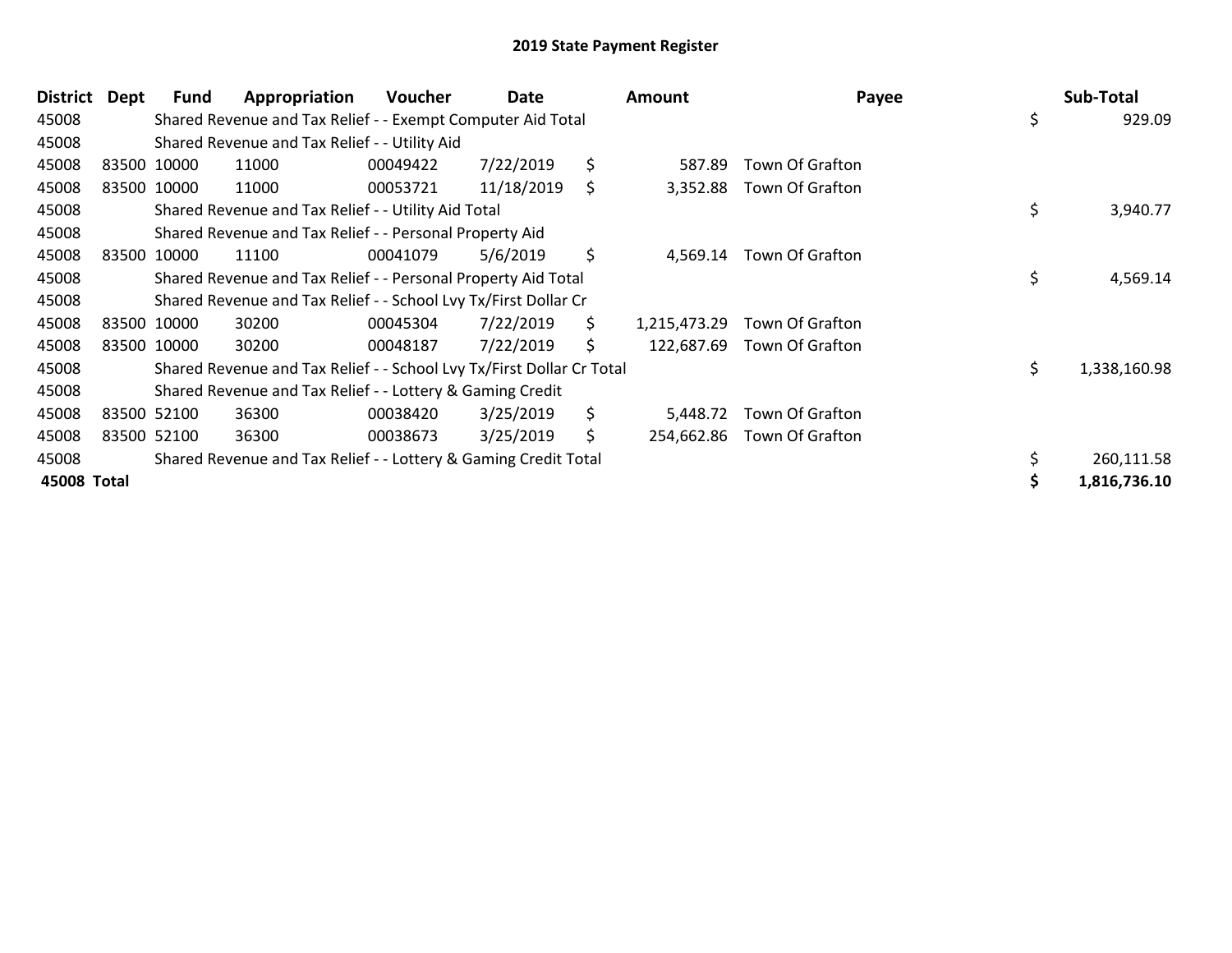| District    | Dept        | Fund        | Appropriation                                                         | <b>Voucher</b> | Date       |     | Amount       | Payee           | Sub-Total          |
|-------------|-------------|-------------|-----------------------------------------------------------------------|----------------|------------|-----|--------------|-----------------|--------------------|
| 45008       |             |             | Shared Revenue and Tax Relief - - Exempt Computer Aid Total           |                |            |     |              |                 | \$<br>929.09       |
| 45008       |             |             | Shared Revenue and Tax Relief - - Utility Aid                         |                |            |     |              |                 |                    |
| 45008       |             | 83500 10000 | 11000                                                                 | 00049422       | 7/22/2019  | \$  | 587.89       | Town Of Grafton |                    |
| 45008       | 83500 10000 |             | 11000                                                                 | 00053721       | 11/18/2019 | S.  | 3,352.88     | Town Of Grafton |                    |
| 45008       |             |             | Shared Revenue and Tax Relief - - Utility Aid Total                   |                |            |     |              |                 | \$<br>3,940.77     |
| 45008       |             |             | Shared Revenue and Tax Relief - - Personal Property Aid               |                |            |     |              |                 |                    |
| 45008       |             | 83500 10000 | 11100                                                                 | 00041079       | 5/6/2019   | \$  | 4,569.14     | Town Of Grafton |                    |
| 45008       |             |             | Shared Revenue and Tax Relief - - Personal Property Aid Total         |                |            |     |              |                 | \$<br>4,569.14     |
| 45008       |             |             | Shared Revenue and Tax Relief - - School Lvy Tx/First Dollar Cr       |                |            |     |              |                 |                    |
| 45008       |             | 83500 10000 | 30200                                                                 | 00045304       | 7/22/2019  | \$. | 1,215,473.29 | Town Of Grafton |                    |
| 45008       |             | 83500 10000 | 30200                                                                 | 00048187       | 7/22/2019  | \$  | 122,687.69   | Town Of Grafton |                    |
| 45008       |             |             | Shared Revenue and Tax Relief - - School Lvy Tx/First Dollar Cr Total |                |            |     |              |                 | \$<br>1,338,160.98 |
| 45008       |             |             | Shared Revenue and Tax Relief - - Lottery & Gaming Credit             |                |            |     |              |                 |                    |
| 45008       |             | 83500 52100 | 36300                                                                 | 00038420       | 3/25/2019  | \$  | 5,448.72     | Town Of Grafton |                    |
| 45008       |             | 83500 52100 | 36300                                                                 | 00038673       | 3/25/2019  | \$  | 254,662.86   | Town Of Grafton |                    |
| 45008       |             |             | Shared Revenue and Tax Relief - - Lottery & Gaming Credit Total       |                |            |     |              |                 | 260,111.58         |
| 45008 Total |             |             |                                                                       |                |            |     |              |                 | 1,816,736.10       |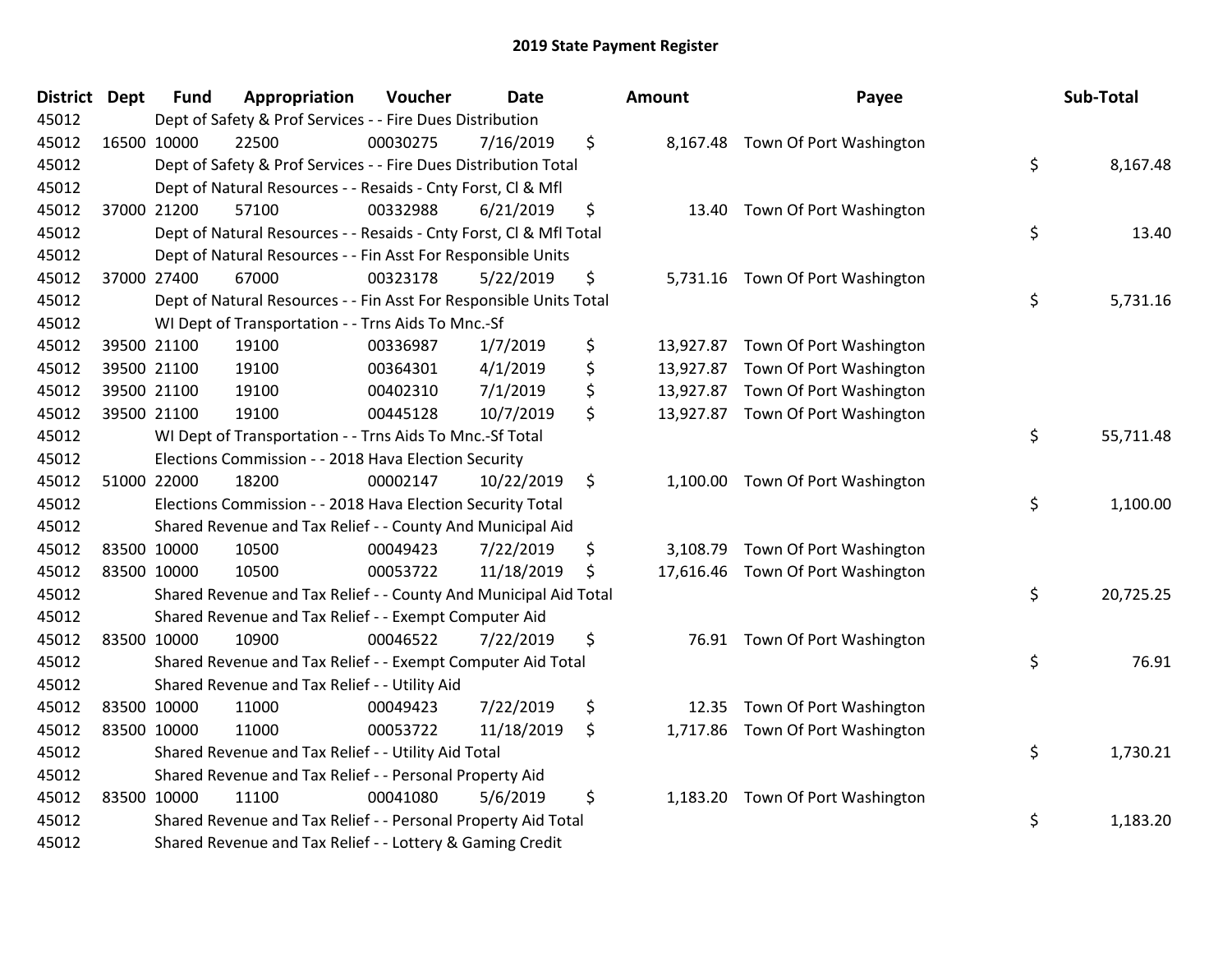| District | <b>Dept</b> | <b>Fund</b> | Appropriation                                                      | Voucher  | Date       | Amount          | Payee                             | Sub-Total       |
|----------|-------------|-------------|--------------------------------------------------------------------|----------|------------|-----------------|-----------------------------------|-----------------|
| 45012    |             |             | Dept of Safety & Prof Services - - Fire Dues Distribution          |          |            |                 |                                   |                 |
| 45012    |             | 16500 10000 | 22500                                                              | 00030275 | 7/16/2019  | \$              | 8,167.48 Town Of Port Washington  |                 |
| 45012    |             |             | Dept of Safety & Prof Services - - Fire Dues Distribution Total    |          |            |                 |                                   | \$<br>8,167.48  |
| 45012    |             |             | Dept of Natural Resources - - Resaids - Cnty Forst, Cl & Mfl       |          |            |                 |                                   |                 |
| 45012    |             | 37000 21200 | 57100                                                              | 00332988 | 6/21/2019  | \$<br>13.40     | Town Of Port Washington           |                 |
| 45012    |             |             | Dept of Natural Resources - - Resaids - Cnty Forst, Cl & Mfl Total |          |            |                 |                                   | \$<br>13.40     |
| 45012    |             |             | Dept of Natural Resources - - Fin Asst For Responsible Units       |          |            |                 |                                   |                 |
| 45012    |             | 37000 27400 | 67000                                                              | 00323178 | 5/22/2019  | \$              | 5,731.16 Town Of Port Washington  |                 |
| 45012    |             |             | Dept of Natural Resources - - Fin Asst For Responsible Units Total |          |            |                 |                                   | \$<br>5,731.16  |
| 45012    |             |             | WI Dept of Transportation - - Trns Aids To Mnc.-Sf                 |          |            |                 |                                   |                 |
| 45012    |             | 39500 21100 | 19100                                                              | 00336987 | 1/7/2019   | \$<br>13,927.87 | Town Of Port Washington           |                 |
| 45012    |             | 39500 21100 | 19100                                                              | 00364301 | 4/1/2019   | \$<br>13,927.87 | Town Of Port Washington           |                 |
| 45012    |             | 39500 21100 | 19100                                                              | 00402310 | 7/1/2019   | \$              | 13,927.87 Town Of Port Washington |                 |
| 45012    |             | 39500 21100 | 19100                                                              | 00445128 | 10/7/2019  | \$              | 13,927.87 Town Of Port Washington |                 |
| 45012    |             |             | WI Dept of Transportation - - Trns Aids To Mnc.-Sf Total           |          |            |                 |                                   | \$<br>55,711.48 |
| 45012    |             |             | Elections Commission - - 2018 Hava Election Security               |          |            |                 |                                   |                 |
| 45012    |             | 51000 22000 | 18200                                                              | 00002147 | 10/22/2019 | \$              | 1,100.00 Town Of Port Washington  |                 |
| 45012    |             |             | Elections Commission - - 2018 Hava Election Security Total         |          |            |                 |                                   | \$<br>1,100.00  |
| 45012    |             |             | Shared Revenue and Tax Relief - - County And Municipal Aid         |          |            |                 |                                   |                 |
| 45012    |             | 83500 10000 | 10500                                                              | 00049423 | 7/22/2019  | \$<br>3,108.79  | Town Of Port Washington           |                 |
| 45012    |             | 83500 10000 | 10500                                                              | 00053722 | 11/18/2019 | \$              | 17,616.46 Town Of Port Washington |                 |
| 45012    |             |             | Shared Revenue and Tax Relief - - County And Municipal Aid Total   |          |            |                 |                                   | \$<br>20,725.25 |
| 45012    |             |             | Shared Revenue and Tax Relief - - Exempt Computer Aid              |          |            |                 |                                   |                 |
| 45012    |             | 83500 10000 | 10900                                                              | 00046522 | 7/22/2019  | \$              | 76.91 Town Of Port Washington     |                 |
| 45012    |             |             | Shared Revenue and Tax Relief - - Exempt Computer Aid Total        |          |            |                 |                                   | \$<br>76.91     |
| 45012    |             |             | Shared Revenue and Tax Relief - - Utility Aid                      |          |            |                 |                                   |                 |
| 45012    |             | 83500 10000 | 11000                                                              | 00049423 | 7/22/2019  | \$<br>12.35     | Town Of Port Washington           |                 |
| 45012    |             | 83500 10000 | 11000                                                              | 00053722 | 11/18/2019 | \$              | 1,717.86 Town Of Port Washington  |                 |
| 45012    |             |             | Shared Revenue and Tax Relief - - Utility Aid Total                |          |            |                 |                                   | \$<br>1,730.21  |
| 45012    |             |             | Shared Revenue and Tax Relief - - Personal Property Aid            |          |            |                 |                                   |                 |
| 45012    |             | 83500 10000 | 11100                                                              | 00041080 | 5/6/2019   | \$              | 1,183.20 Town Of Port Washington  |                 |
| 45012    |             |             | Shared Revenue and Tax Relief - - Personal Property Aid Total      |          |            |                 |                                   | \$<br>1,183.20  |
| 45012    |             |             | Shared Revenue and Tax Relief - - Lottery & Gaming Credit          |          |            |                 |                                   |                 |

| าount                                            | Payee                                                                                                    | Sub-Total       |
|--------------------------------------------------|----------------------------------------------------------------------------------------------------------|-----------------|
| 8,167.48                                         | Town Of Port Washington                                                                                  | \$<br>8,167.48  |
| 13.40                                            | Town Of Port Washington                                                                                  | \$<br>13.40     |
| 5,731.16                                         | Town Of Port Washington                                                                                  | \$<br>5,731.16  |
| 13,927.87<br>13,927.87<br>13,927.87<br>13,927.87 | Town Of Port Washington<br>Town Of Port Washington<br>Town Of Port Washington<br>Town Of Port Washington |                 |
|                                                  |                                                                                                          | \$<br>55,711.48 |
| 1,100.00                                         | Town Of Port Washington                                                                                  | \$<br>1,100.00  |
| 3,108.79<br>17,616.46                            | Town Of Port Washington<br>Town Of Port Washington                                                       | \$<br>20,725.25 |
| 76.91                                            | Town Of Port Washington                                                                                  | \$<br>76.91     |
| 12.35<br>1,717.86                                | Town Of Port Washington<br>Town Of Port Washington                                                       | \$<br>1,730.21  |
| 1,183.20                                         | Town Of Port Washington                                                                                  | \$<br>1,183.20  |
|                                                  |                                                                                                          |                 |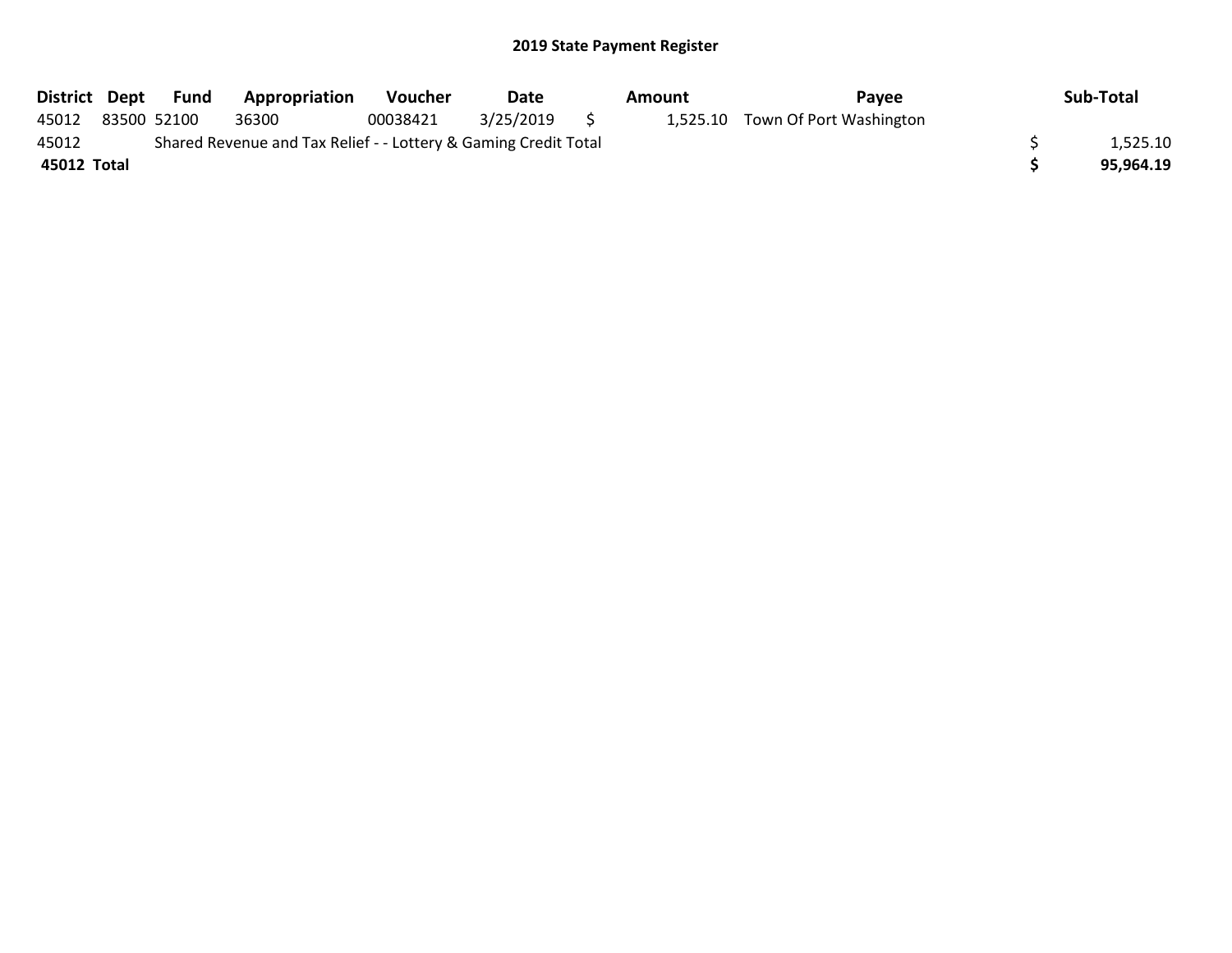|             |                                                                 | District Dept Fund | Appropriation | <b>Voucher</b> | Date         | Amount | <b>Pavee</b>                     | Sub-Total |
|-------------|-----------------------------------------------------------------|--------------------|---------------|----------------|--------------|--------|----------------------------------|-----------|
| 45012       |                                                                 | 83500 52100        | 36300         | 00038421       | 3/25/2019 \$ |        | 1,525.10 Town Of Port Washington |           |
| 45012       | Shared Revenue and Tax Relief - - Lottery & Gaming Credit Total | 1.525.10           |               |                |              |        |                                  |           |
| 45012 Total |                                                                 |                    |               |                |              |        |                                  | 95,964.19 |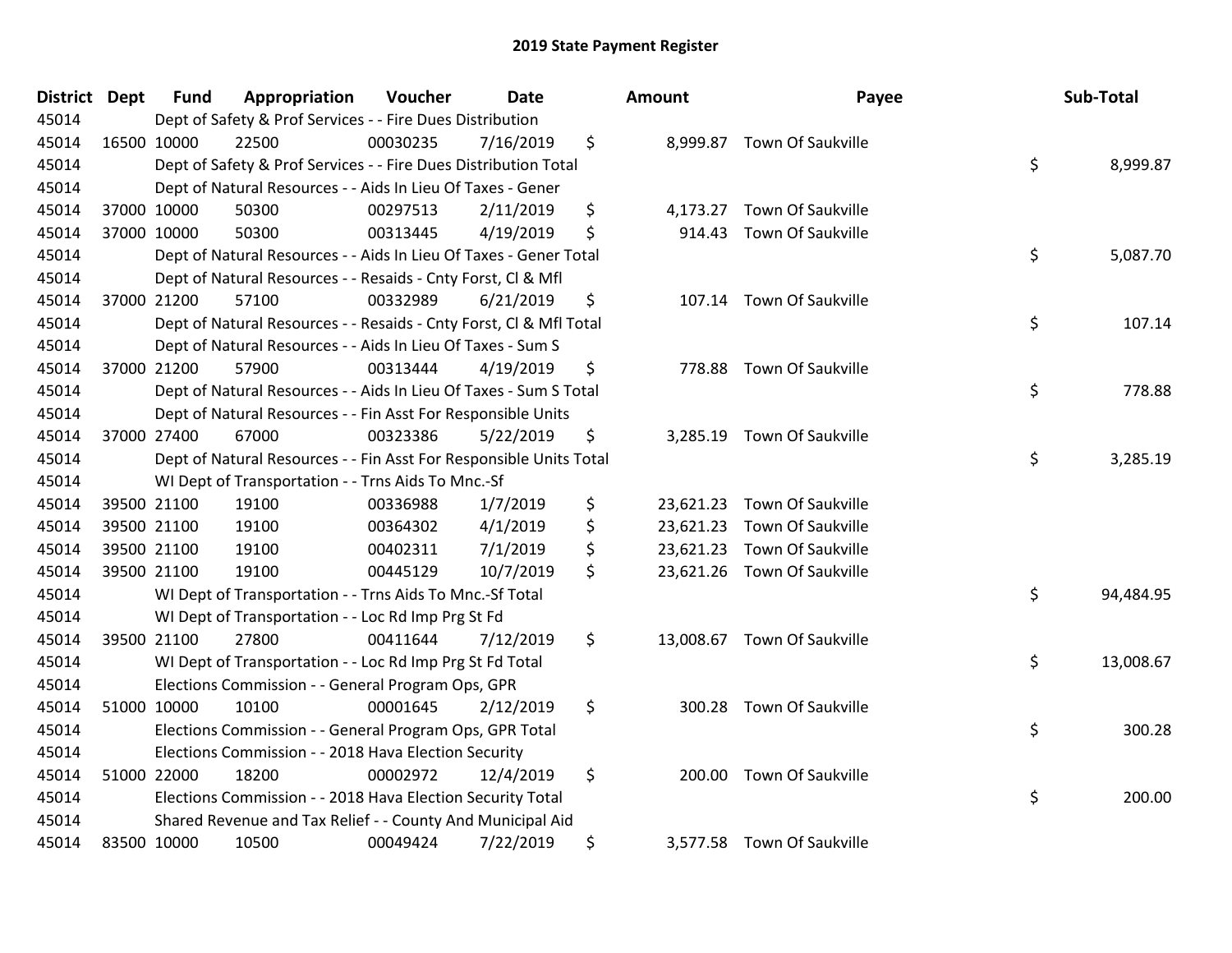| District Dept |             | <b>Fund</b> | Appropriation                                                      | Voucher  | <b>Date</b> | Amount          | Payee                       | Sub-Total       |
|---------------|-------------|-------------|--------------------------------------------------------------------|----------|-------------|-----------------|-----------------------------|-----------------|
| 45014         |             |             | Dept of Safety & Prof Services - - Fire Dues Distribution          |          |             |                 |                             |                 |
| 45014         |             | 16500 10000 | 22500                                                              | 00030235 | 7/16/2019   | \$              | 8,999.87 Town Of Saukville  |                 |
| 45014         |             |             | Dept of Safety & Prof Services - - Fire Dues Distribution Total    |          |             |                 |                             | \$<br>8,999.87  |
| 45014         |             |             | Dept of Natural Resources - - Aids In Lieu Of Taxes - Gener        |          |             |                 |                             |                 |
| 45014         |             | 37000 10000 | 50300                                                              | 00297513 | 2/11/2019   | \$<br>4,173.27  | Town Of Saukville           |                 |
| 45014         |             | 37000 10000 | 50300                                                              | 00313445 | 4/19/2019   | \$<br>914.43    | Town Of Saukville           |                 |
| 45014         |             |             | Dept of Natural Resources - - Aids In Lieu Of Taxes - Gener Total  |          |             |                 |                             | \$<br>5,087.70  |
| 45014         |             |             | Dept of Natural Resources - - Resaids - Cnty Forst, Cl & Mfl       |          |             |                 |                             |                 |
| 45014         |             | 37000 21200 | 57100                                                              | 00332989 | 6/21/2019   | \$              | 107.14 Town Of Saukville    |                 |
| 45014         |             |             | Dept of Natural Resources - - Resaids - Cnty Forst, Cl & Mfl Total |          |             |                 |                             | \$<br>107.14    |
| 45014         |             |             | Dept of Natural Resources - - Aids In Lieu Of Taxes - Sum S        |          |             |                 |                             |                 |
| 45014         |             | 37000 21200 | 57900                                                              | 00313444 | 4/19/2019   | \$              | 778.88 Town Of Saukville    |                 |
| 45014         |             |             | Dept of Natural Resources - - Aids In Lieu Of Taxes - Sum S Total  |          |             |                 |                             | \$<br>778.88    |
| 45014         |             |             | Dept of Natural Resources - - Fin Asst For Responsible Units       |          |             |                 |                             |                 |
| 45014         |             | 37000 27400 | 67000                                                              | 00323386 | 5/22/2019   | \$<br>3,285.19  | Town Of Saukville           |                 |
| 45014         |             |             | Dept of Natural Resources - - Fin Asst For Responsible Units Total |          |             |                 |                             | \$<br>3,285.19  |
| 45014         |             |             | WI Dept of Transportation - - Trns Aids To Mnc.-Sf                 |          |             |                 |                             |                 |
| 45014         |             | 39500 21100 | 19100                                                              | 00336988 | 1/7/2019    | \$<br>23,621.23 | Town Of Saukville           |                 |
| 45014         |             | 39500 21100 | 19100                                                              | 00364302 | 4/1/2019    | \$              | 23,621.23 Town Of Saukville |                 |
| 45014         |             | 39500 21100 | 19100                                                              | 00402311 | 7/1/2019    | \$<br>23,621.23 | Town Of Saukville           |                 |
| 45014         |             | 39500 21100 | 19100                                                              | 00445129 | 10/7/2019   | \$              | 23,621.26 Town Of Saukville |                 |
| 45014         |             |             | WI Dept of Transportation - - Trns Aids To Mnc.-Sf Total           |          |             |                 |                             | \$<br>94,484.95 |
| 45014         |             |             | WI Dept of Transportation - - Loc Rd Imp Prg St Fd                 |          |             |                 |                             |                 |
| 45014         |             | 39500 21100 | 27800                                                              | 00411644 | 7/12/2019   | \$              | 13,008.67 Town Of Saukville |                 |
| 45014         |             |             | WI Dept of Transportation - - Loc Rd Imp Prg St Fd Total           |          |             |                 |                             | \$<br>13,008.67 |
| 45014         |             |             | Elections Commission - - General Program Ops, GPR                  |          |             |                 |                             |                 |
| 45014         |             | 51000 10000 | 10100                                                              | 00001645 | 2/12/2019   | \$<br>300.28    | <b>Town Of Saukville</b>    |                 |
| 45014         |             |             | Elections Commission - - General Program Ops, GPR Total            |          |             |                 |                             | \$<br>300.28    |
| 45014         |             |             | Elections Commission - - 2018 Hava Election Security               |          |             |                 |                             |                 |
| 45014         | 51000 22000 |             | 18200                                                              | 00002972 | 12/4/2019   | \$<br>200.00    | Town Of Saukville           |                 |
| 45014         |             |             | Elections Commission - - 2018 Hava Election Security Total         |          |             |                 |                             | \$<br>200.00    |
| 45014         |             |             | Shared Revenue and Tax Relief - - County And Municipal Aid         |          |             |                 |                             |                 |
| 45014         |             | 83500 10000 | 10500                                                              | 00049424 | 7/22/2019   | \$              | 3,577.58 Town Of Saukville  |                 |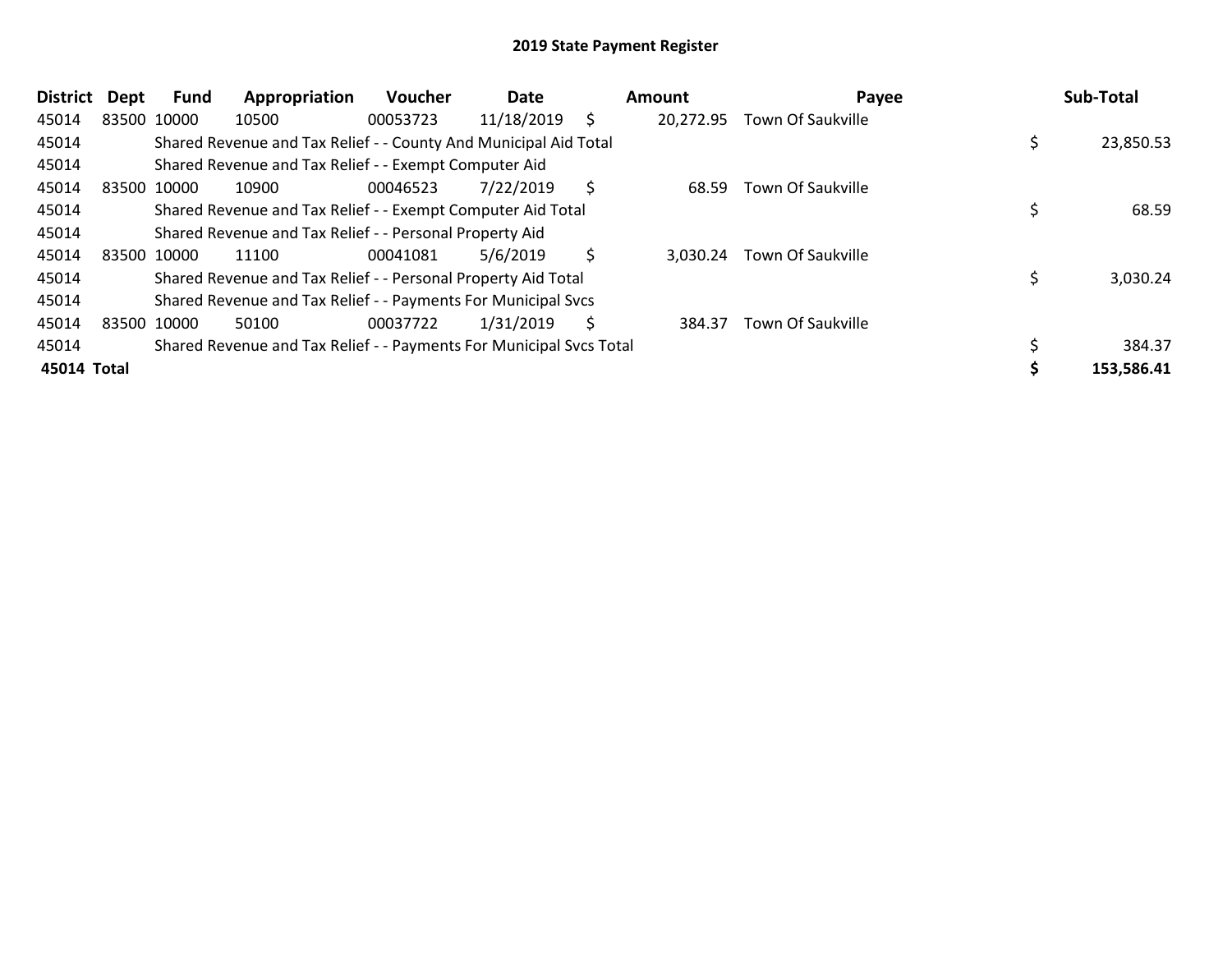| <b>District</b> | <b>Dept</b> | Fund | Appropriation                                                       | Voucher  | Date       |    | Amount    | Payee             | Sub-Total  |
|-----------------|-------------|------|---------------------------------------------------------------------|----------|------------|----|-----------|-------------------|------------|
| 45014           | 83500 10000 |      | 10500                                                               | 00053723 | 11/18/2019 | \$ | 20,272.95 | Town Of Saukville |            |
| 45014           |             |      | Shared Revenue and Tax Relief - - County And Municipal Aid Total    |          |            |    |           |                   | 23,850.53  |
| 45014           |             |      | Shared Revenue and Tax Relief - - Exempt Computer Aid               |          |            |    |           |                   |            |
| 45014           | 83500 10000 |      | 10900                                                               | 00046523 | 7/22/2019  | \$ | 68.59     | Town Of Saukville |            |
| 45014           |             |      | Shared Revenue and Tax Relief - - Exempt Computer Aid Total         |          |            |    |           |                   | 68.59      |
| 45014           |             |      | Shared Revenue and Tax Relief - - Personal Property Aid             |          |            |    |           |                   |            |
| 45014           | 83500 10000 |      | 11100                                                               | 00041081 | 5/6/2019   | \$ | 3.030.24  | Town Of Saukville |            |
| 45014           |             |      | Shared Revenue and Tax Relief - - Personal Property Aid Total       |          |            |    |           |                   | 3,030.24   |
| 45014           |             |      | Shared Revenue and Tax Relief - - Payments For Municipal Svcs       |          |            |    |           |                   |            |
| 45014           | 83500 10000 |      | 50100                                                               | 00037722 | 1/31/2019  | S  | 384.37    | Town Of Saukville |            |
| 45014           |             |      | Shared Revenue and Tax Relief - - Payments For Municipal Svcs Total |          |            |    |           |                   | 384.37     |
| 45014 Total     |             |      |                                                                     |          |            |    |           |                   | 153,586.41 |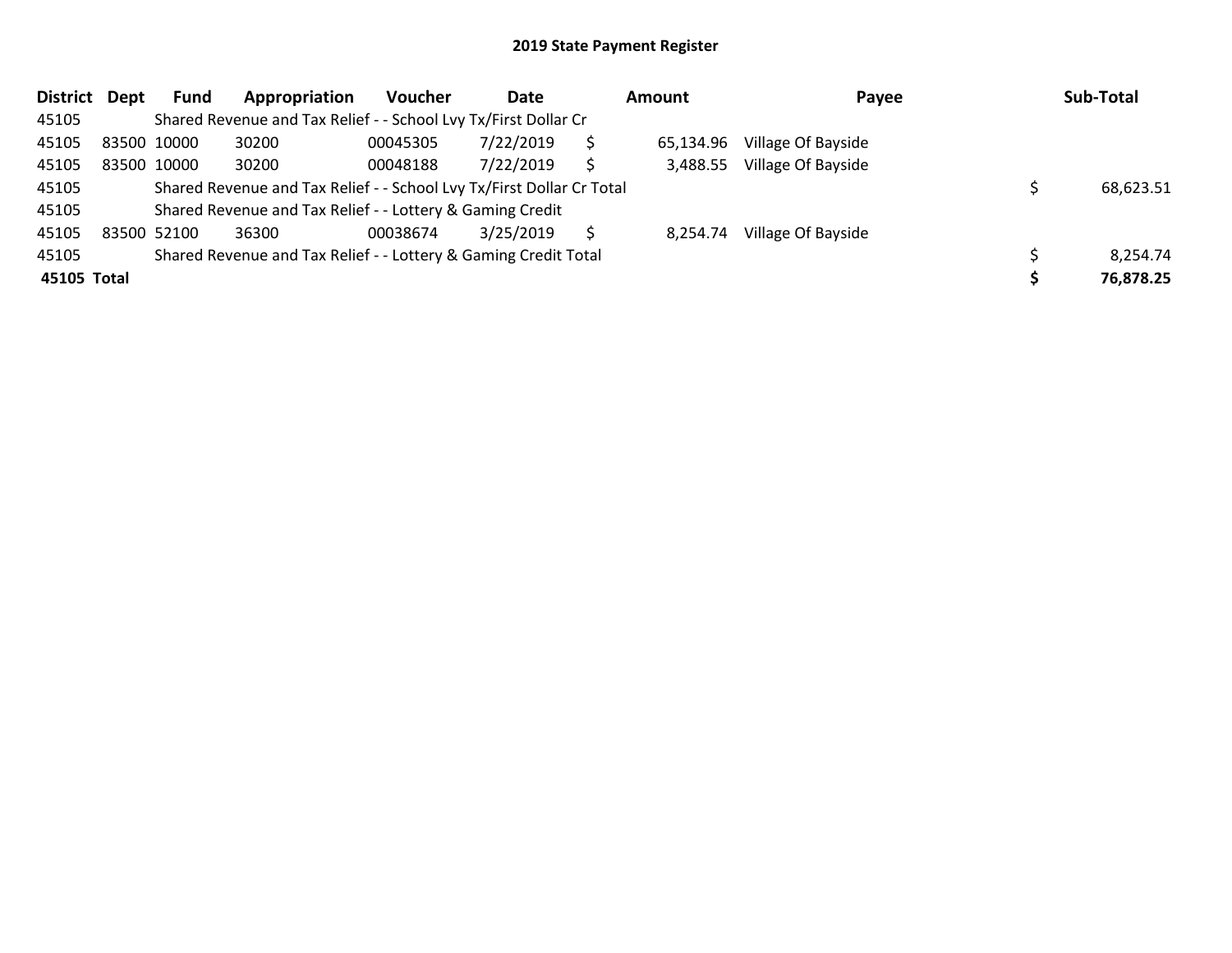| <b>District</b> | Dept | <b>Fund</b> | Appropriation                                                         | <b>Voucher</b> | Date      | <b>Amount</b> |           | Payee              | Sub-Total |
|-----------------|------|-------------|-----------------------------------------------------------------------|----------------|-----------|---------------|-----------|--------------------|-----------|
| 45105           |      |             | Shared Revenue and Tax Relief - - School Lvy Tx/First Dollar Cr       |                |           |               |           |                    |           |
| 45105           |      | 83500 10000 | 30200                                                                 | 00045305       | 7/22/2019 |               | 65,134.96 | Village Of Bayside |           |
| 45105           |      | 83500 10000 | 30200                                                                 | 00048188       | 7/22/2019 | Ŝ             | 3,488.55  | Village Of Bayside |           |
| 45105           |      |             | Shared Revenue and Tax Relief - - School Lvy Tx/First Dollar Cr Total |                |           |               |           |                    | 68,623.51 |
| 45105           |      |             | Shared Revenue and Tax Relief - - Lottery & Gaming Credit             |                |           |               |           |                    |           |
| 45105           |      | 83500 52100 | 36300                                                                 | 00038674       | 3/25/2019 |               | 8,254.74  | Village Of Bayside |           |
| 45105           |      |             | Shared Revenue and Tax Relief - - Lottery & Gaming Credit Total       |                |           |               |           |                    | 8,254.74  |
| 45105 Total     |      |             |                                                                       |                |           |               |           |                    | 76,878.25 |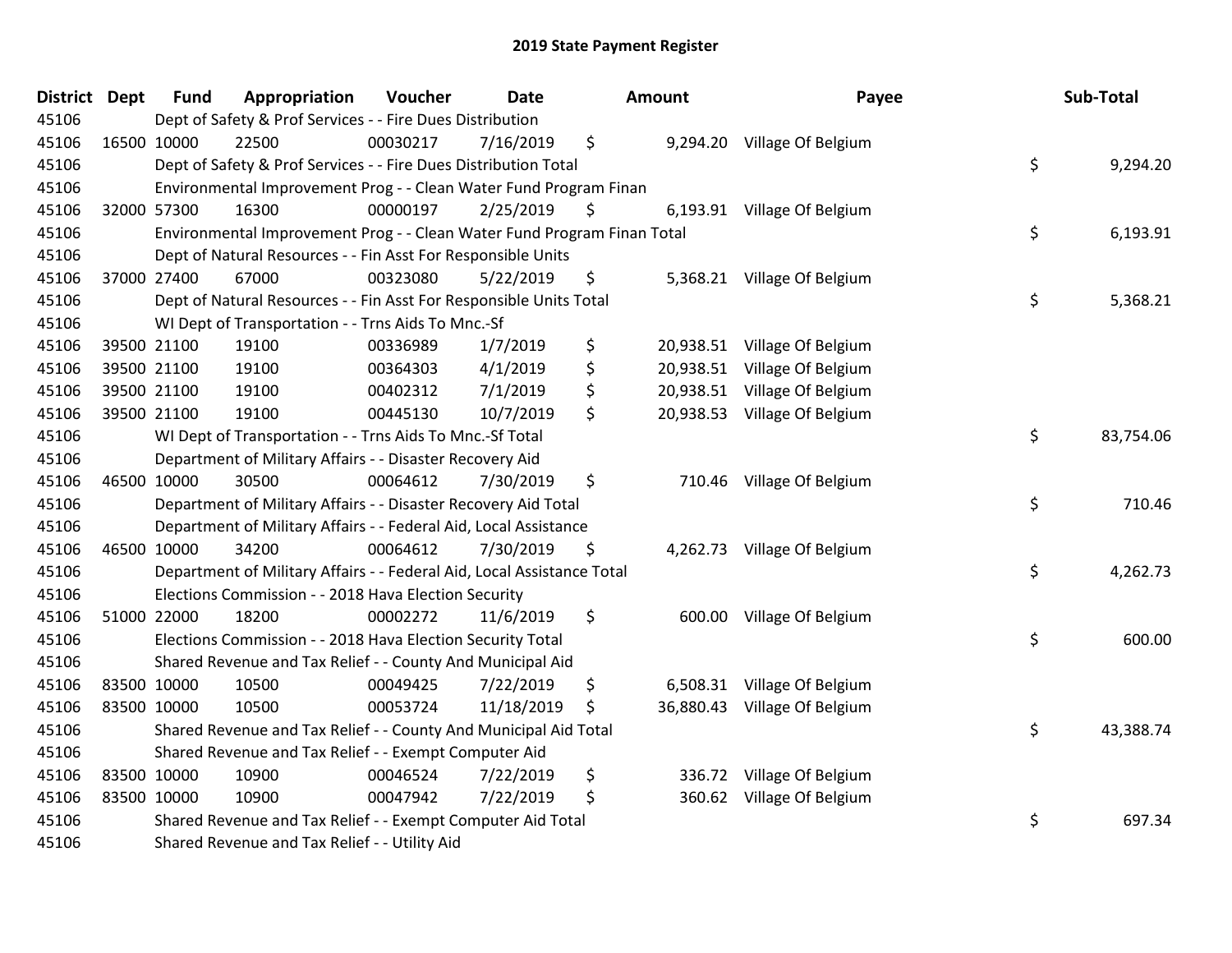| <b>District</b> | <b>Dept</b> | <b>Fund</b> | Appropriation                                                           | Voucher  | <b>Date</b> | Amount          | Payee                        | Sub-Total       |
|-----------------|-------------|-------------|-------------------------------------------------------------------------|----------|-------------|-----------------|------------------------------|-----------------|
| 45106           |             |             | Dept of Safety & Prof Services - - Fire Dues Distribution               |          |             |                 |                              |                 |
| 45106           |             | 16500 10000 | 22500                                                                   | 00030217 | 7/16/2019   | \$              | 9,294.20 Village Of Belgium  |                 |
| 45106           |             |             | Dept of Safety & Prof Services - - Fire Dues Distribution Total         |          |             |                 |                              | \$<br>9,294.20  |
| 45106           |             |             | Environmental Improvement Prog - - Clean Water Fund Program Finan       |          |             |                 |                              |                 |
| 45106           |             | 32000 57300 | 16300                                                                   | 00000197 | 2/25/2019   | \$              | 6,193.91 Village Of Belgium  |                 |
| 45106           |             |             | Environmental Improvement Prog - - Clean Water Fund Program Finan Total |          |             |                 |                              | \$<br>6,193.91  |
| 45106           |             |             | Dept of Natural Resources - - Fin Asst For Responsible Units            |          |             |                 |                              |                 |
| 45106           |             | 37000 27400 | 67000                                                                   | 00323080 | 5/22/2019   | \$              | 5,368.21 Village Of Belgium  |                 |
| 45106           |             |             | Dept of Natural Resources - - Fin Asst For Responsible Units Total      |          |             |                 |                              | \$<br>5,368.21  |
| 45106           |             |             | WI Dept of Transportation - - Trns Aids To Mnc.-Sf                      |          |             |                 |                              |                 |
| 45106           |             | 39500 21100 | 19100                                                                   | 00336989 | 1/7/2019    | \$<br>20,938.51 | Village Of Belgium           |                 |
| 45106           |             | 39500 21100 | 19100                                                                   | 00364303 | 4/1/2019    | \$<br>20,938.51 | Village Of Belgium           |                 |
| 45106           |             | 39500 21100 | 19100                                                                   | 00402312 | 7/1/2019    | \$              | 20,938.51 Village Of Belgium |                 |
| 45106           |             | 39500 21100 | 19100                                                                   | 00445130 | 10/7/2019   | \$              | 20,938.53 Village Of Belgium |                 |
| 45106           |             |             | WI Dept of Transportation - - Trns Aids To Mnc.-Sf Total                |          |             |                 |                              | \$<br>83,754.06 |
| 45106           |             |             | Department of Military Affairs - - Disaster Recovery Aid                |          |             |                 |                              |                 |
| 45106           |             | 46500 10000 | 30500                                                                   | 00064612 | 7/30/2019   | \$<br>710.46    | Village Of Belgium           |                 |
| 45106           |             |             | Department of Military Affairs - - Disaster Recovery Aid Total          |          |             |                 |                              | \$<br>710.46    |
| 45106           |             |             | Department of Military Affairs - - Federal Aid, Local Assistance        |          |             |                 |                              |                 |
| 45106           |             | 46500 10000 | 34200                                                                   | 00064612 | 7/30/2019   | \$              | 4,262.73 Village Of Belgium  |                 |
| 45106           |             |             | Department of Military Affairs - - Federal Aid, Local Assistance Total  |          |             |                 |                              | \$<br>4,262.73  |
| 45106           |             |             | Elections Commission - - 2018 Hava Election Security                    |          |             |                 |                              |                 |
| 45106           |             | 51000 22000 | 18200                                                                   | 00002272 | 11/6/2019   | \$              | 600.00 Village Of Belgium    |                 |
| 45106           |             |             | Elections Commission - - 2018 Hava Election Security Total              |          |             |                 |                              | \$<br>600.00    |
| 45106           |             |             | Shared Revenue and Tax Relief - - County And Municipal Aid              |          |             |                 |                              |                 |
| 45106           |             | 83500 10000 | 10500                                                                   | 00049425 | 7/22/2019   | \$<br>6,508.31  | Village Of Belgium           |                 |
| 45106           |             | 83500 10000 | 10500                                                                   | 00053724 | 11/18/2019  | \$              | 36,880.43 Village Of Belgium |                 |
| 45106           |             |             | Shared Revenue and Tax Relief - - County And Municipal Aid Total        |          |             |                 |                              | \$<br>43,388.74 |
| 45106           |             |             | Shared Revenue and Tax Relief - - Exempt Computer Aid                   |          |             |                 |                              |                 |
| 45106           |             | 83500 10000 | 10900                                                                   | 00046524 | 7/22/2019   | \$<br>336.72    | Village Of Belgium           |                 |
| 45106           |             | 83500 10000 | 10900                                                                   | 00047942 | 7/22/2019   | \$<br>360.62    | Village Of Belgium           |                 |
| 45106           |             |             | Shared Revenue and Tax Relief - - Exempt Computer Aid Total             |          |             |                 |                              | \$<br>697.34    |
| 45106           |             |             | Shared Revenue and Tax Relief - - Utility Aid                           |          |             |                 |                              |                 |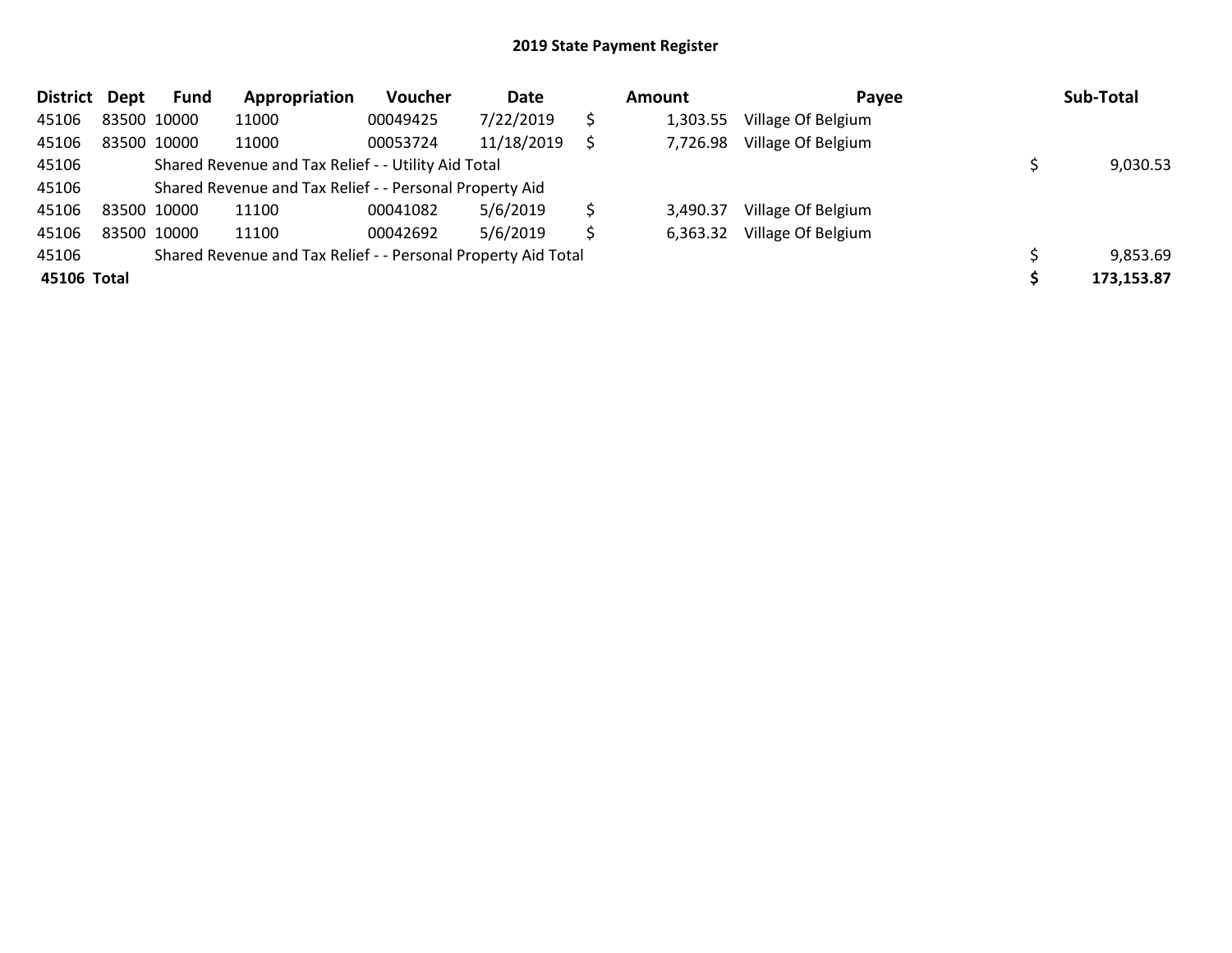| District    | Dept | Fund        | Appropriation                                                 | Voucher  | Date       |    | Amount   | Payee              | Sub-Total  |
|-------------|------|-------------|---------------------------------------------------------------|----------|------------|----|----------|--------------------|------------|
| 45106       |      | 83500 10000 | 11000                                                         | 00049425 | 7/22/2019  | \$ | 1,303.55 | Village Of Belgium |            |
| 45106       |      | 83500 10000 | 11000                                                         | 00053724 | 11/18/2019 | S  | 7,726.98 | Village Of Belgium |            |
| 45106       |      |             | Shared Revenue and Tax Relief - - Utility Aid Total           |          |            |    |          |                    | 9,030.53   |
| 45106       |      |             | Shared Revenue and Tax Relief - - Personal Property Aid       |          |            |    |          |                    |            |
| 45106       |      | 83500 10000 | 11100                                                         | 00041082 | 5/6/2019   | Ś  | 3,490.37 | Village Of Belgium |            |
| 45106       |      | 83500 10000 | 11100                                                         | 00042692 | 5/6/2019   | Ś  | 6,363.32 | Village Of Belgium |            |
| 45106       |      |             | Shared Revenue and Tax Relief - - Personal Property Aid Total |          |            |    |          |                    | 9,853.69   |
| 45106 Total |      |             |                                                               |          |            |    |          |                    | 173,153.87 |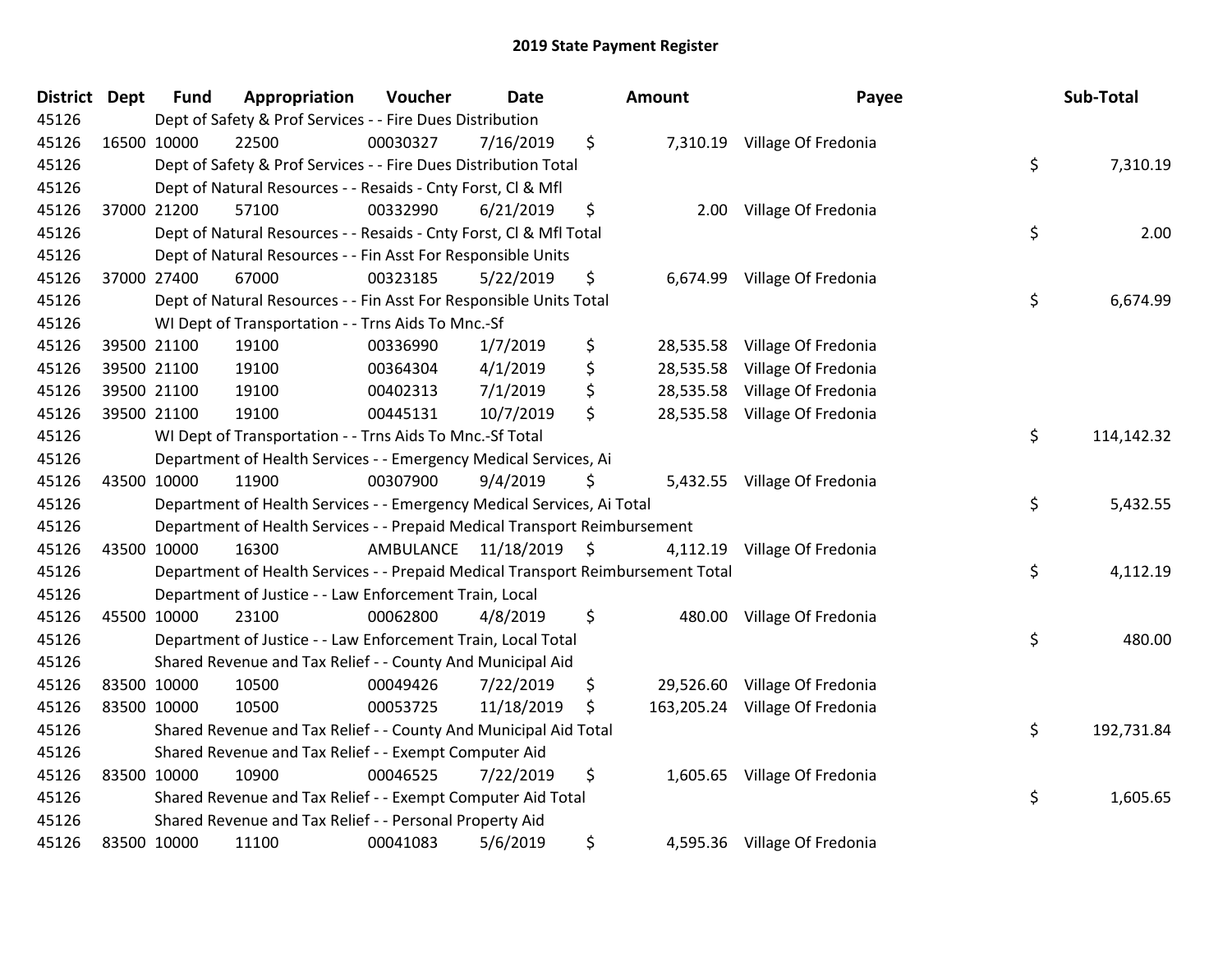| <b>District</b> | <b>Dept</b> | <b>Fund</b> | Appropriation                                                                   | Voucher              | <b>Date</b> | Amount          | Payee                          | Sub-Total        |
|-----------------|-------------|-------------|---------------------------------------------------------------------------------|----------------------|-------------|-----------------|--------------------------------|------------------|
| 45126           |             |             | Dept of Safety & Prof Services - - Fire Dues Distribution                       |                      |             |                 |                                |                  |
| 45126           | 16500 10000 |             | 22500                                                                           | 00030327             | 7/16/2019   | \$              | 7,310.19 Village Of Fredonia   |                  |
| 45126           |             |             | Dept of Safety & Prof Services - - Fire Dues Distribution Total                 |                      |             |                 |                                | \$<br>7,310.19   |
| 45126           |             |             | Dept of Natural Resources - - Resaids - Cnty Forst, Cl & Mfl                    |                      |             |                 |                                |                  |
| 45126           |             | 37000 21200 | 57100                                                                           | 00332990             | 6/21/2019   | \$<br>2.00      | Village Of Fredonia            |                  |
| 45126           |             |             | Dept of Natural Resources - - Resaids - Cnty Forst, Cl & Mfl Total              |                      |             |                 |                                | \$<br>2.00       |
| 45126           |             |             | Dept of Natural Resources - - Fin Asst For Responsible Units                    |                      |             |                 |                                |                  |
| 45126           |             | 37000 27400 | 67000                                                                           | 00323185             | 5/22/2019   | \$              | 6,674.99 Village Of Fredonia   |                  |
| 45126           |             |             | Dept of Natural Resources - - Fin Asst For Responsible Units Total              |                      |             |                 |                                | \$<br>6,674.99   |
| 45126           |             |             | WI Dept of Transportation - - Trns Aids To Mnc.-Sf                              |                      |             |                 |                                |                  |
| 45126           |             | 39500 21100 | 19100                                                                           | 00336990             | 1/7/2019    | \$<br>28,535.58 | Village Of Fredonia            |                  |
| 45126           |             | 39500 21100 | 19100                                                                           | 00364304             | 4/1/2019    | \$<br>28,535.58 | Village Of Fredonia            |                  |
| 45126           |             | 39500 21100 | 19100                                                                           | 00402313             | 7/1/2019    | \$              | 28,535.58 Village Of Fredonia  |                  |
| 45126           |             | 39500 21100 | 19100                                                                           | 00445131             | 10/7/2019   | \$<br>28,535.58 | Village Of Fredonia            |                  |
| 45126           |             |             | WI Dept of Transportation - - Trns Aids To Mnc.-Sf Total                        |                      |             |                 |                                | \$<br>114,142.32 |
| 45126           |             |             | Department of Health Services - - Emergency Medical Services, Ai                |                      |             |                 |                                |                  |
| 45126           |             | 43500 10000 | 11900                                                                           | 00307900             | 9/4/2019    | \$              | 5,432.55 Village Of Fredonia   |                  |
| 45126           |             |             | Department of Health Services - - Emergency Medical Services, Ai Total          |                      |             |                 |                                | \$<br>5,432.55   |
| 45126           |             |             | Department of Health Services - - Prepaid Medical Transport Reimbursement       |                      |             |                 |                                |                  |
| 45126           |             | 43500 10000 | 16300                                                                           | AMBULANCE 11/18/2019 |             | \$<br>4,112.19  | Village Of Fredonia            |                  |
| 45126           |             |             | Department of Health Services - - Prepaid Medical Transport Reimbursement Total |                      |             |                 |                                | \$<br>4,112.19   |
| 45126           |             |             | Department of Justice - - Law Enforcement Train, Local                          |                      |             |                 |                                |                  |
| 45126           | 45500 10000 |             | 23100                                                                           | 00062800             | 4/8/2019    | \$              | 480.00 Village Of Fredonia     |                  |
| 45126           |             |             | Department of Justice - - Law Enforcement Train, Local Total                    |                      |             |                 |                                | \$<br>480.00     |
| 45126           |             |             | Shared Revenue and Tax Relief - - County And Municipal Aid                      |                      |             |                 |                                |                  |
| 45126           |             | 83500 10000 | 10500                                                                           | 00049426             | 7/22/2019   | \$<br>29,526.60 | Village Of Fredonia            |                  |
| 45126           | 83500 10000 |             | 10500                                                                           | 00053725             | 11/18/2019  | \$              | 163,205.24 Village Of Fredonia |                  |
| 45126           |             |             | Shared Revenue and Tax Relief - - County And Municipal Aid Total                |                      |             |                 |                                | \$<br>192,731.84 |
| 45126           |             |             | Shared Revenue and Tax Relief - - Exempt Computer Aid                           |                      |             |                 |                                |                  |
| 45126           | 83500 10000 |             | 10900                                                                           | 00046525             | 7/22/2019   | \$              | 1,605.65 Village Of Fredonia   |                  |
| 45126           |             |             | Shared Revenue and Tax Relief - - Exempt Computer Aid Total                     |                      |             |                 |                                | \$<br>1,605.65   |
| 45126           |             |             | Shared Revenue and Tax Relief - - Personal Property Aid                         |                      |             |                 |                                |                  |
| 45126           |             | 83500 10000 | 11100                                                                           | 00041083             | 5/6/2019    | \$              | 4,595.36 Village Of Fredonia   |                  |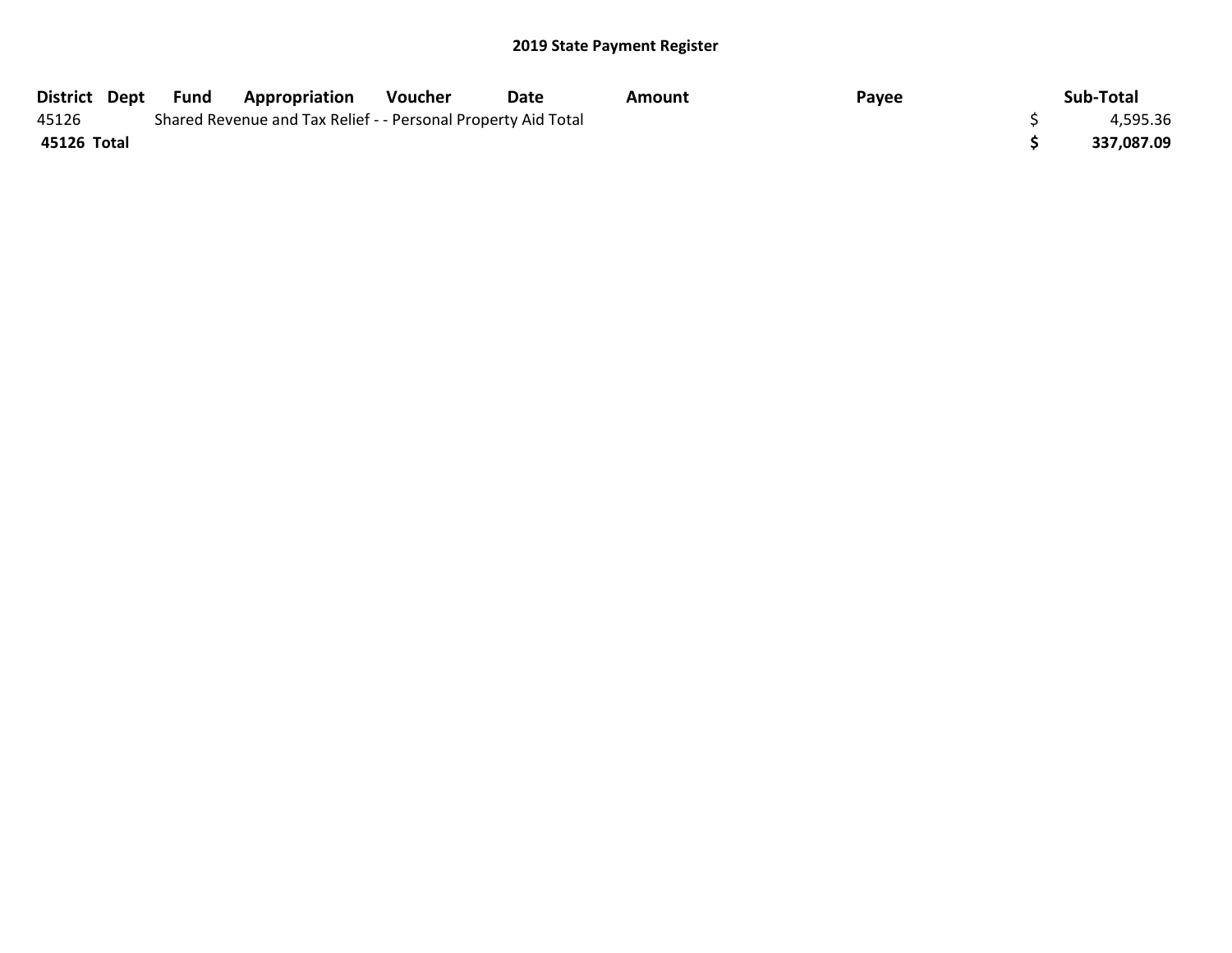|             | District Dept Fund | <b>Appropriation</b>                                          | Voucher | Date | Amount | Payee | Sub-Total  |
|-------------|--------------------|---------------------------------------------------------------|---------|------|--------|-------|------------|
| 45126       |                    | Shared Revenue and Tax Relief - - Personal Property Aid Total |         |      |        |       | 4,595.36   |
| 45126 Total |                    |                                                               |         |      |        |       | 337,087.09 |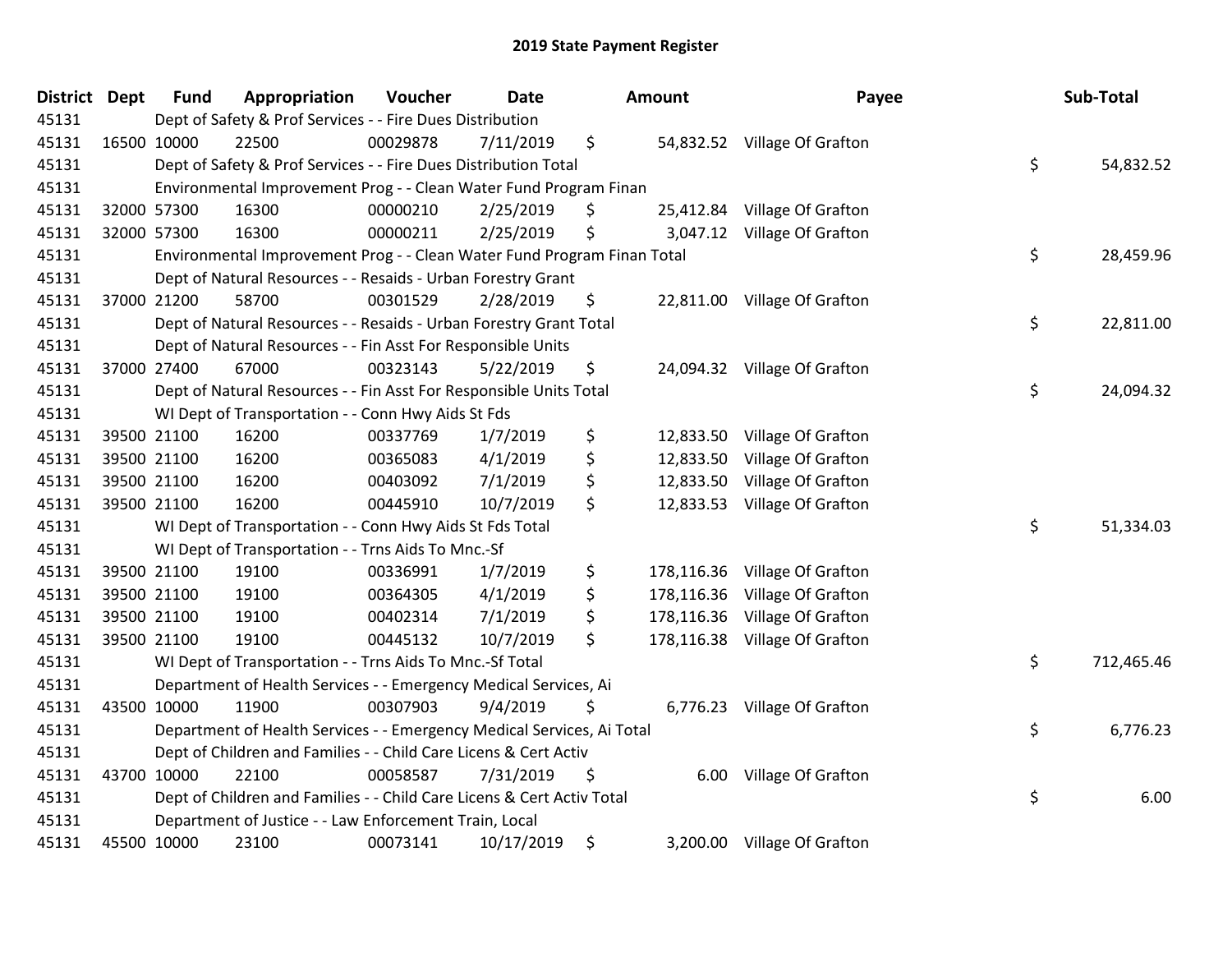| <b>District Dept</b> | <b>Fund</b> | Appropriation                                                           | Voucher  | <b>Date</b> | Amount           | Payee                         | Sub-Total        |
|----------------------|-------------|-------------------------------------------------------------------------|----------|-------------|------------------|-------------------------------|------------------|
| 45131                |             | Dept of Safety & Prof Services - - Fire Dues Distribution               |          |             |                  |                               |                  |
| 45131                | 16500 10000 | 22500                                                                   | 00029878 | 7/11/2019   | \$               | 54,832.52 Village Of Grafton  |                  |
| 45131                |             | Dept of Safety & Prof Services - - Fire Dues Distribution Total         |          |             |                  |                               | \$<br>54,832.52  |
| 45131                |             | Environmental Improvement Prog - - Clean Water Fund Program Finan       |          |             |                  |                               |                  |
| 45131                | 32000 57300 | 16300                                                                   | 00000210 | 2/25/2019   | \$<br>25,412.84  | Village Of Grafton            |                  |
| 45131                | 32000 57300 | 16300                                                                   | 00000211 | 2/25/2019   | \$<br>3,047.12   | Village Of Grafton            |                  |
| 45131                |             | Environmental Improvement Prog - - Clean Water Fund Program Finan Total |          |             |                  |                               | \$<br>28,459.96  |
| 45131                |             | Dept of Natural Resources - - Resaids - Urban Forestry Grant            |          |             |                  |                               |                  |
| 45131                | 37000 21200 | 58700                                                                   | 00301529 | 2/28/2019   | \$               | 22,811.00 Village Of Grafton  |                  |
| 45131                |             | Dept of Natural Resources - - Resaids - Urban Forestry Grant Total      |          |             |                  |                               | \$<br>22,811.00  |
| 45131                |             | Dept of Natural Resources - - Fin Asst For Responsible Units            |          |             |                  |                               |                  |
| 45131                | 37000 27400 | 67000                                                                   | 00323143 | 5/22/2019   | \$               | 24,094.32 Village Of Grafton  |                  |
| 45131                |             | Dept of Natural Resources - - Fin Asst For Responsible Units Total      |          |             |                  |                               | \$<br>24,094.32  |
| 45131                |             | WI Dept of Transportation - - Conn Hwy Aids St Fds                      |          |             |                  |                               |                  |
| 45131                | 39500 21100 | 16200                                                                   | 00337769 | 1/7/2019    | \$<br>12,833.50  | Village Of Grafton            |                  |
| 45131                | 39500 21100 | 16200                                                                   | 00365083 | 4/1/2019    | \$<br>12,833.50  | Village Of Grafton            |                  |
| 45131                | 39500 21100 | 16200                                                                   | 00403092 | 7/1/2019    | \$<br>12,833.50  | Village Of Grafton            |                  |
| 45131                | 39500 21100 | 16200                                                                   | 00445910 | 10/7/2019   | \$<br>12,833.53  | Village Of Grafton            |                  |
| 45131                |             | WI Dept of Transportation - - Conn Hwy Aids St Fds Total                |          |             |                  |                               | \$<br>51,334.03  |
| 45131                |             | WI Dept of Transportation - - Trns Aids To Mnc.-Sf                      |          |             |                  |                               |                  |
| 45131                | 39500 21100 | 19100                                                                   | 00336991 | 1/7/2019    | \$<br>178,116.36 | Village Of Grafton            |                  |
| 45131                | 39500 21100 | 19100                                                                   | 00364305 | 4/1/2019    | \$<br>178,116.36 | Village Of Grafton            |                  |
| 45131                | 39500 21100 | 19100                                                                   | 00402314 | 7/1/2019    | \$<br>178,116.36 | Village Of Grafton            |                  |
| 45131                | 39500 21100 | 19100                                                                   | 00445132 | 10/7/2019   | \$               | 178,116.38 Village Of Grafton |                  |
| 45131                |             | WI Dept of Transportation - - Trns Aids To Mnc.-Sf Total                |          |             |                  |                               | \$<br>712,465.46 |
| 45131                |             | Department of Health Services - - Emergency Medical Services, Ai        |          |             |                  |                               |                  |
| 45131                | 43500 10000 | 11900                                                                   | 00307903 | 9/4/2019    | \$               | 6,776.23 Village Of Grafton   |                  |
| 45131                |             | Department of Health Services - - Emergency Medical Services, Ai Total  |          |             |                  |                               | \$<br>6,776.23   |
| 45131                |             | Dept of Children and Families - - Child Care Licens & Cert Activ        |          |             |                  |                               |                  |
| 45131                | 43700 10000 | 22100                                                                   | 00058587 | 7/31/2019   | \$<br>6.00       | Village Of Grafton            |                  |
| 45131                |             | Dept of Children and Families - - Child Care Licens & Cert Activ Total  |          |             |                  |                               | \$<br>6.00       |
| 45131                |             | Department of Justice - - Law Enforcement Train, Local                  |          |             |                  |                               |                  |
| 45131                | 45500 10000 | 23100                                                                   | 00073141 | 10/17/2019  | \$               | 3,200.00 Village Of Grafton   |                  |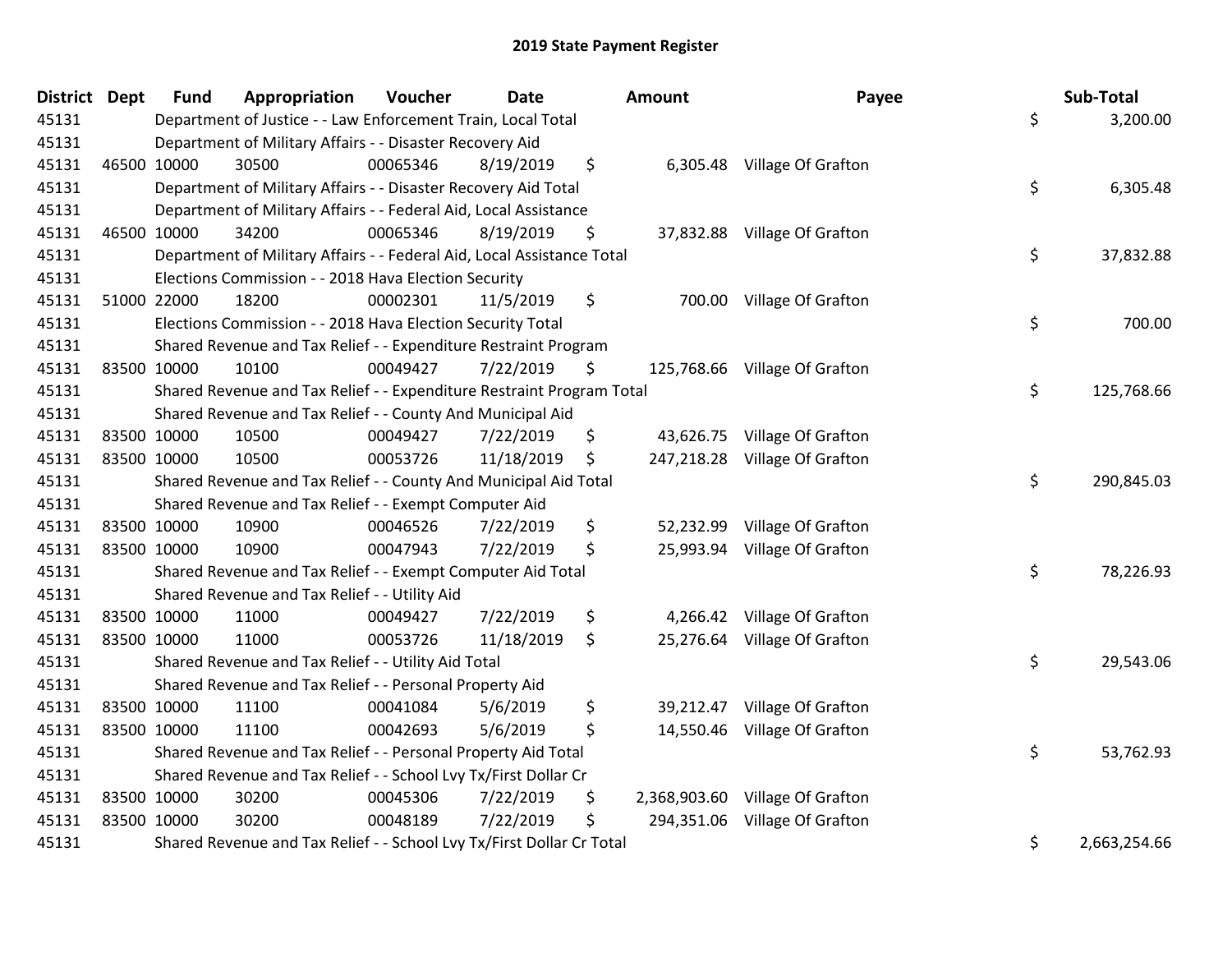| District Dept | <b>Fund</b> | Appropriation                                                          | Voucher  | <b>Date</b> |         | Amount     | Payee                           | Sub-Total          |
|---------------|-------------|------------------------------------------------------------------------|----------|-------------|---------|------------|---------------------------------|--------------------|
| 45131         |             | Department of Justice - - Law Enforcement Train, Local Total           |          |             |         |            |                                 | \$<br>3,200.00     |
| 45131         |             | Department of Military Affairs - - Disaster Recovery Aid               |          |             |         |            |                                 |                    |
| 45131         | 46500 10000 | 30500                                                                  | 00065346 | 8/19/2019   | \$      |            | 6,305.48 Village Of Grafton     |                    |
| 45131         |             | Department of Military Affairs - - Disaster Recovery Aid Total         |          |             |         |            |                                 | \$<br>6,305.48     |
| 45131         |             | Department of Military Affairs - - Federal Aid, Local Assistance       |          |             |         |            |                                 |                    |
| 45131         | 46500 10000 | 34200                                                                  | 00065346 | 8/19/2019   | \$      |            | 37,832.88 Village Of Grafton    |                    |
| 45131         |             | Department of Military Affairs - - Federal Aid, Local Assistance Total |          |             |         |            |                                 | \$<br>37,832.88    |
| 45131         |             | Elections Commission - - 2018 Hava Election Security                   |          |             |         |            |                                 |                    |
| 45131         | 51000 22000 | 18200                                                                  | 00002301 | 11/5/2019   | \$      |            | 700.00 Village Of Grafton       |                    |
| 45131         |             | Elections Commission - - 2018 Hava Election Security Total             |          |             |         |            |                                 | \$<br>700.00       |
| 45131         |             | Shared Revenue and Tax Relief - - Expenditure Restraint Program        |          |             |         |            |                                 |                    |
| 45131         | 83500 10000 | 10100                                                                  | 00049427 | 7/22/2019   | \$      |            | 125,768.66 Village Of Grafton   |                    |
| 45131         |             | Shared Revenue and Tax Relief - - Expenditure Restraint Program Total  |          |             |         |            |                                 | \$<br>125,768.66   |
| 45131         |             | Shared Revenue and Tax Relief - - County And Municipal Aid             |          |             |         |            |                                 |                    |
| 45131         | 83500 10000 | 10500                                                                  | 00049427 | 7/22/2019   | \$      |            | 43,626.75 Village Of Grafton    |                    |
| 45131         | 83500 10000 | 10500                                                                  | 00053726 | 11/18/2019  | \$      |            | 247,218.28 Village Of Grafton   |                    |
| 45131         |             | Shared Revenue and Tax Relief - - County And Municipal Aid Total       |          |             |         |            |                                 | \$<br>290,845.03   |
| 45131         |             | Shared Revenue and Tax Relief - - Exempt Computer Aid                  |          |             |         |            |                                 |                    |
| 45131         | 83500 10000 | 10900                                                                  | 00046526 | 7/22/2019   | \$      |            | 52,232.99 Village Of Grafton    |                    |
| 45131         | 83500 10000 | 10900                                                                  | 00047943 | 7/22/2019   | \$      |            | 25,993.94 Village Of Grafton    |                    |
| 45131         |             | Shared Revenue and Tax Relief - - Exempt Computer Aid Total            |          |             |         |            |                                 | \$<br>78,226.93    |
| 45131         |             | Shared Revenue and Tax Relief - - Utility Aid                          |          |             |         |            |                                 |                    |
| 45131         | 83500 10000 | 11000                                                                  | 00049427 | 7/22/2019   | \$      |            | 4,266.42 Village Of Grafton     |                    |
| 45131         | 83500 10000 | 11000                                                                  | 00053726 | 11/18/2019  | $\zeta$ |            | 25,276.64 Village Of Grafton    |                    |
| 45131         |             | Shared Revenue and Tax Relief - - Utility Aid Total                    |          |             |         |            |                                 | \$<br>29,543.06    |
| 45131         |             | Shared Revenue and Tax Relief - - Personal Property Aid                |          |             |         |            |                                 |                    |
| 45131         | 83500 10000 | 11100                                                                  | 00041084 | 5/6/2019    | \$      | 39,212.47  | Village Of Grafton              |                    |
| 45131         | 83500 10000 | 11100                                                                  | 00042693 | 5/6/2019    | \$      |            | 14,550.46 Village Of Grafton    |                    |
| 45131         |             | Shared Revenue and Tax Relief - - Personal Property Aid Total          |          |             |         |            |                                 | \$<br>53,762.93    |
| 45131         |             | Shared Revenue and Tax Relief - - School Lvy Tx/First Dollar Cr        |          |             |         |            |                                 |                    |
| 45131         | 83500 10000 | 30200                                                                  | 00045306 | 7/22/2019   | \$      |            | 2,368,903.60 Village Of Grafton |                    |
| 45131         | 83500 10000 | 30200                                                                  | 00048189 | 7/22/2019   | \$      | 294,351.06 | Village Of Grafton              |                    |
| 45131         |             | Shared Revenue and Tax Relief - - School Lvy Tx/First Dollar Cr Total  |          |             |         |            |                                 | \$<br>2,663,254.66 |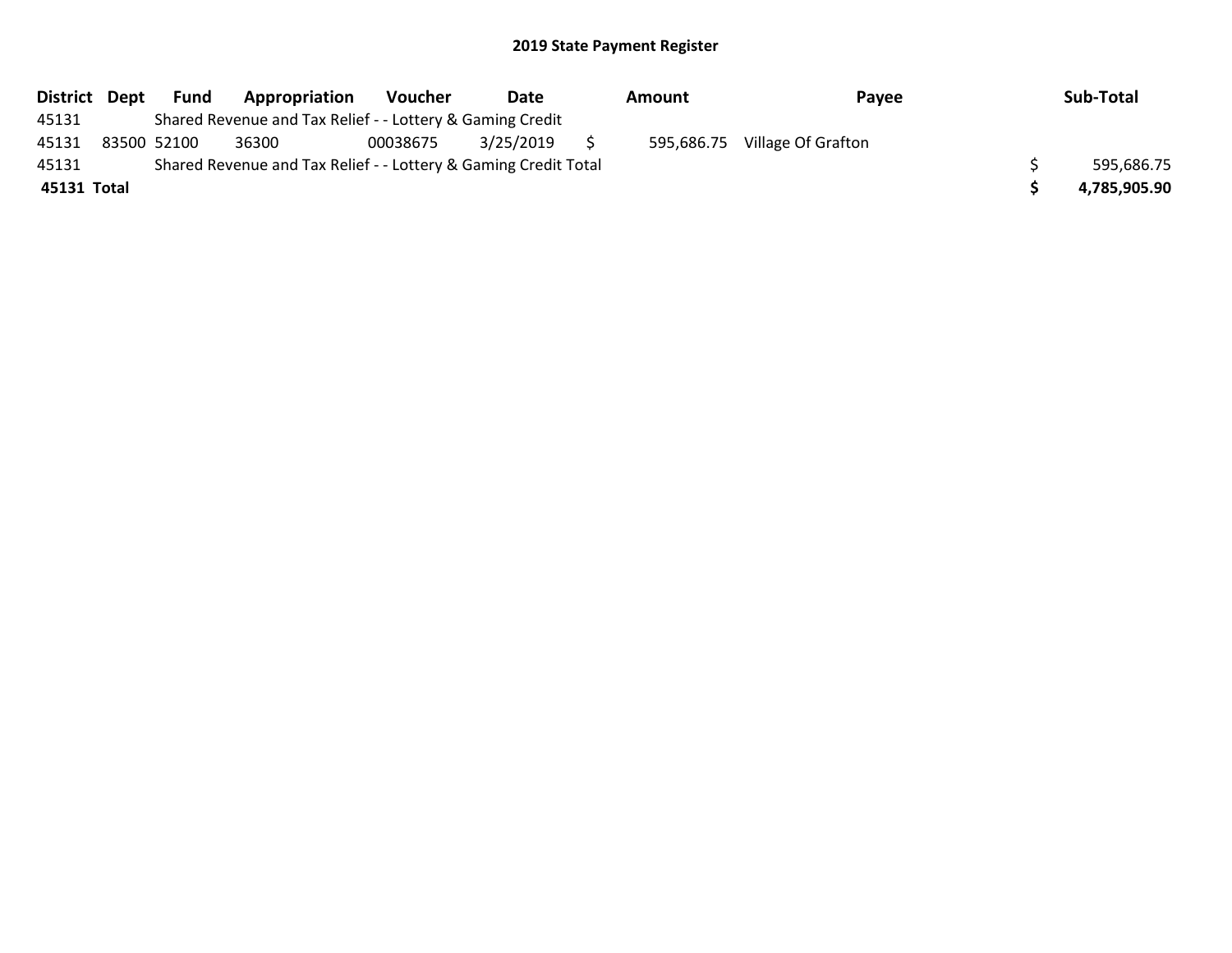| District Dept | Fund        | Appropriation                                                   | <b>Voucher</b> | Date      |     | Amount     | Payee              | Sub-Total    |
|---------------|-------------|-----------------------------------------------------------------|----------------|-----------|-----|------------|--------------------|--------------|
| 45131         |             | Shared Revenue and Tax Relief - - Lottery & Gaming Credit       |                |           |     |            |                    |              |
| 45131         | 83500 52100 | 36300                                                           | 00038675       | 3/25/2019 | S S | 595,686.75 | Village Of Grafton |              |
| 45131         |             | Shared Revenue and Tax Relief - - Lottery & Gaming Credit Total |                |           |     |            |                    | 595,686.75   |
| 45131 Total   |             |                                                                 |                |           |     |            |                    | 4,785,905.90 |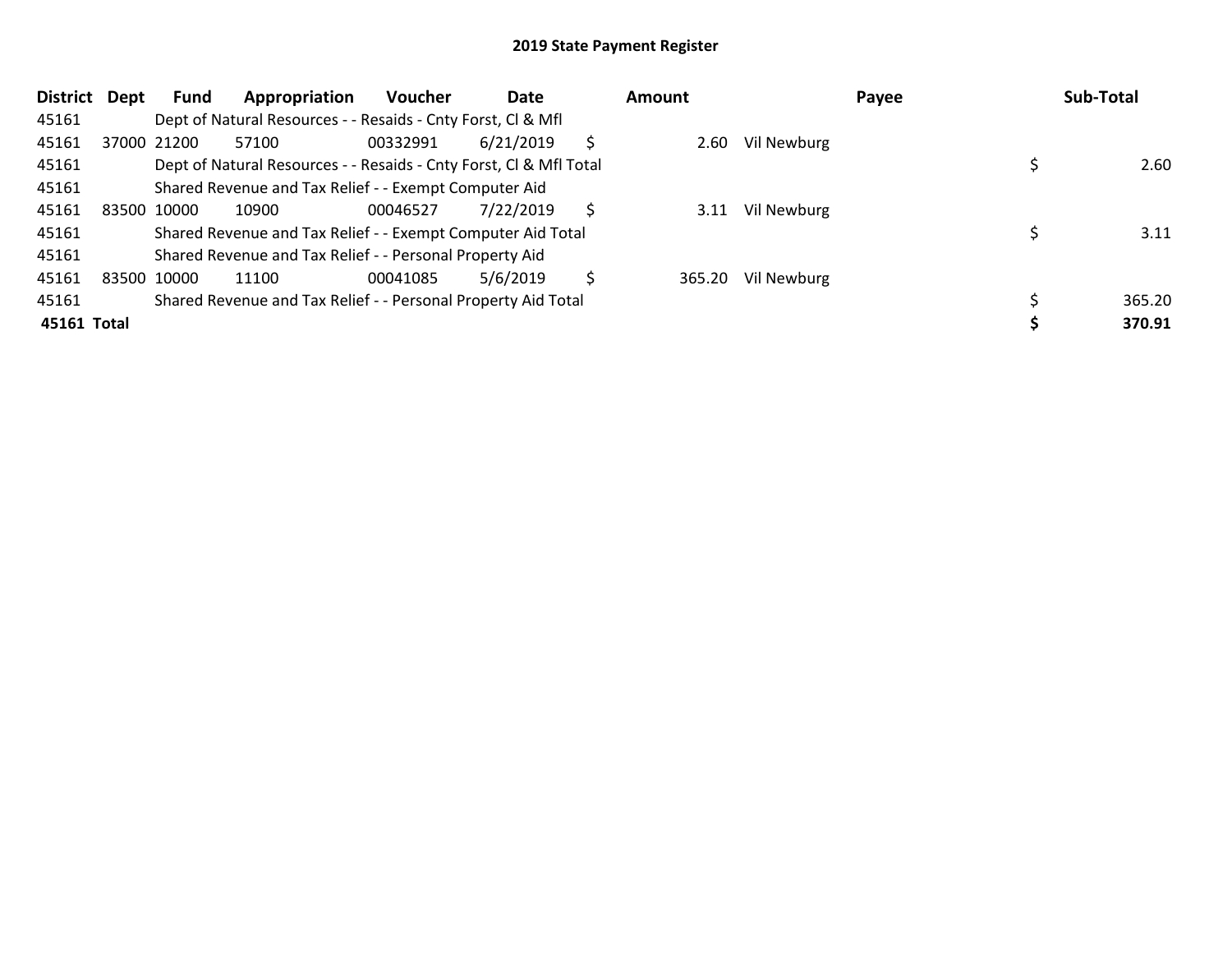| District    | Dept        | Fund        | Appropriation                                                      | <b>Voucher</b> | Date      |   | Amount |             | Payee | Sub-Total |        |
|-------------|-------------|-------------|--------------------------------------------------------------------|----------------|-----------|---|--------|-------------|-------|-----------|--------|
| 45161       |             |             | Dept of Natural Resources - - Resaids - Cnty Forst, CI & Mfl       |                |           |   |        |             |       |           |        |
| 45161       |             | 37000 21200 | 57100                                                              | 00332991       | 6/21/2019 | Ś | 2.60   | Vil Newburg |       |           |        |
| 45161       |             |             | Dept of Natural Resources - - Resaids - Cnty Forst, CI & Mfl Total |                |           |   |        |             |       |           | 2.60   |
| 45161       |             |             | Shared Revenue and Tax Relief - - Exempt Computer Aid              |                |           |   |        |             |       |           |        |
| 45161       | 83500 10000 |             | 10900                                                              | 00046527       | 7/22/2019 | S | 3.11   | Vil Newburg |       |           |        |
| 45161       |             |             | Shared Revenue and Tax Relief - - Exempt Computer Aid Total        |                |           |   |        |             |       |           | 3.11   |
| 45161       |             |             | Shared Revenue and Tax Relief - - Personal Property Aid            |                |           |   |        |             |       |           |        |
| 45161       | 83500 10000 |             | 11100                                                              | 00041085       | 5/6/2019  | Ŝ | 365.20 | Vil Newburg |       |           |        |
| 45161       |             |             | Shared Revenue and Tax Relief - - Personal Property Aid Total      |                |           |   |        |             |       |           | 365.20 |
| 45161 Total |             |             |                                                                    |                |           |   |        |             |       |           | 370.91 |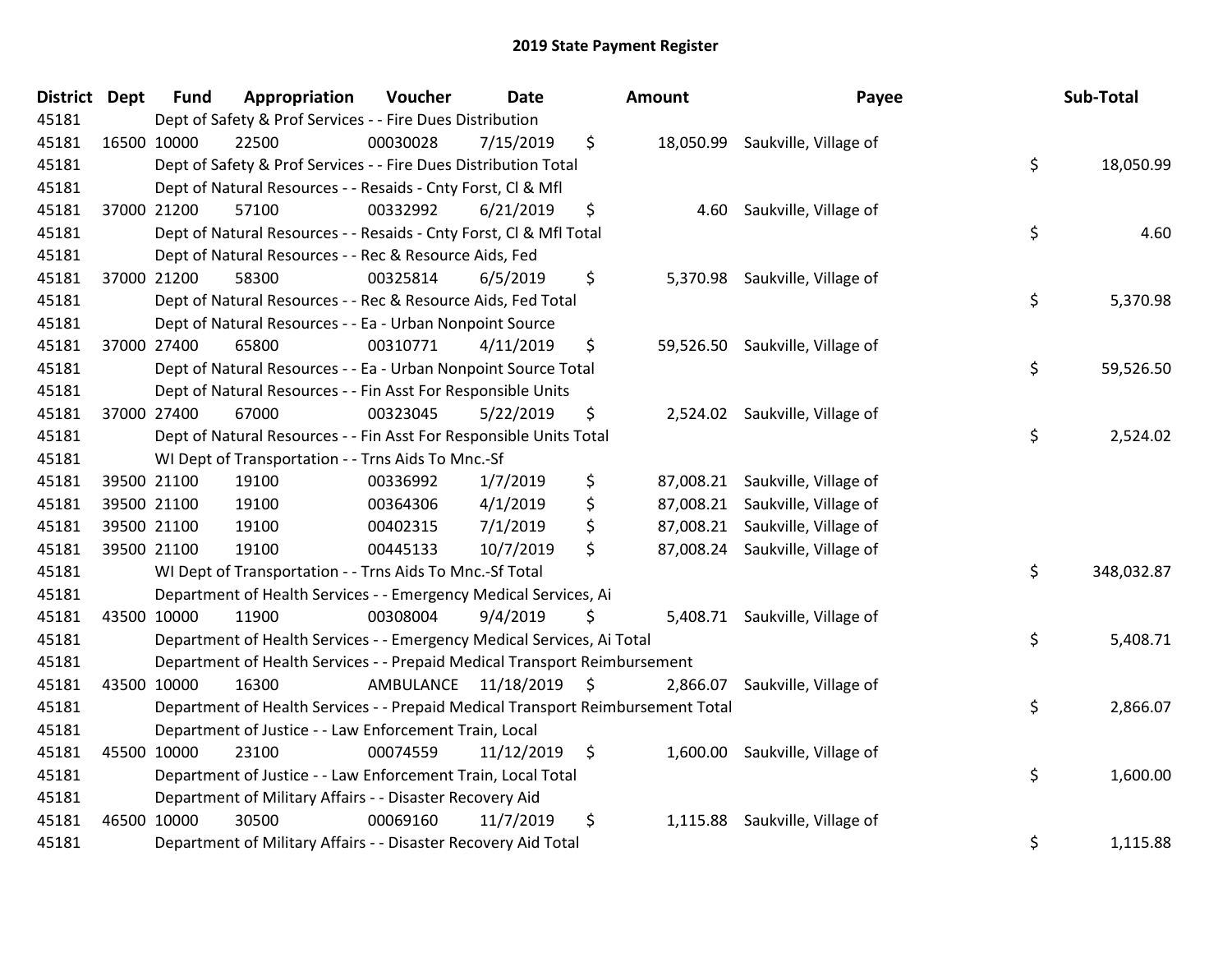| <b>District</b> | <b>Dept</b> | <b>Fund</b> | Appropriation                                                                   | Voucher  | <b>Date</b>             |      | Amount   | Payee                           | Sub-Total        |
|-----------------|-------------|-------------|---------------------------------------------------------------------------------|----------|-------------------------|------|----------|---------------------------------|------------------|
| 45181           |             |             | Dept of Safety & Prof Services - - Fire Dues Distribution                       |          |                         |      |          |                                 |                  |
| 45181           | 16500 10000 |             | 22500                                                                           | 00030028 | 7/15/2019               | \$   |          | 18,050.99 Saukville, Village of |                  |
| 45181           |             |             | Dept of Safety & Prof Services - - Fire Dues Distribution Total                 |          |                         |      |          |                                 | \$<br>18,050.99  |
| 45181           |             |             | Dept of Natural Resources - - Resaids - Cnty Forst, CI & Mfl                    |          |                         |      |          |                                 |                  |
| 45181           |             | 37000 21200 | 57100                                                                           | 00332992 | 6/21/2019               | \$   | 4.60     | Saukville, Village of           |                  |
| 45181           |             |             | Dept of Natural Resources - - Resaids - Cnty Forst, Cl & Mfl Total              |          |                         |      |          |                                 | \$<br>4.60       |
| 45181           |             |             | Dept of Natural Resources - - Rec & Resource Aids, Fed                          |          |                         |      |          |                                 |                  |
| 45181           |             | 37000 21200 | 58300                                                                           | 00325814 | 6/5/2019                | \$   |          | 5,370.98 Saukville, Village of  |                  |
| 45181           |             |             | Dept of Natural Resources - - Rec & Resource Aids, Fed Total                    |          |                         |      |          |                                 | \$<br>5,370.98   |
| 45181           |             |             | Dept of Natural Resources - - Ea - Urban Nonpoint Source                        |          |                         |      |          |                                 |                  |
| 45181           |             | 37000 27400 | 65800                                                                           | 00310771 | 4/11/2019               | \$   |          | 59,526.50 Saukville, Village of |                  |
| 45181           |             |             | Dept of Natural Resources - - Ea - Urban Nonpoint Source Total                  |          |                         |      |          |                                 | \$<br>59,526.50  |
| 45181           |             |             | Dept of Natural Resources - - Fin Asst For Responsible Units                    |          |                         |      |          |                                 |                  |
| 45181           |             | 37000 27400 | 67000                                                                           | 00323045 | 5/22/2019               | \$   | 2,524.02 | Saukville, Village of           |                  |
| 45181           |             |             | Dept of Natural Resources - - Fin Asst For Responsible Units Total              |          |                         |      |          |                                 | \$<br>2,524.02   |
| 45181           |             |             | WI Dept of Transportation - - Trns Aids To Mnc.-Sf                              |          |                         |      |          |                                 |                  |
| 45181           |             | 39500 21100 | 19100                                                                           | 00336992 | 1/7/2019                | \$   |          | 87,008.21 Saukville, Village of |                  |
| 45181           |             | 39500 21100 | 19100                                                                           | 00364306 | 4/1/2019                | \$   |          | 87,008.21 Saukville, Village of |                  |
| 45181           |             | 39500 21100 | 19100                                                                           | 00402315 | 7/1/2019                | \$   |          | 87,008.21 Saukville, Village of |                  |
| 45181           |             | 39500 21100 | 19100                                                                           | 00445133 | 10/7/2019               | \$   |          | 87,008.24 Saukville, Village of |                  |
| 45181           |             |             | WI Dept of Transportation - - Trns Aids To Mnc.-Sf Total                        |          |                         |      |          |                                 | \$<br>348,032.87 |
| 45181           |             |             | Department of Health Services - - Emergency Medical Services, Ai                |          |                         |      |          |                                 |                  |
| 45181           |             | 43500 10000 | 11900                                                                           | 00308004 | 9/4/2019                | \$   |          | 5,408.71 Saukville, Village of  |                  |
| 45181           |             |             | Department of Health Services - - Emergency Medical Services, Ai Total          |          |                         |      |          |                                 | \$<br>5,408.71   |
| 45181           |             |             | Department of Health Services - - Prepaid Medical Transport Reimbursement       |          |                         |      |          |                                 |                  |
| 45181           |             | 43500 10000 | 16300                                                                           |          | AMBULANCE 11/18/2019 \$ |      | 2,866.07 | Saukville, Village of           |                  |
| 45181           |             |             | Department of Health Services - - Prepaid Medical Transport Reimbursement Total |          |                         |      |          |                                 | \$<br>2,866.07   |
| 45181           |             |             | Department of Justice - - Law Enforcement Train, Local                          |          |                         |      |          |                                 |                  |
| 45181           |             | 45500 10000 | 23100                                                                           | 00074559 | 11/12/2019              | - \$ | 1,600.00 | Saukville, Village of           |                  |
| 45181           |             |             | Department of Justice - - Law Enforcement Train, Local Total                    |          |                         |      |          |                                 | \$<br>1,600.00   |
| 45181           |             |             | Department of Military Affairs - - Disaster Recovery Aid                        |          |                         |      |          |                                 |                  |
| 45181           |             | 46500 10000 | 30500                                                                           | 00069160 | 11/7/2019               | \$   | 1,115.88 | Saukville, Village of           |                  |
| 45181           |             |             | Department of Military Affairs - - Disaster Recovery Aid Total                  |          |                         |      |          |                                 | \$<br>1,115.88   |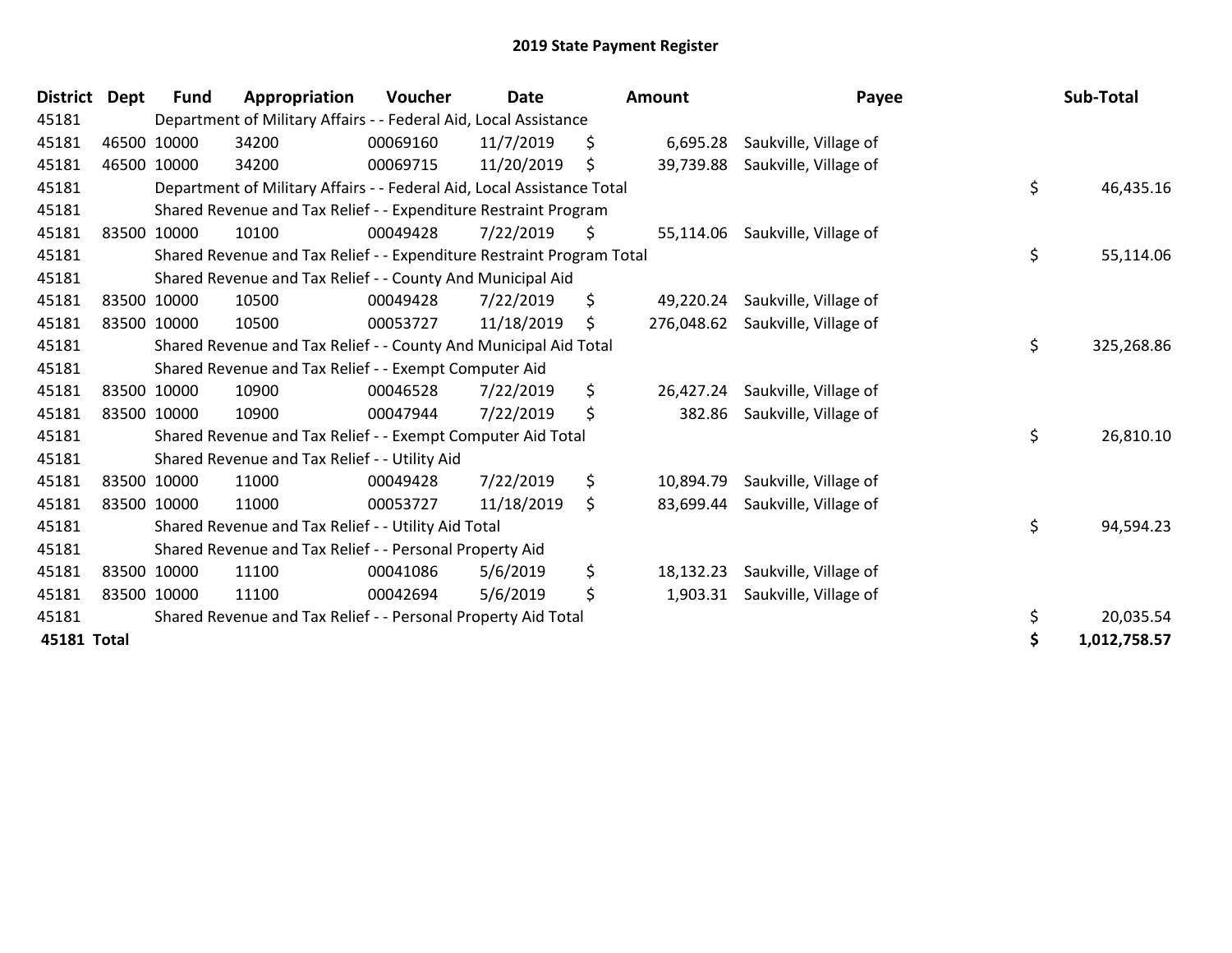| <b>District</b> | <b>Dept</b> | <b>Fund</b> | Appropriation                                                          | Voucher  | <b>Date</b> |    | <b>Amount</b> | Payee                            | Sub-Total          |
|-----------------|-------------|-------------|------------------------------------------------------------------------|----------|-------------|----|---------------|----------------------------------|--------------------|
| 45181           |             |             | Department of Military Affairs - - Federal Aid, Local Assistance       |          |             |    |               |                                  |                    |
| 45181           |             | 46500 10000 | 34200                                                                  | 00069160 | 11/7/2019   | \$ | 6,695.28      | Saukville, Village of            |                    |
| 45181           |             | 46500 10000 | 34200                                                                  | 00069715 | 11/20/2019  | \$ | 39,739.88     | Saukville, Village of            |                    |
| 45181           |             |             | Department of Military Affairs - - Federal Aid, Local Assistance Total |          |             |    |               |                                  | \$<br>46,435.16    |
| 45181           |             |             | Shared Revenue and Tax Relief - - Expenditure Restraint Program        |          |             |    |               |                                  |                    |
| 45181           |             | 83500 10000 | 10100                                                                  | 00049428 | 7/22/2019   | -Ş |               | 55,114.06 Saukville, Village of  |                    |
| 45181           |             |             | Shared Revenue and Tax Relief - - Expenditure Restraint Program Total  |          |             |    |               |                                  | \$<br>55,114.06    |
| 45181           |             |             | Shared Revenue and Tax Relief - - County And Municipal Aid             |          |             |    |               |                                  |                    |
| 45181           |             | 83500 10000 | 10500                                                                  | 00049428 | 7/22/2019   | \$ | 49,220.24     | Saukville, Village of            |                    |
| 45181           |             | 83500 10000 | 10500                                                                  | 00053727 | 11/18/2019  | \$ |               | 276,048.62 Saukville, Village of |                    |
| 45181           |             |             | Shared Revenue and Tax Relief - - County And Municipal Aid Total       |          |             |    |               |                                  | \$<br>325,268.86   |
| 45181           |             |             | Shared Revenue and Tax Relief - - Exempt Computer Aid                  |          |             |    |               |                                  |                    |
| 45181           |             | 83500 10000 | 10900                                                                  | 00046528 | 7/22/2019   | \$ | 26,427.24     | Saukville, Village of            |                    |
| 45181           |             | 83500 10000 | 10900                                                                  | 00047944 | 7/22/2019   | \$ | 382.86        | Saukville, Village of            |                    |
| 45181           |             |             | Shared Revenue and Tax Relief - - Exempt Computer Aid Total            |          |             |    |               |                                  | \$<br>26,810.10    |
| 45181           |             |             | Shared Revenue and Tax Relief - - Utility Aid                          |          |             |    |               |                                  |                    |
| 45181           |             | 83500 10000 | 11000                                                                  | 00049428 | 7/22/2019   | \$ | 10,894.79     | Saukville, Village of            |                    |
| 45181           |             | 83500 10000 | 11000                                                                  | 00053727 | 11/18/2019  | \$ | 83,699.44     | Saukville, Village of            |                    |
| 45181           |             |             | Shared Revenue and Tax Relief - - Utility Aid Total                    |          |             |    |               |                                  | \$<br>94,594.23    |
| 45181           |             |             | Shared Revenue and Tax Relief - - Personal Property Aid                |          |             |    |               |                                  |                    |
| 45181           |             | 83500 10000 | 11100                                                                  | 00041086 | 5/6/2019    | \$ | 18,132.23     | Saukville, Village of            |                    |
| 45181           |             | 83500 10000 | 11100                                                                  | 00042694 | 5/6/2019    | \$ | 1,903.31      | Saukville, Village of            |                    |
| 45181           |             |             | Shared Revenue and Tax Relief - - Personal Property Aid Total          |          |             |    |               |                                  | \$<br>20,035.54    |
| 45181 Total     |             |             |                                                                        |          |             |    |               |                                  | \$<br>1,012,758.57 |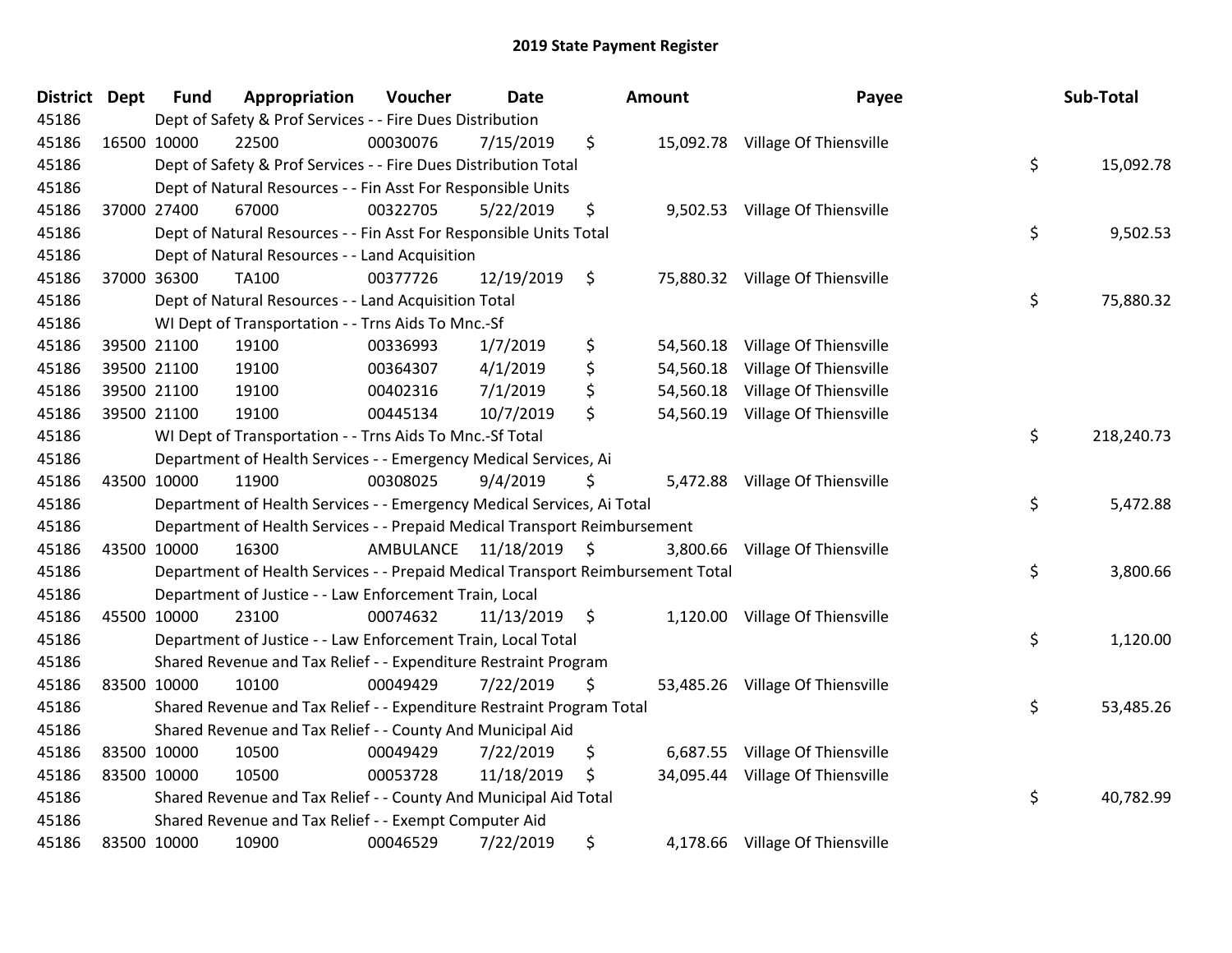| District Dept | <b>Fund</b> | Appropriation                                                                   | Voucher  | <b>Date</b>             |     | <b>Amount</b> | Payee                            | Sub-Total        |
|---------------|-------------|---------------------------------------------------------------------------------|----------|-------------------------|-----|---------------|----------------------------------|------------------|
| 45186         |             | Dept of Safety & Prof Services - - Fire Dues Distribution                       |          |                         |     |               |                                  |                  |
| 45186         | 16500 10000 | 22500                                                                           | 00030076 | 7/15/2019               | \$  |               | 15,092.78 Village Of Thiensville |                  |
| 45186         |             | Dept of Safety & Prof Services - - Fire Dues Distribution Total                 |          |                         |     |               |                                  | \$<br>15,092.78  |
| 45186         |             | Dept of Natural Resources - - Fin Asst For Responsible Units                    |          |                         |     |               |                                  |                  |
| 45186         | 37000 27400 | 67000                                                                           | 00322705 | 5/22/2019               | \$  | 9,502.53      | Village Of Thiensville           |                  |
| 45186         |             | Dept of Natural Resources - - Fin Asst For Responsible Units Total              |          |                         |     |               |                                  | \$<br>9,502.53   |
| 45186         |             | Dept of Natural Resources - - Land Acquisition                                  |          |                         |     |               |                                  |                  |
| 45186         | 37000 36300 | TA100                                                                           | 00377726 | 12/19/2019              | \$  |               | 75,880.32 Village Of Thiensville |                  |
| 45186         |             | Dept of Natural Resources - - Land Acquisition Total                            |          |                         |     |               |                                  | \$<br>75,880.32  |
| 45186         |             | WI Dept of Transportation - - Trns Aids To Mnc.-Sf                              |          |                         |     |               |                                  |                  |
| 45186         | 39500 21100 | 19100                                                                           | 00336993 | 1/7/2019                | \$  | 54,560.18     | Village Of Thiensville           |                  |
| 45186         | 39500 21100 | 19100                                                                           | 00364307 | 4/1/2019                | \$  | 54,560.18     | Village Of Thiensville           |                  |
| 45186         | 39500 21100 | 19100                                                                           | 00402316 | 7/1/2019                | \$  |               | 54,560.18 Village Of Thiensville |                  |
| 45186         | 39500 21100 | 19100                                                                           | 00445134 | 10/7/2019               | \$  | 54,560.19     | <b>Village Of Thiensville</b>    |                  |
| 45186         |             | WI Dept of Transportation - - Trns Aids To Mnc.-Sf Total                        |          |                         |     |               |                                  | \$<br>218,240.73 |
| 45186         |             | Department of Health Services - - Emergency Medical Services, Ai                |          |                         |     |               |                                  |                  |
| 45186         | 43500 10000 | 11900                                                                           | 00308025 | 9/4/2019                | \$. |               | 5,472.88 Village Of Thiensville  |                  |
| 45186         |             | Department of Health Services - - Emergency Medical Services, Ai Total          |          |                         |     |               |                                  | \$<br>5,472.88   |
| 45186         |             | Department of Health Services - - Prepaid Medical Transport Reimbursement       |          |                         |     |               |                                  |                  |
| 45186         | 43500 10000 | 16300                                                                           |          | AMBULANCE 11/18/2019 \$ |     | 3,800.66      | Village Of Thiensville           |                  |
| 45186         |             | Department of Health Services - - Prepaid Medical Transport Reimbursement Total |          |                         |     |               |                                  | \$<br>3,800.66   |
| 45186         |             | Department of Justice - - Law Enforcement Train, Local                          |          |                         |     |               |                                  |                  |
| 45186         | 45500 10000 | 23100                                                                           | 00074632 | $11/13/2019$ \$         |     |               | 1,120.00 Village Of Thiensville  |                  |
| 45186         |             | Department of Justice - - Law Enforcement Train, Local Total                    |          |                         |     |               |                                  | \$<br>1,120.00   |
| 45186         |             | Shared Revenue and Tax Relief - - Expenditure Restraint Program                 |          |                         |     |               |                                  |                  |
| 45186         | 83500 10000 | 10100                                                                           | 00049429 | 7/22/2019               | \$  |               | 53,485.26 Village Of Thiensville |                  |
| 45186         |             | Shared Revenue and Tax Relief - - Expenditure Restraint Program Total           |          |                         |     |               |                                  | \$<br>53,485.26  |
| 45186         |             | Shared Revenue and Tax Relief - - County And Municipal Aid                      |          |                         |     |               |                                  |                  |
| 45186         | 83500 10000 | 10500                                                                           | 00049429 | 7/22/2019               | \$  | 6,687.55      | Village Of Thiensville           |                  |
| 45186         | 83500 10000 | 10500                                                                           | 00053728 | 11/18/2019              | \$  | 34,095.44     | Village Of Thiensville           |                  |
| 45186         |             | Shared Revenue and Tax Relief - - County And Municipal Aid Total                |          |                         |     |               |                                  | \$<br>40,782.99  |
| 45186         |             | Shared Revenue and Tax Relief - - Exempt Computer Aid                           |          |                         |     |               |                                  |                  |
| 45186         | 83500 10000 | 10900                                                                           | 00046529 | 7/22/2019               | \$  |               | 4,178.66 Village Of Thiensville  |                  |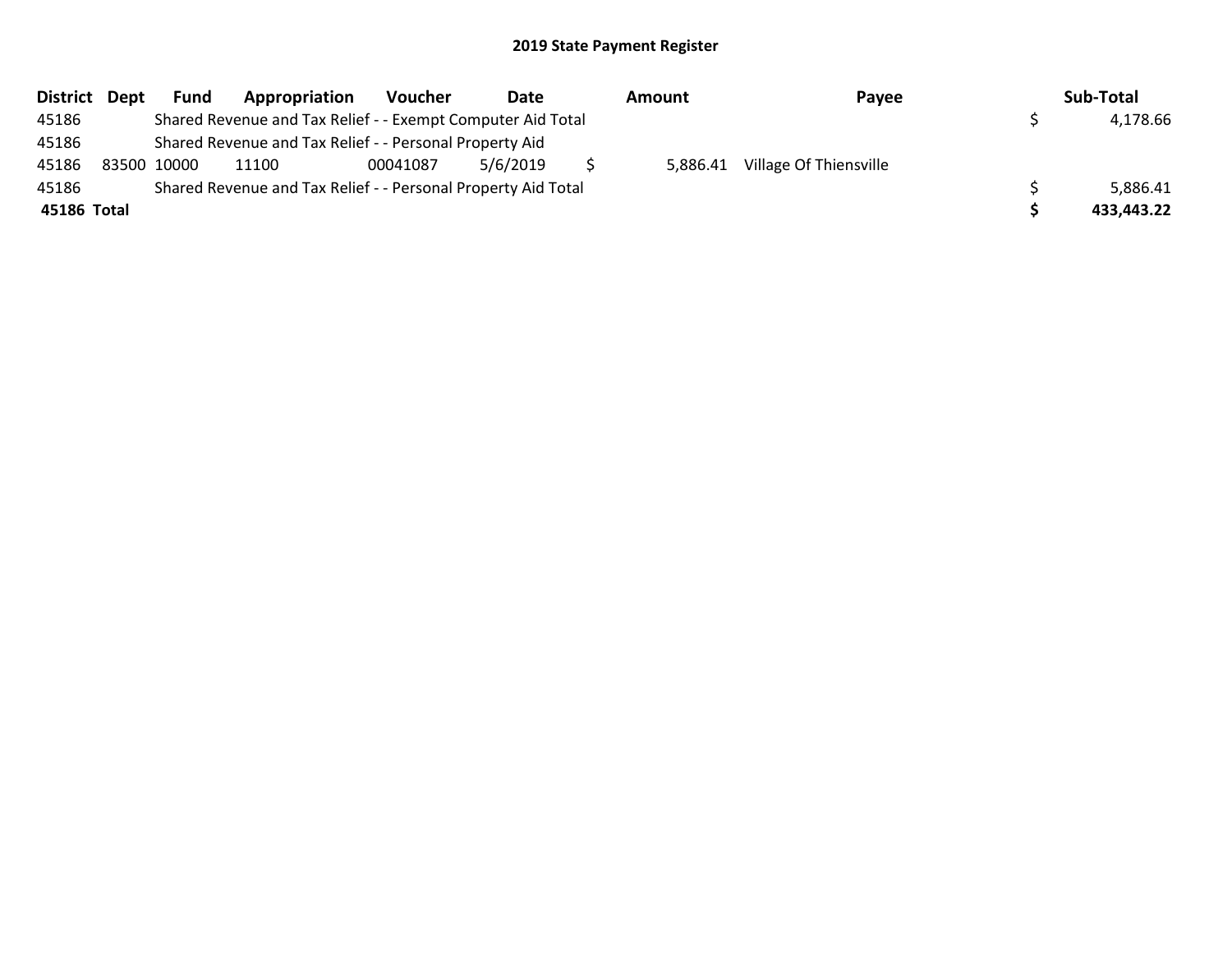| District Dept | Fund        | Appropriation                                                 | Voucher  | Date     | Amount | Payee                           | Sub-Total  |
|---------------|-------------|---------------------------------------------------------------|----------|----------|--------|---------------------------------|------------|
| 45186         |             | Shared Revenue and Tax Relief - - Exempt Computer Aid Total   |          |          |        |                                 | 4,178.66   |
| 45186         |             | Shared Revenue and Tax Relief - - Personal Property Aid       |          |          |        |                                 |            |
| 45186         | 83500 10000 | 11100                                                         | 00041087 | 5/6/2019 |        | 5,886.41 Village Of Thiensville |            |
| 45186         |             | Shared Revenue and Tax Relief - - Personal Property Aid Total |          |          |        |                                 | 5,886.41   |
| 45186 Total   |             |                                                               |          |          |        |                                 | 433,443.22 |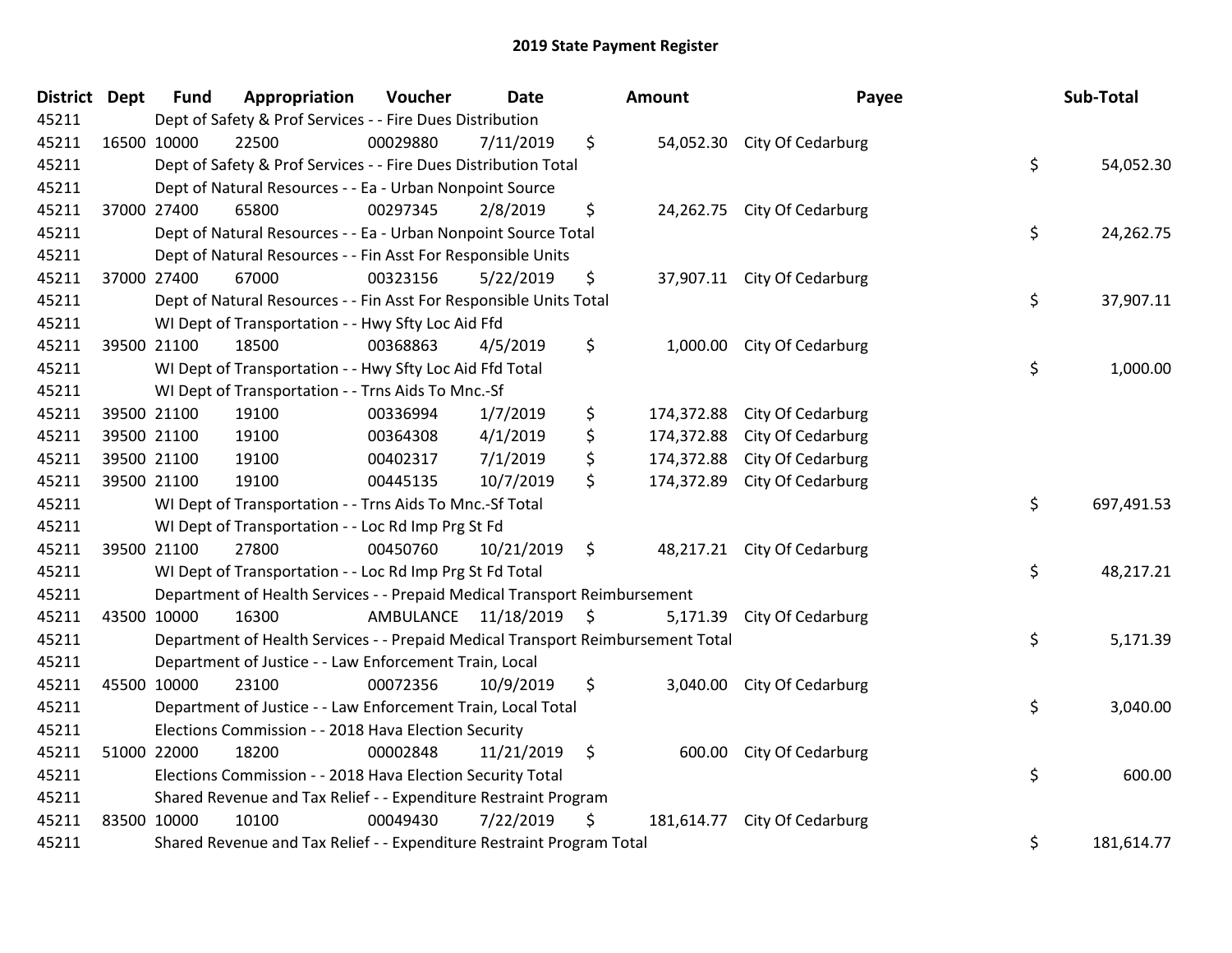| District Dept | <b>Fund</b>                                                     | Appropriation                                                                   | Voucher                 | <b>Date</b> |               | Amount     | Payee                        |    | Sub-Total  |
|---------------|-----------------------------------------------------------------|---------------------------------------------------------------------------------|-------------------------|-------------|---------------|------------|------------------------------|----|------------|
| 45211         |                                                                 | Dept of Safety & Prof Services - - Fire Dues Distribution                       |                         |             |               |            |                              |    |            |
| 45211         | 16500 10000                                                     | 22500                                                                           | 00029880                | 7/11/2019   | \$            |            | 54,052.30 City Of Cedarburg  |    |            |
| 45211         |                                                                 | Dept of Safety & Prof Services - - Fire Dues Distribution Total                 |                         |             |               |            |                              | \$ | 54,052.30  |
| 45211         |                                                                 | Dept of Natural Resources - - Ea - Urban Nonpoint Source                        |                         |             |               |            |                              |    |            |
| 45211         | 37000 27400                                                     | 65800                                                                           | 00297345                | 2/8/2019    | \$            |            | 24,262.75 City Of Cedarburg  |    |            |
| 45211         |                                                                 | Dept of Natural Resources - - Ea - Urban Nonpoint Source Total                  |                         |             |               |            |                              | \$ | 24,262.75  |
| 45211         |                                                                 | Dept of Natural Resources - - Fin Asst For Responsible Units                    |                         |             |               |            |                              |    |            |
| 45211         | 37000 27400                                                     | 67000                                                                           | 00323156                | 5/22/2019   | \$            |            | 37,907.11 City Of Cedarburg  |    |            |
| 45211         |                                                                 | Dept of Natural Resources - - Fin Asst For Responsible Units Total              |                         |             |               |            |                              | \$ | 37,907.11  |
| 45211         |                                                                 | WI Dept of Transportation - - Hwy Sfty Loc Aid Ffd                              |                         |             |               |            |                              |    |            |
| 45211         | 39500 21100                                                     | 18500                                                                           | 00368863                | 4/5/2019    | \$            |            | 1,000.00 City Of Cedarburg   |    |            |
| 45211         |                                                                 | WI Dept of Transportation - - Hwy Sfty Loc Aid Ffd Total                        |                         |             |               |            |                              | \$ | 1,000.00   |
| 45211         |                                                                 | WI Dept of Transportation - - Trns Aids To Mnc.-Sf                              |                         |             |               |            |                              |    |            |
| 45211         | 39500 21100                                                     | 19100                                                                           | 00336994                | 1/7/2019    | \$            | 174,372.88 | City Of Cedarburg            |    |            |
| 45211         | 39500 21100                                                     | 19100                                                                           | 00364308                | 4/1/2019    | \$            | 174,372.88 | City Of Cedarburg            |    |            |
| 45211         | 39500 21100                                                     | 19100                                                                           | 00402317                | 7/1/2019    | \$            | 174,372.88 | City Of Cedarburg            |    |            |
| 45211         | 39500 21100                                                     | 19100                                                                           | 00445135                | 10/7/2019   | \$            | 174,372.89 | City Of Cedarburg            |    |            |
| 45211         |                                                                 | WI Dept of Transportation - - Trns Aids To Mnc.-Sf Total                        |                         |             |               |            |                              | \$ | 697,491.53 |
| 45211         |                                                                 | WI Dept of Transportation - - Loc Rd Imp Prg St Fd                              |                         |             |               |            |                              |    |            |
| 45211         | 39500 21100                                                     | 27800                                                                           | 00450760                | 10/21/2019  | $\varsigma$   |            | 48,217.21 City Of Cedarburg  |    |            |
| 45211         |                                                                 | WI Dept of Transportation - - Loc Rd Imp Prg St Fd Total                        |                         |             |               |            |                              | \$ | 48,217.21  |
| 45211         |                                                                 | Department of Health Services - - Prepaid Medical Transport Reimbursement       |                         |             |               |            |                              |    |            |
| 45211         | 43500 10000                                                     | 16300                                                                           | AMBULANCE 11/18/2019 \$ |             |               |            | 5,171.39 City Of Cedarburg   |    |            |
| 45211         |                                                                 | Department of Health Services - - Prepaid Medical Transport Reimbursement Total |                         |             |               |            |                              | \$ | 5,171.39   |
| 45211         |                                                                 | Department of Justice - - Law Enforcement Train, Local                          |                         |             |               |            |                              |    |            |
| 45211         | 45500 10000                                                     | 23100                                                                           | 00072356                | 10/9/2019   | \$            | 3,040.00   | City Of Cedarburg            |    |            |
| 45211         |                                                                 | Department of Justice - - Law Enforcement Train, Local Total                    |                         |             |               |            |                              | \$ | 3,040.00   |
| 45211         |                                                                 | Elections Commission - - 2018 Hava Election Security                            |                         |             |               |            |                              |    |            |
| 45211         | 51000 22000                                                     | 18200                                                                           | 00002848                | 11/21/2019  | $\ddot{\phi}$ | 600.00     | City Of Cedarburg            |    |            |
| 45211         |                                                                 | Elections Commission - - 2018 Hava Election Security Total                      |                         |             |               |            |                              | \$ | 600.00     |
| 45211         | Shared Revenue and Tax Relief - - Expenditure Restraint Program |                                                                                 |                         |             |               |            |                              |    |            |
| 45211         | 83500 10000                                                     | 10100                                                                           | 00049430                | 7/22/2019   | \$            |            | 181,614.77 City Of Cedarburg |    |            |
| 45211         |                                                                 | Shared Revenue and Tax Relief - - Expenditure Restraint Program Total           |                         |             |               |            |                              | \$ | 181,614.77 |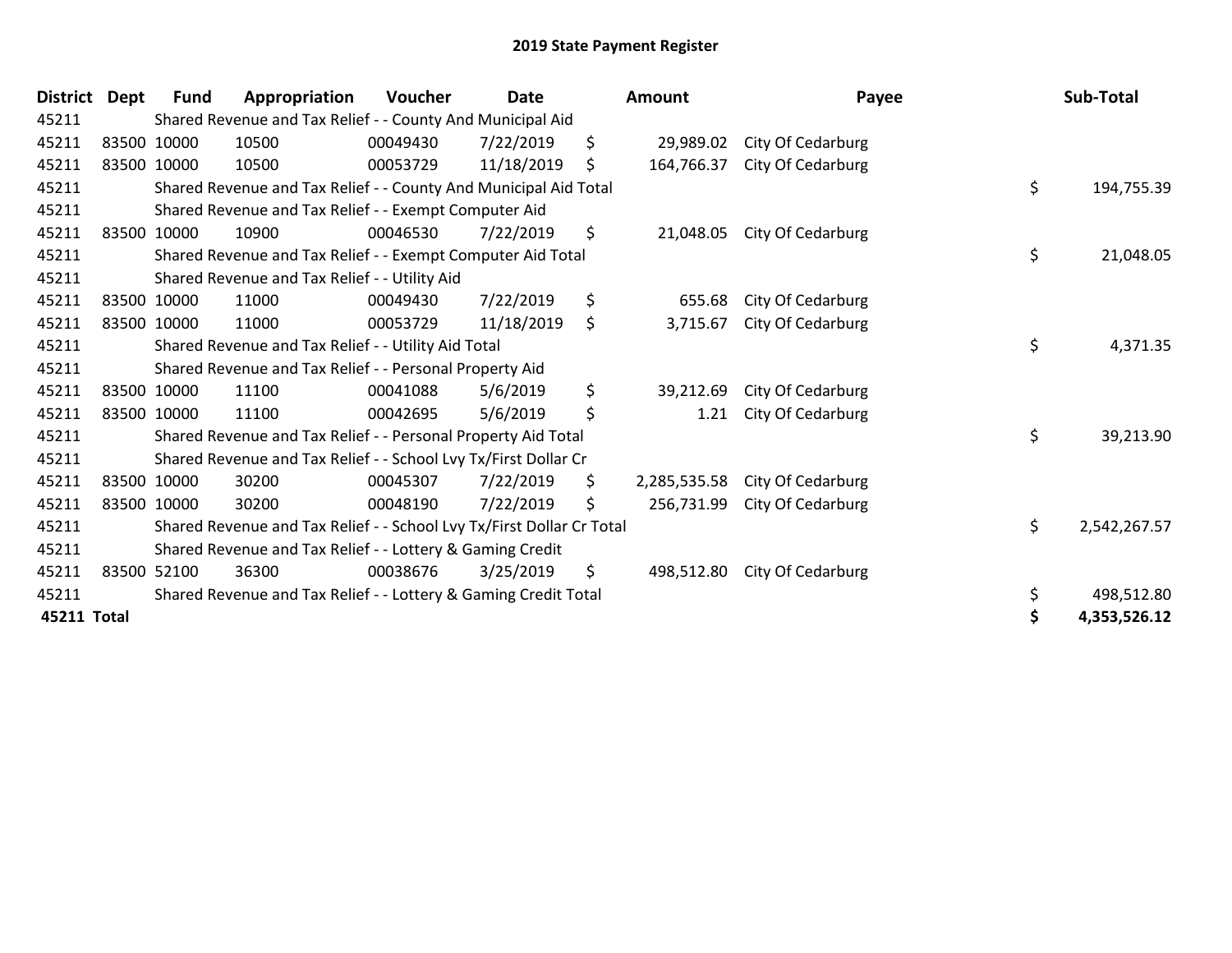| <b>District</b> | <b>Dept</b> | <b>Fund</b> | Appropriation                                                         | Voucher  | <b>Date</b> |    | Amount       | Payee             |    | Sub-Total    |  |  |  |
|-----------------|-------------|-------------|-----------------------------------------------------------------------|----------|-------------|----|--------------|-------------------|----|--------------|--|--|--|
| 45211           |             |             | Shared Revenue and Tax Relief - - County And Municipal Aid            |          |             |    |              |                   |    |              |  |  |  |
| 45211           |             | 83500 10000 | 10500                                                                 | 00049430 | 7/22/2019   | \$ | 29,989.02    | City Of Cedarburg |    |              |  |  |  |
| 45211           |             | 83500 10000 | 10500                                                                 | 00053729 | 11/18/2019  | \$ | 164,766.37   | City Of Cedarburg |    |              |  |  |  |
| 45211           |             |             | Shared Revenue and Tax Relief - - County And Municipal Aid Total      |          |             |    |              |                   | \$ | 194,755.39   |  |  |  |
| 45211           |             |             | Shared Revenue and Tax Relief - - Exempt Computer Aid                 |          |             |    |              |                   |    |              |  |  |  |
| 45211           |             | 83500 10000 | 10900                                                                 | 00046530 | 7/22/2019   | \$ | 21,048.05    | City Of Cedarburg |    |              |  |  |  |
| 45211           |             |             | Shared Revenue and Tax Relief - - Exempt Computer Aid Total           |          |             |    |              |                   | \$ | 21,048.05    |  |  |  |
| 45211           |             |             | Shared Revenue and Tax Relief - - Utility Aid                         |          |             |    |              |                   |    |              |  |  |  |
| 45211           |             | 83500 10000 | 11000                                                                 | 00049430 | 7/22/2019   | \$ | 655.68       | City Of Cedarburg |    |              |  |  |  |
| 45211           |             | 83500 10000 | 11000                                                                 | 00053729 | 11/18/2019  | \$ | 3,715.67     | City Of Cedarburg |    |              |  |  |  |
| 45211           |             |             | Shared Revenue and Tax Relief - - Utility Aid Total                   |          |             |    |              |                   | \$ | 4,371.35     |  |  |  |
| 45211           |             |             | Shared Revenue and Tax Relief - - Personal Property Aid               |          |             |    |              |                   |    |              |  |  |  |
| 45211           |             | 83500 10000 | 11100                                                                 | 00041088 | 5/6/2019    | \$ | 39,212.69    | City Of Cedarburg |    |              |  |  |  |
| 45211           |             | 83500 10000 | 11100                                                                 | 00042695 | 5/6/2019    | \$ | 1.21         | City Of Cedarburg |    |              |  |  |  |
| 45211           |             |             | Shared Revenue and Tax Relief - - Personal Property Aid Total         |          |             |    |              |                   | \$ | 39,213.90    |  |  |  |
| 45211           |             |             | Shared Revenue and Tax Relief - - School Lvy Tx/First Dollar Cr       |          |             |    |              |                   |    |              |  |  |  |
| 45211           |             | 83500 10000 | 30200                                                                 | 00045307 | 7/22/2019   | \$ | 2,285,535.58 | City Of Cedarburg |    |              |  |  |  |
| 45211           |             | 83500 10000 | 30200                                                                 | 00048190 | 7/22/2019   | \$ | 256,731.99   | City Of Cedarburg |    |              |  |  |  |
| 45211           |             |             | Shared Revenue and Tax Relief - - School Lvy Tx/First Dollar Cr Total |          |             |    |              |                   | \$ | 2,542,267.57 |  |  |  |
| 45211           |             |             | Shared Revenue and Tax Relief - - Lottery & Gaming Credit             |          |             |    |              |                   |    |              |  |  |  |
| 45211           |             | 83500 52100 | 36300                                                                 | 00038676 | 3/25/2019   | \$ | 498,512.80   | City Of Cedarburg |    |              |  |  |  |
| 45211           |             |             | Shared Revenue and Tax Relief - - Lottery & Gaming Credit Total       |          |             |    |              |                   | \$ | 498,512.80   |  |  |  |
| 45211 Total     |             |             |                                                                       |          |             |    |              |                   | \$ | 4,353,526.12 |  |  |  |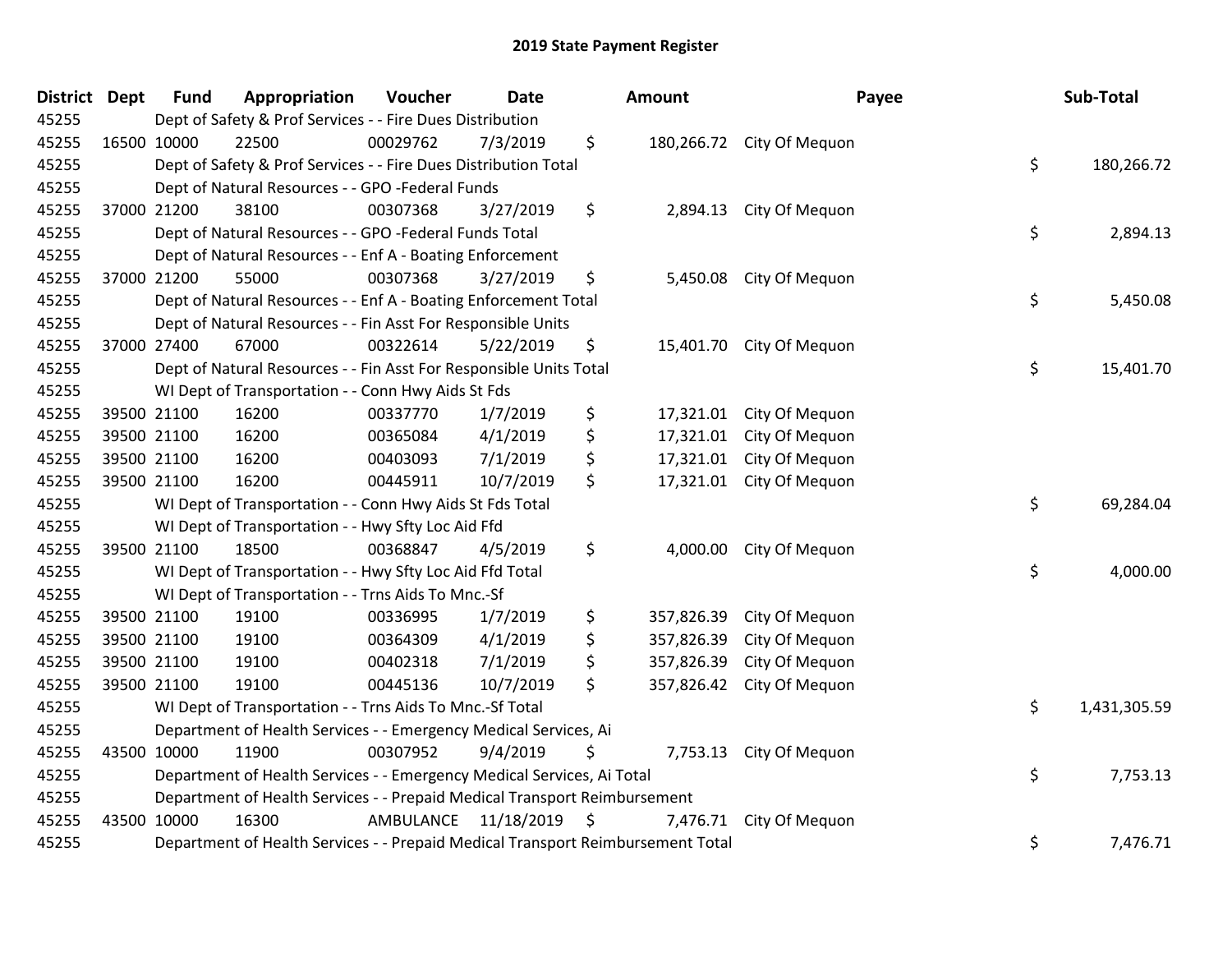| District Dept | <b>Fund</b> | Appropriation                                                                   | Voucher   | <b>Date</b> |    | Amount     | Payee                     |    | Sub-Total    |  |
|---------------|-------------|---------------------------------------------------------------------------------|-----------|-------------|----|------------|---------------------------|----|--------------|--|
| 45255         |             | Dept of Safety & Prof Services - - Fire Dues Distribution                       |           |             |    |            |                           |    |              |  |
| 45255         | 16500 10000 | 22500                                                                           | 00029762  | 7/3/2019    | \$ |            | 180,266.72 City Of Mequon |    |              |  |
| 45255         |             | Dept of Safety & Prof Services - - Fire Dues Distribution Total                 |           |             |    |            |                           | \$ | 180,266.72   |  |
| 45255         |             | Dept of Natural Resources - - GPO -Federal Funds                                |           |             |    |            |                           |    |              |  |
| 45255         | 37000 21200 | 38100                                                                           | 00307368  | 3/27/2019   | \$ | 2,894.13   | City Of Mequon            |    |              |  |
| 45255         |             | Dept of Natural Resources - - GPO -Federal Funds Total                          |           |             |    |            |                           | \$ | 2,894.13     |  |
| 45255         |             | Dept of Natural Resources - - Enf A - Boating Enforcement                       |           |             |    |            |                           |    |              |  |
| 45255         | 37000 21200 | 55000                                                                           | 00307368  | 3/27/2019   | \$ |            | 5,450.08 City Of Mequon   |    |              |  |
| 45255         |             | Dept of Natural Resources - - Enf A - Boating Enforcement Total                 |           |             |    |            |                           | \$ | 5,450.08     |  |
| 45255         |             | Dept of Natural Resources - - Fin Asst For Responsible Units                    |           |             |    |            |                           |    |              |  |
| 45255         | 37000 27400 | 67000                                                                           | 00322614  | 5/22/2019   | \$ |            | 15,401.70 City Of Mequon  |    |              |  |
| 45255         |             | Dept of Natural Resources - - Fin Asst For Responsible Units Total              |           |             |    |            |                           | \$ | 15,401.70    |  |
| 45255         |             | WI Dept of Transportation - - Conn Hwy Aids St Fds                              |           |             |    |            |                           |    |              |  |
| 45255         | 39500 21100 | 16200                                                                           | 00337770  | 1/7/2019    | \$ | 17,321.01  | City Of Mequon            |    |              |  |
| 45255         | 39500 21100 | 16200                                                                           | 00365084  | 4/1/2019    | \$ | 17,321.01  | City Of Mequon            |    |              |  |
| 45255         | 39500 21100 | 16200                                                                           | 00403093  | 7/1/2019    | \$ | 17,321.01  | City Of Mequon            |    |              |  |
| 45255         | 39500 21100 | 16200                                                                           | 00445911  | 10/7/2019   | \$ | 17,321.01  | City Of Mequon            |    |              |  |
| 45255         |             | WI Dept of Transportation - - Conn Hwy Aids St Fds Total                        |           |             |    |            |                           | \$ | 69,284.04    |  |
| 45255         |             | WI Dept of Transportation - - Hwy Sfty Loc Aid Ffd                              |           |             |    |            |                           |    |              |  |
| 45255         | 39500 21100 | 18500                                                                           | 00368847  | 4/5/2019    | \$ | 4,000.00   | City Of Mequon            |    |              |  |
| 45255         |             | WI Dept of Transportation - - Hwy Sfty Loc Aid Ffd Total                        |           |             |    |            |                           | \$ | 4,000.00     |  |
| 45255         |             | WI Dept of Transportation - - Trns Aids To Mnc.-Sf                              |           |             |    |            |                           |    |              |  |
| 45255         | 39500 21100 | 19100                                                                           | 00336995  | 1/7/2019    | \$ | 357,826.39 | City Of Mequon            |    |              |  |
| 45255         | 39500 21100 | 19100                                                                           | 00364309  | 4/1/2019    | \$ | 357,826.39 | City Of Mequon            |    |              |  |
| 45255         | 39500 21100 | 19100                                                                           | 00402318  | 7/1/2019    | \$ | 357,826.39 | City Of Mequon            |    |              |  |
| 45255         | 39500 21100 | 19100                                                                           | 00445136  | 10/7/2019   | \$ | 357,826.42 | City Of Mequon            |    |              |  |
| 45255         |             | WI Dept of Transportation - - Trns Aids To Mnc.-Sf Total                        |           |             |    |            |                           | \$ | 1,431,305.59 |  |
| 45255         |             | Department of Health Services - - Emergency Medical Services, Ai                |           |             |    |            |                           |    |              |  |
| 45255         | 43500 10000 | 11900                                                                           | 00307952  | 9/4/2019    | \$ |            | 7,753.13 City Of Mequon   |    |              |  |
| 45255         |             | Department of Health Services - - Emergency Medical Services, Ai Total          |           |             |    |            |                           | \$ | 7,753.13     |  |
| 45255         |             | Department of Health Services - - Prepaid Medical Transport Reimbursement       |           |             |    |            |                           |    |              |  |
| 45255         | 43500 10000 | 16300                                                                           | AMBULANCE | 11/18/2019  | \$ | 7,476.71   | City Of Mequon            |    |              |  |
| 45255         |             | Department of Health Services - - Prepaid Medical Transport Reimbursement Total |           |             |    |            |                           | \$ | 7,476.71     |  |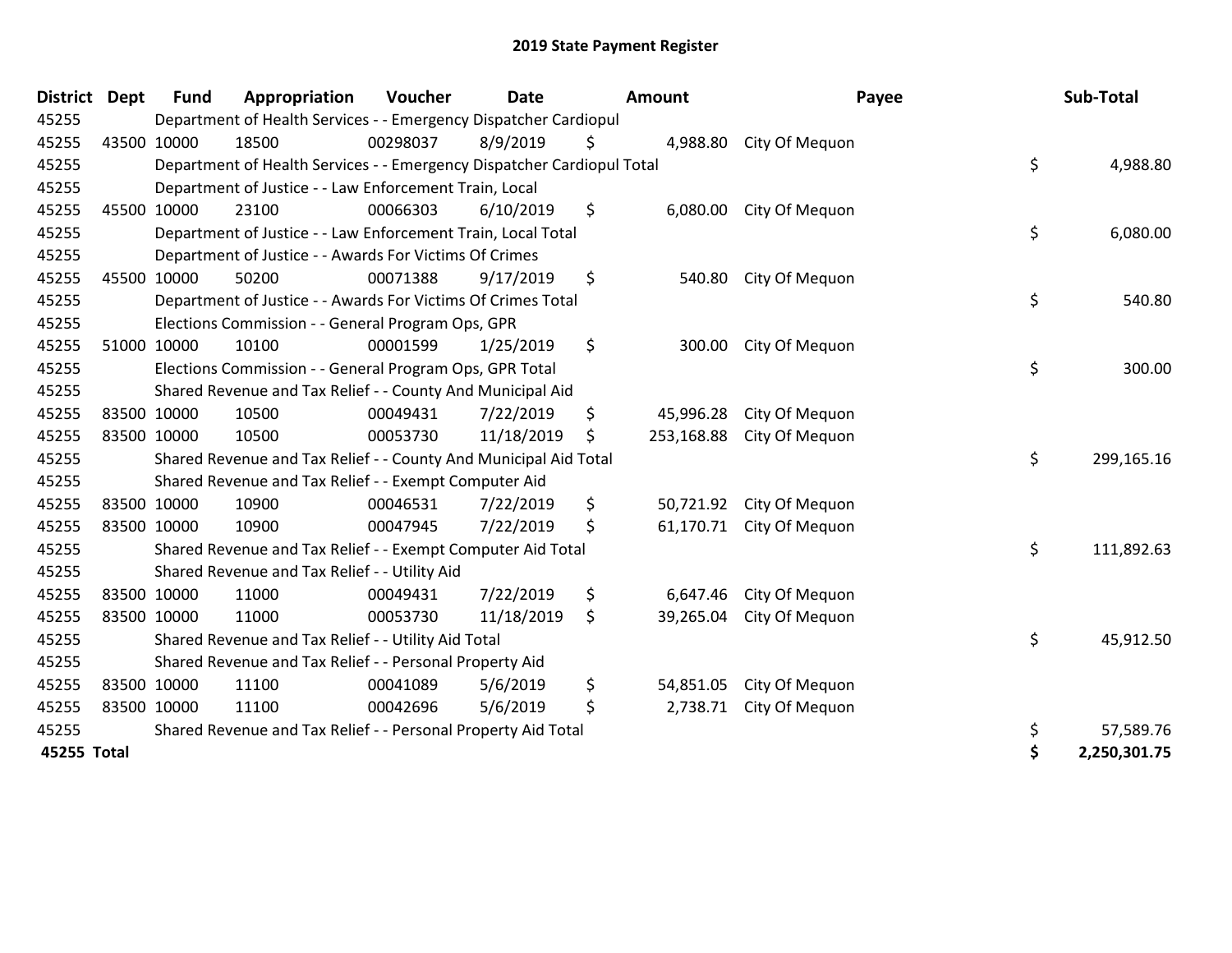| <b>District</b> | <b>Dept</b> | <b>Fund</b> | Appropriation                                                          | Voucher  | <b>Date</b> | Amount           | Payee          | Sub-Total          |
|-----------------|-------------|-------------|------------------------------------------------------------------------|----------|-------------|------------------|----------------|--------------------|
| 45255           |             |             | Department of Health Services - - Emergency Dispatcher Cardiopul       |          |             |                  |                |                    |
| 45255           |             | 43500 10000 | 18500                                                                  | 00298037 | 8/9/2019    | \$<br>4,988.80   | City Of Mequon |                    |
| 45255           |             |             | Department of Health Services - - Emergency Dispatcher Cardiopul Total |          |             |                  |                | \$<br>4,988.80     |
| 45255           |             |             | Department of Justice - - Law Enforcement Train, Local                 |          |             |                  |                |                    |
| 45255           |             | 45500 10000 | 23100                                                                  | 00066303 | 6/10/2019   | \$<br>6,080.00   | City Of Mequon |                    |
| 45255           |             |             | Department of Justice - - Law Enforcement Train, Local Total           |          |             |                  |                | \$<br>6,080.00     |
| 45255           |             |             | Department of Justice - - Awards For Victims Of Crimes                 |          |             |                  |                |                    |
| 45255           |             | 45500 10000 | 50200                                                                  | 00071388 | 9/17/2019   | \$<br>540.80     | City Of Mequon |                    |
| 45255           |             |             | Department of Justice - - Awards For Victims Of Crimes Total           |          |             |                  |                | \$<br>540.80       |
| 45255           |             |             | Elections Commission - - General Program Ops, GPR                      |          |             |                  |                |                    |
| 45255           |             | 51000 10000 | 10100                                                                  | 00001599 | 1/25/2019   | \$<br>300.00     | City Of Mequon |                    |
| 45255           |             |             | Elections Commission - - General Program Ops, GPR Total                |          |             |                  |                | \$<br>300.00       |
| 45255           |             |             | Shared Revenue and Tax Relief - - County And Municipal Aid             |          |             |                  |                |                    |
| 45255           |             | 83500 10000 | 10500                                                                  | 00049431 | 7/22/2019   | \$<br>45,996.28  | City Of Mequon |                    |
| 45255           |             | 83500 10000 | 10500                                                                  | 00053730 | 11/18/2019  | \$<br>253,168.88 | City Of Mequon |                    |
| 45255           |             |             | Shared Revenue and Tax Relief - - County And Municipal Aid Total       |          |             |                  |                | \$<br>299,165.16   |
| 45255           |             |             | Shared Revenue and Tax Relief - - Exempt Computer Aid                  |          |             |                  |                |                    |
| 45255           |             | 83500 10000 | 10900                                                                  | 00046531 | 7/22/2019   | \$<br>50,721.92  | City Of Mequon |                    |
| 45255           |             | 83500 10000 | 10900                                                                  | 00047945 | 7/22/2019   | \$<br>61,170.71  | City Of Mequon |                    |
| 45255           |             |             | Shared Revenue and Tax Relief - - Exempt Computer Aid Total            |          |             |                  |                | \$<br>111,892.63   |
| 45255           |             |             | Shared Revenue and Tax Relief - - Utility Aid                          |          |             |                  |                |                    |
| 45255           |             | 83500 10000 | 11000                                                                  | 00049431 | 7/22/2019   | \$<br>6,647.46   | City Of Mequon |                    |
| 45255           |             | 83500 10000 | 11000                                                                  | 00053730 | 11/18/2019  | \$<br>39,265.04  | City Of Mequon |                    |
| 45255           |             |             | Shared Revenue and Tax Relief - - Utility Aid Total                    |          |             |                  |                | \$<br>45,912.50    |
| 45255           |             |             | Shared Revenue and Tax Relief - - Personal Property Aid                |          |             |                  |                |                    |
| 45255           |             | 83500 10000 | 11100                                                                  | 00041089 | 5/6/2019    | \$<br>54,851.05  | City Of Mequon |                    |
| 45255           |             | 83500 10000 | 11100                                                                  | 00042696 | 5/6/2019    | \$<br>2,738.71   | City Of Mequon |                    |
| 45255           |             |             | Shared Revenue and Tax Relief - - Personal Property Aid Total          |          |             |                  |                | \$<br>57,589.76    |
| 45255 Total     |             |             |                                                                        |          |             |                  |                | \$<br>2,250,301.75 |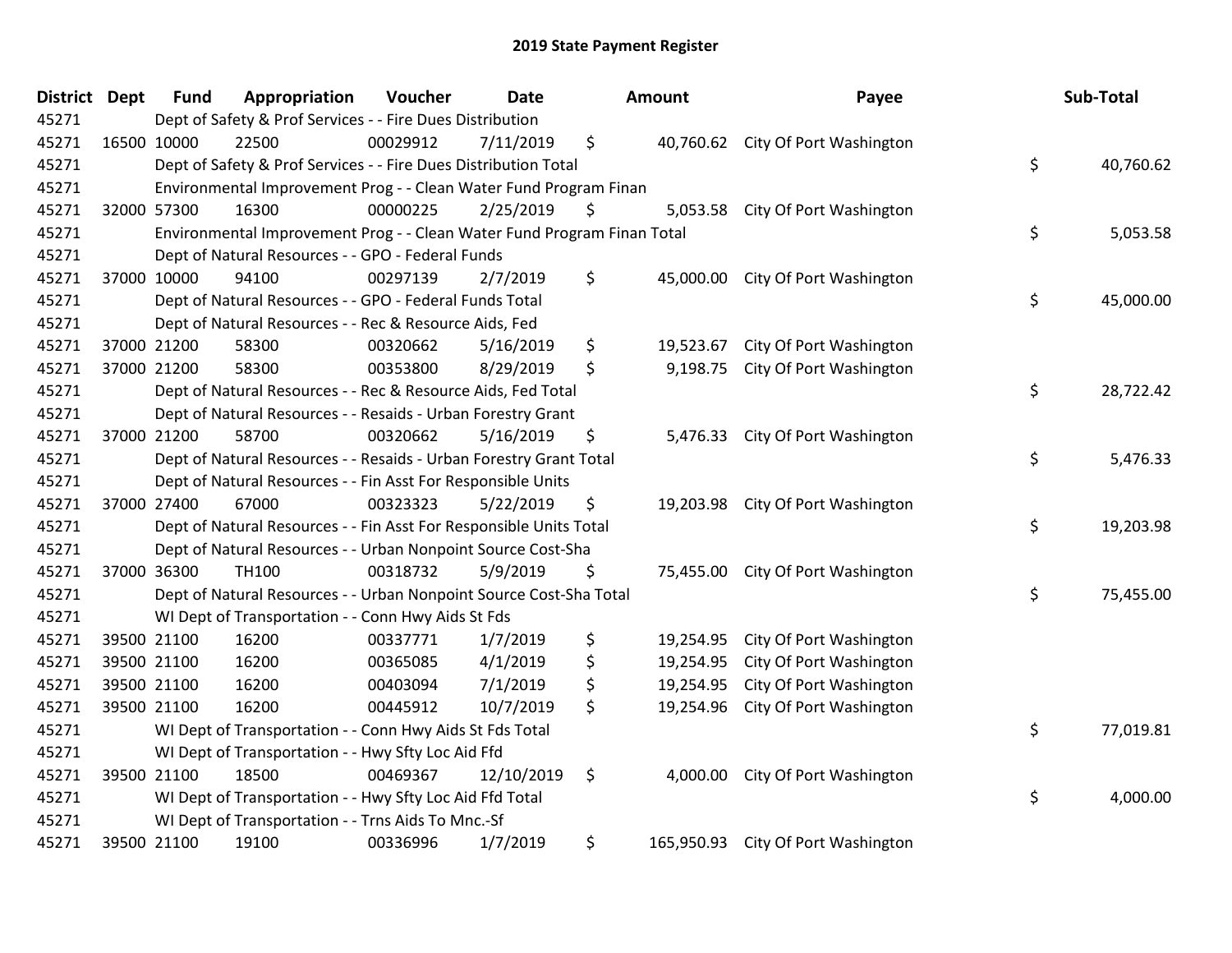| District Dept | <b>Fund</b> | Appropriation                                                           | Voucher  | <b>Date</b> |    | <b>Amount</b> | Payee                             |    | Sub-Total |  |  |
|---------------|-------------|-------------------------------------------------------------------------|----------|-------------|----|---------------|-----------------------------------|----|-----------|--|--|
| 45271         |             | Dept of Safety & Prof Services - - Fire Dues Distribution               |          |             |    |               |                                   |    |           |  |  |
| 45271         | 16500 10000 | 22500                                                                   | 00029912 | 7/11/2019   | \$ |               | 40,760.62 City Of Port Washington |    |           |  |  |
| 45271         |             | Dept of Safety & Prof Services - - Fire Dues Distribution Total         |          |             |    |               |                                   | \$ | 40,760.62 |  |  |
| 45271         |             | Environmental Improvement Prog - - Clean Water Fund Program Finan       |          |             |    |               |                                   |    |           |  |  |
| 45271         | 32000 57300 | 16300                                                                   | 00000225 | 2/25/2019   | \$ | 5,053.58      | City Of Port Washington           |    |           |  |  |
| 45271         |             | Environmental Improvement Prog - - Clean Water Fund Program Finan Total |          |             |    |               |                                   | \$ | 5,053.58  |  |  |
| 45271         |             | Dept of Natural Resources - - GPO - Federal Funds                       |          |             |    |               |                                   |    |           |  |  |
| 45271         | 37000 10000 | 94100                                                                   | 00297139 | 2/7/2019    | \$ | 45,000.00     | City Of Port Washington           |    |           |  |  |
| 45271         |             | Dept of Natural Resources - - GPO - Federal Funds Total                 |          |             |    |               |                                   | \$ | 45,000.00 |  |  |
| 45271         |             | Dept of Natural Resources - - Rec & Resource Aids, Fed                  |          |             |    |               |                                   |    |           |  |  |
| 45271         | 37000 21200 | 58300                                                                   | 00320662 | 5/16/2019   | \$ | 19,523.67     | City Of Port Washington           |    |           |  |  |
| 45271         | 37000 21200 | 58300                                                                   | 00353800 | 8/29/2019   | \$ | 9,198.75      | City Of Port Washington           |    |           |  |  |
| 45271         |             | Dept of Natural Resources - - Rec & Resource Aids, Fed Total            |          |             |    |               |                                   | \$ | 28,722.42 |  |  |
| 45271         |             | Dept of Natural Resources - - Resaids - Urban Forestry Grant            |          |             |    |               |                                   |    |           |  |  |
| 45271         | 37000 21200 | 58700                                                                   | 00320662 | 5/16/2019   | \$ | 5,476.33      | City Of Port Washington           |    |           |  |  |
| 45271         |             | Dept of Natural Resources - - Resaids - Urban Forestry Grant Total      |          |             |    |               |                                   | \$ | 5,476.33  |  |  |
| 45271         |             | Dept of Natural Resources - - Fin Asst For Responsible Units            |          |             |    |               |                                   |    |           |  |  |
| 45271         | 37000 27400 | 67000                                                                   | 00323323 | 5/22/2019   | \$ |               | 19,203.98 City Of Port Washington |    |           |  |  |
| 45271         |             | Dept of Natural Resources - - Fin Asst For Responsible Units Total      |          |             |    |               |                                   | \$ | 19,203.98 |  |  |
| 45271         |             | Dept of Natural Resources - - Urban Nonpoint Source Cost-Sha            |          |             |    |               |                                   |    |           |  |  |
| 45271         | 37000 36300 | <b>TH100</b>                                                            | 00318732 | 5/9/2019    | \$ |               | 75,455.00 City Of Port Washington |    |           |  |  |
| 45271         |             | Dept of Natural Resources - - Urban Nonpoint Source Cost-Sha Total      |          |             |    |               |                                   | \$ | 75,455.00 |  |  |
| 45271         |             | WI Dept of Transportation - - Conn Hwy Aids St Fds                      |          |             |    |               |                                   |    |           |  |  |
| 45271         | 39500 21100 | 16200                                                                   | 00337771 | 1/7/2019    | \$ | 19,254.95     | City Of Port Washington           |    |           |  |  |
| 45271         | 39500 21100 | 16200                                                                   | 00365085 | 4/1/2019    | \$ | 19,254.95     | City Of Port Washington           |    |           |  |  |
| 45271         | 39500 21100 | 16200                                                                   | 00403094 | 7/1/2019    | \$ | 19,254.95     | City Of Port Washington           |    |           |  |  |
| 45271         | 39500 21100 | 16200                                                                   | 00445912 | 10/7/2019   | \$ | 19,254.96     | City Of Port Washington           |    |           |  |  |
| 45271         |             | WI Dept of Transportation - - Conn Hwy Aids St Fds Total                |          |             |    |               |                                   | \$ | 77,019.81 |  |  |
| 45271         |             | WI Dept of Transportation - - Hwy Sfty Loc Aid Ffd                      |          |             |    |               |                                   |    |           |  |  |
| 45271         | 39500 21100 | 18500                                                                   | 00469367 | 12/10/2019  | \$ | 4,000.00      | City Of Port Washington           |    |           |  |  |
| 45271         |             | WI Dept of Transportation - - Hwy Sfty Loc Aid Ffd Total                |          |             |    |               |                                   | \$ | 4,000.00  |  |  |
| 45271         |             | WI Dept of Transportation - - Trns Aids To Mnc.-Sf                      |          |             |    |               |                                   |    |           |  |  |
| 45271         | 39500 21100 | 19100                                                                   | 00336996 | 1/7/2019    | \$ | 165,950.93    | City Of Port Washington           |    |           |  |  |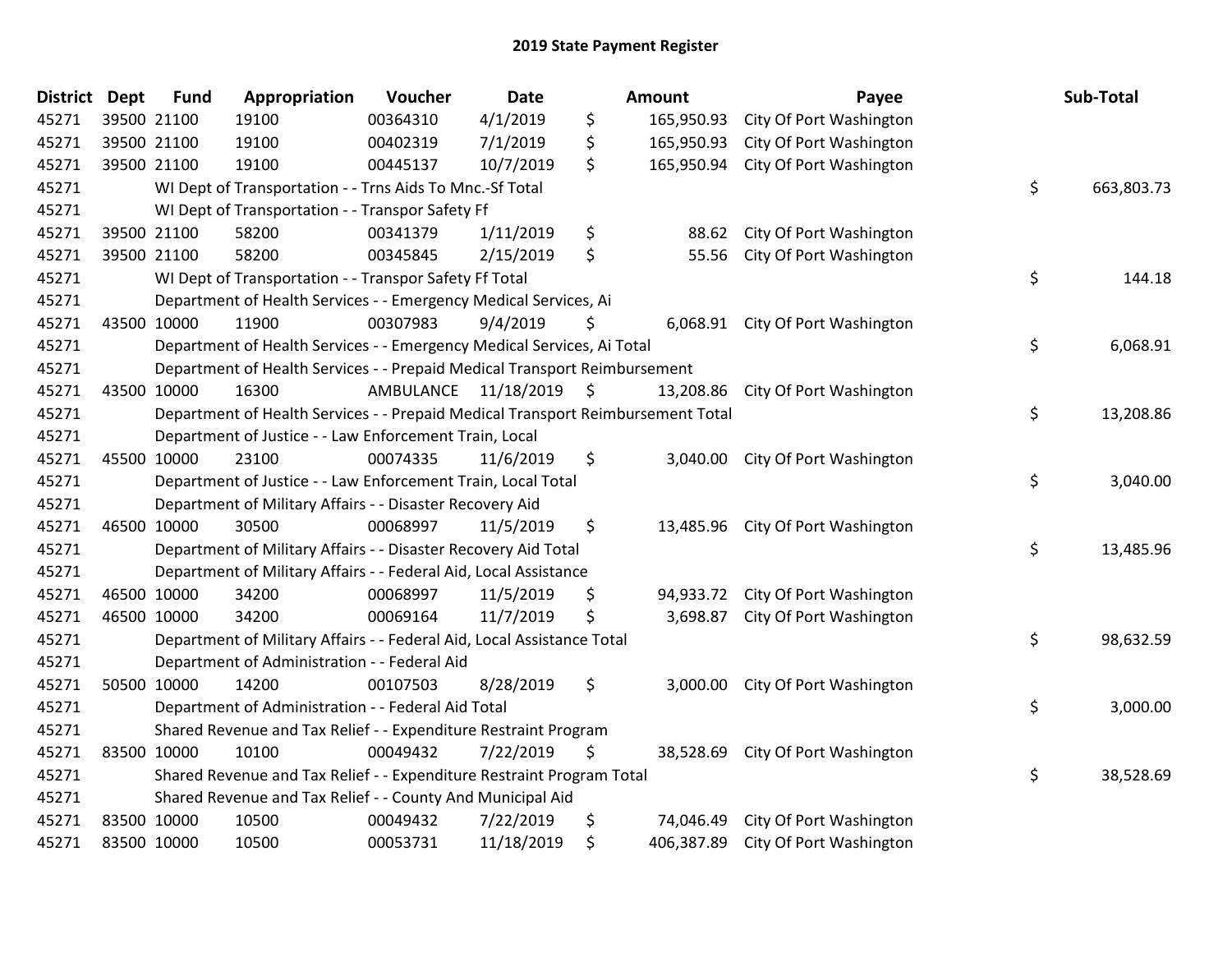| District Dept | <b>Fund</b> | Appropriation                                                                   | Voucher  | <b>Date</b>             |    | <b>Amount</b> | Payee                              |    | Sub-Total  |  |
|---------------|-------------|---------------------------------------------------------------------------------|----------|-------------------------|----|---------------|------------------------------------|----|------------|--|
| 45271         | 39500 21100 | 19100                                                                           | 00364310 | 4/1/2019                | \$ | 165,950.93    | City Of Port Washington            |    |            |  |
| 45271         | 39500 21100 | 19100                                                                           | 00402319 | 7/1/2019                | \$ | 165,950.93    | City Of Port Washington            |    |            |  |
| 45271         | 39500 21100 | 19100                                                                           | 00445137 | 10/7/2019               | \$ | 165,950.94    | City Of Port Washington            |    |            |  |
| 45271         |             | WI Dept of Transportation - - Trns Aids To Mnc.-Sf Total                        |          |                         |    |               |                                    | \$ | 663,803.73 |  |
| 45271         |             | WI Dept of Transportation - - Transpor Safety Ff                                |          |                         |    |               |                                    |    |            |  |
| 45271         | 39500 21100 | 58200                                                                           | 00341379 | 1/11/2019               | \$ | 88.62         | City Of Port Washington            |    |            |  |
| 45271         | 39500 21100 | 58200                                                                           | 00345845 | 2/15/2019               | \$ | 55.56         | City Of Port Washington            |    |            |  |
| 45271         |             | WI Dept of Transportation - - Transpor Safety Ff Total                          |          |                         |    |               |                                    | \$ | 144.18     |  |
| 45271         |             | Department of Health Services - - Emergency Medical Services, Ai                |          |                         |    |               |                                    |    |            |  |
| 45271         | 43500 10000 | 11900                                                                           | 00307983 | 9/4/2019                | S  |               | 6,068.91 City Of Port Washington   |    |            |  |
| 45271         |             | Department of Health Services - - Emergency Medical Services, Ai Total          |          |                         |    |               |                                    | \$ | 6,068.91   |  |
| 45271         |             | Department of Health Services - - Prepaid Medical Transport Reimbursement       |          |                         |    |               |                                    |    |            |  |
| 45271         | 43500 10000 | 16300                                                                           |          | AMBULANCE 11/18/2019 \$ |    | 13,208.86     | City Of Port Washington            |    |            |  |
| 45271         |             | Department of Health Services - - Prepaid Medical Transport Reimbursement Total |          |                         |    |               |                                    | \$ | 13,208.86  |  |
| 45271         |             | Department of Justice - - Law Enforcement Train, Local                          |          |                         |    |               |                                    |    |            |  |
| 45271         | 45500 10000 | 23100                                                                           | 00074335 | 11/6/2019               | \$ | 3,040.00      | City Of Port Washington            |    |            |  |
| 45271         |             | Department of Justice - - Law Enforcement Train, Local Total                    |          |                         |    |               |                                    | \$ | 3,040.00   |  |
| 45271         |             | Department of Military Affairs - - Disaster Recovery Aid                        |          |                         |    |               |                                    |    |            |  |
| 45271         | 46500 10000 | 30500                                                                           | 00068997 | 11/5/2019               | \$ |               | 13,485.96 City Of Port Washington  |    |            |  |
| 45271         |             | Department of Military Affairs - - Disaster Recovery Aid Total                  |          |                         |    |               |                                    | \$ | 13,485.96  |  |
| 45271         |             | Department of Military Affairs - - Federal Aid, Local Assistance                |          |                         |    |               |                                    |    |            |  |
| 45271         | 46500 10000 | 34200                                                                           | 00068997 | 11/5/2019               | \$ |               | 94,933.72 City Of Port Washington  |    |            |  |
| 45271         | 46500 10000 | 34200                                                                           | 00069164 | 11/7/2019               | \$ | 3,698.87      | City Of Port Washington            |    |            |  |
| 45271         |             | Department of Military Affairs - - Federal Aid, Local Assistance Total          |          |                         |    |               |                                    | \$ | 98,632.59  |  |
| 45271         |             | Department of Administration - - Federal Aid                                    |          |                         |    |               |                                    |    |            |  |
| 45271         | 50500 10000 | 14200                                                                           | 00107503 | 8/28/2019               | \$ | 3,000.00      | City Of Port Washington            |    |            |  |
| 45271         |             | Department of Administration - - Federal Aid Total                              |          |                         |    |               |                                    | \$ | 3,000.00   |  |
| 45271         |             | Shared Revenue and Tax Relief - - Expenditure Restraint Program                 |          |                         |    |               |                                    |    |            |  |
| 45271         | 83500 10000 | 10100                                                                           | 00049432 | 7/22/2019               | \$ | 38,528.69     | City Of Port Washington            |    |            |  |
| 45271         |             | Shared Revenue and Tax Relief - - Expenditure Restraint Program Total           |          |                         |    |               |                                    | \$ | 38,528.69  |  |
| 45271         |             | Shared Revenue and Tax Relief - - County And Municipal Aid                      |          |                         |    |               |                                    |    |            |  |
| 45271         | 83500 10000 | 10500                                                                           | 00049432 | 7/22/2019               | \$ |               | 74,046.49 City Of Port Washington  |    |            |  |
| 45271         | 83500 10000 | 10500                                                                           | 00053731 | 11/18/2019              | \$ |               | 406,387.89 City Of Port Washington |    |            |  |